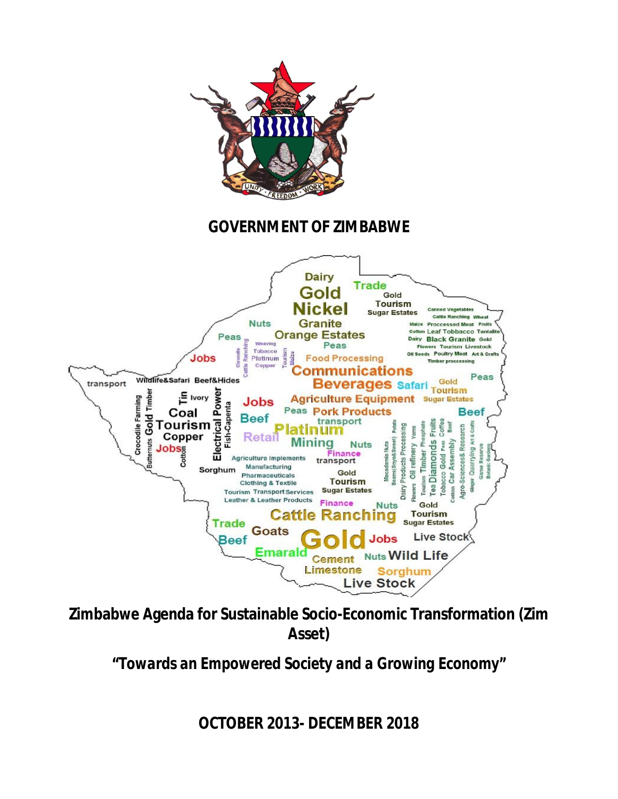

**Zimbabwe Agenda for Sustainable Socio-Economic Transformation (Zim Asset)**

*"Towards an Empowered Society and a Growing Economy"*

**OCTOBER** *2013- DECEMBER 2018*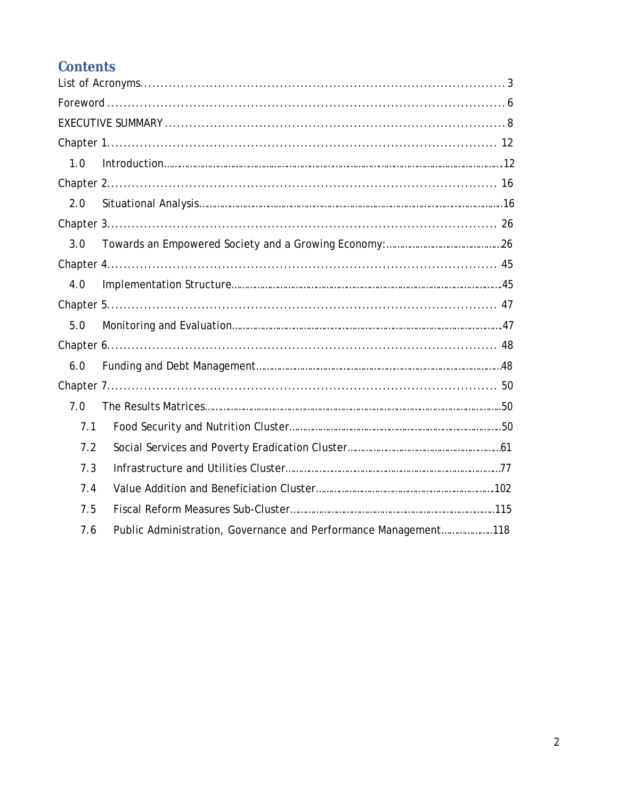# **Contents**

| 1.0 |                                                                 |  |  |  |
|-----|-----------------------------------------------------------------|--|--|--|
|     |                                                                 |  |  |  |
| 2.0 |                                                                 |  |  |  |
|     |                                                                 |  |  |  |
| 3.0 |                                                                 |  |  |  |
|     |                                                                 |  |  |  |
| 4.0 |                                                                 |  |  |  |
|     |                                                                 |  |  |  |
| 5.0 |                                                                 |  |  |  |
|     |                                                                 |  |  |  |
| 6.0 |                                                                 |  |  |  |
|     |                                                                 |  |  |  |
| 7.0 |                                                                 |  |  |  |
| 7.1 |                                                                 |  |  |  |
| 7.2 |                                                                 |  |  |  |
| 7.3 |                                                                 |  |  |  |
| 7.4 |                                                                 |  |  |  |
| 7.5 |                                                                 |  |  |  |
| 7.6 | Public Administration, Governance and Performance Management118 |  |  |  |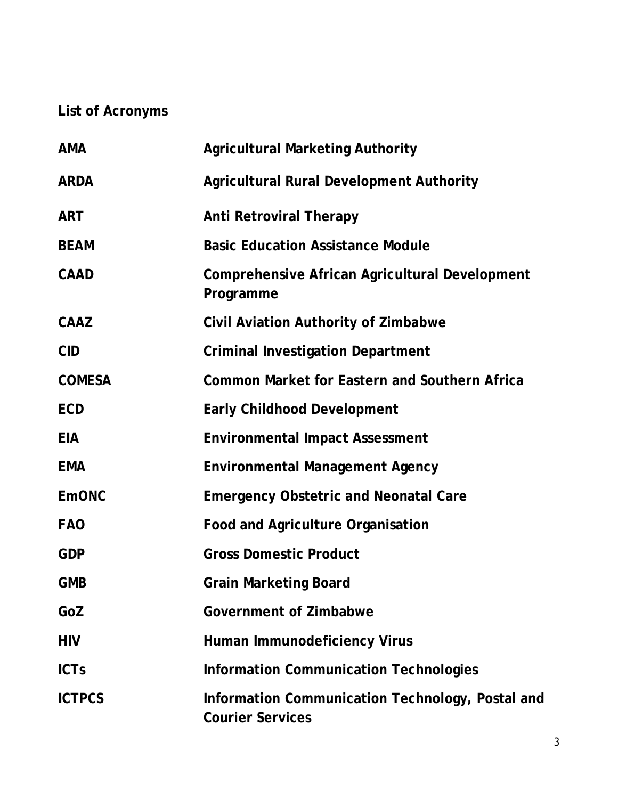# **List of Acronyms**

| <b>AMA</b>    | <b>Agricultural Marketing Authority</b>                                     |
|---------------|-----------------------------------------------------------------------------|
| <b>ARDA</b>   | <b>Agricultural Rural Development Authority</b>                             |
| <b>ART</b>    | <b>Anti Retroviral Therapy</b>                                              |
| <b>BEAM</b>   | <b>Basic Education Assistance Module</b>                                    |
| <b>CAAD</b>   | <b>Comprehensive African Agricultural Development</b><br>Programme          |
| <b>CAAZ</b>   | <b>Civil Aviation Authority of Zimbabwe</b>                                 |
| <b>CID</b>    | <b>Criminal Investigation Department</b>                                    |
| <b>COMESA</b> | <b>Common Market for Eastern and Southern Africa</b>                        |
| <b>ECD</b>    | <b>Early Childhood Development</b>                                          |
| <b>EIA</b>    | <b>Environmental Impact Assessment</b>                                      |
| <b>EMA</b>    | <b>Environmental Management Agency</b>                                      |
| <b>EmONC</b>  | <b>Emergency Obstetric and Neonatal Care</b>                                |
| <b>FAO</b>    | <b>Food and Agriculture Organisation</b>                                    |
| <b>GDP</b>    | <b>Gross Domestic Product</b>                                               |
| <b>GMB</b>    | <b>Grain Marketing Board</b>                                                |
| GoZ           | <b>Government of Zimbabwe</b>                                               |
| <b>HIV</b>    | <b>Human Immunodeficiency Virus</b>                                         |
| <b>ICTs</b>   | <b>Information Communication Technologies</b>                               |
| <b>ICTPCS</b> | Information Communication Technology, Postal and<br><b>Courier Services</b> |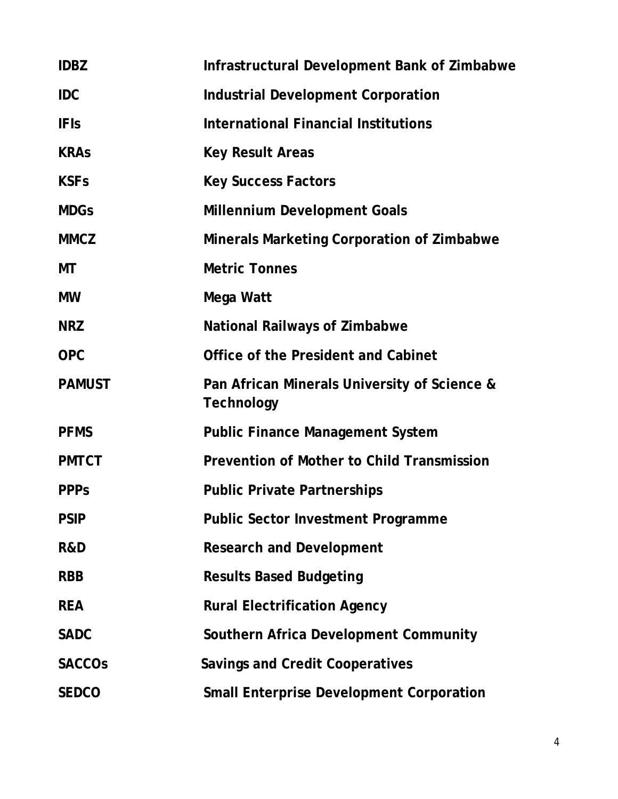| <b>IDBZ</b>    | <b>Infrastructural Development Bank of Zimbabwe</b>               |
|----------------|-------------------------------------------------------------------|
| <b>IDC</b>     | <b>Industrial Development Corporation</b>                         |
| <b>IFIs</b>    | <b>International Financial Institutions</b>                       |
| <b>KRAs</b>    | <b>Key Result Areas</b>                                           |
| <b>KSFs</b>    | <b>Key Success Factors</b>                                        |
| <b>MDGs</b>    | <b>Millennium Development Goals</b>                               |
| <b>MMCZ</b>    | <b>Minerals Marketing Corporation of Zimbabwe</b>                 |
| МT             | <b>Metric Tonnes</b>                                              |
| <b>MW</b>      | Mega Watt                                                         |
| <b>NRZ</b>     | <b>National Railways of Zimbabwe</b>                              |
| <b>OPC</b>     | <b>Office of the President and Cabinet</b>                        |
| <b>PAMUST</b>  | Pan African Minerals University of Science &<br><b>Technology</b> |
| <b>PFMS</b>    | <b>Public Finance Management System</b>                           |
| <b>PMTCT</b>   | <b>Prevention of Mother to Child Transmission</b>                 |
| <b>PPPs</b>    | <b>Public Private Partnerships</b>                                |
| <b>PSIP</b>    | <b>Public Sector Investment Programme</b>                         |
| <b>R&amp;D</b> | <b>Research and Development</b>                                   |
| <b>RBB</b>     | <b>Results Based Budgeting</b>                                    |
| <b>REA</b>     | <b>Rural Electrification Agency</b>                               |
| <b>SADC</b>    | <b>Southern Africa Development Community</b>                      |
| <b>SACCOS</b>  | <b>Savings and Credit Cooperatives</b>                            |
| <b>SEDCO</b>   | <b>Small Enterprise Development Corporation</b>                   |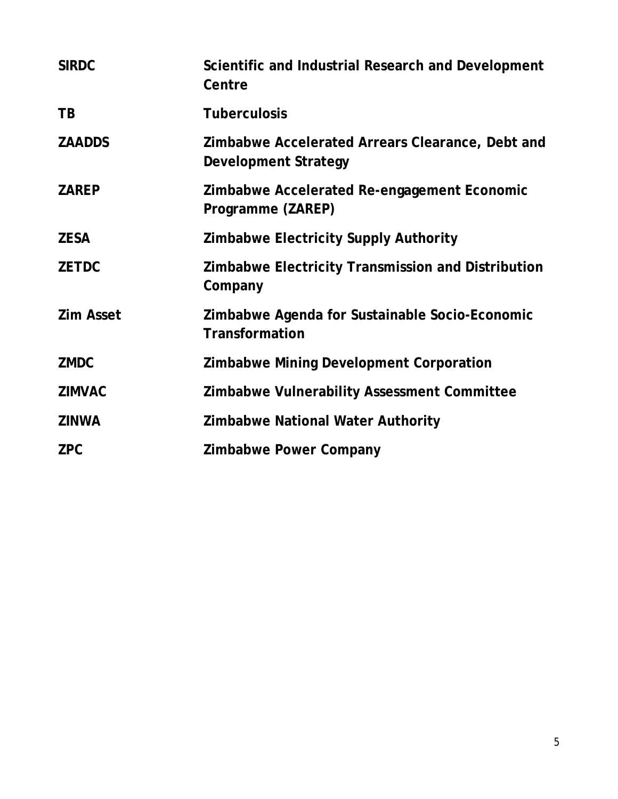| <b>SIRDC</b>     | Scientific and Industrial Research and Development<br>Centre                    |
|------------------|---------------------------------------------------------------------------------|
| <b>TB</b>        | <b>Tuberculosis</b>                                                             |
| <b>ZAADDS</b>    | Zimbabwe Accelerated Arrears Clearance, Debt and<br><b>Development Strategy</b> |
| <b>ZAREP</b>     | Zimbabwe Accelerated Re-engagement Economic<br>Programme (ZAREP)                |
| <b>ZESA</b>      | <b>Zimbabwe Electricity Supply Authority</b>                                    |
| <b>ZETDC</b>     | Zimbabwe Electricity Transmission and Distribution<br>Company                   |
| <b>Zim Asset</b> | Zimbabwe Agenda for Sustainable Socio-Economic<br><b>Transformation</b>         |
| <b>ZMDC</b>      | <b>Zimbabwe Mining Development Corporation</b>                                  |
| <b>ZIMVAC</b>    | <b>Zimbabwe Vulnerability Assessment Committee</b>                              |
| <b>ZINWA</b>     | <b>Zimbabwe National Water Authority</b>                                        |
| <b>ZPC</b>       | <b>Zimbabwe Power Company</b>                                                   |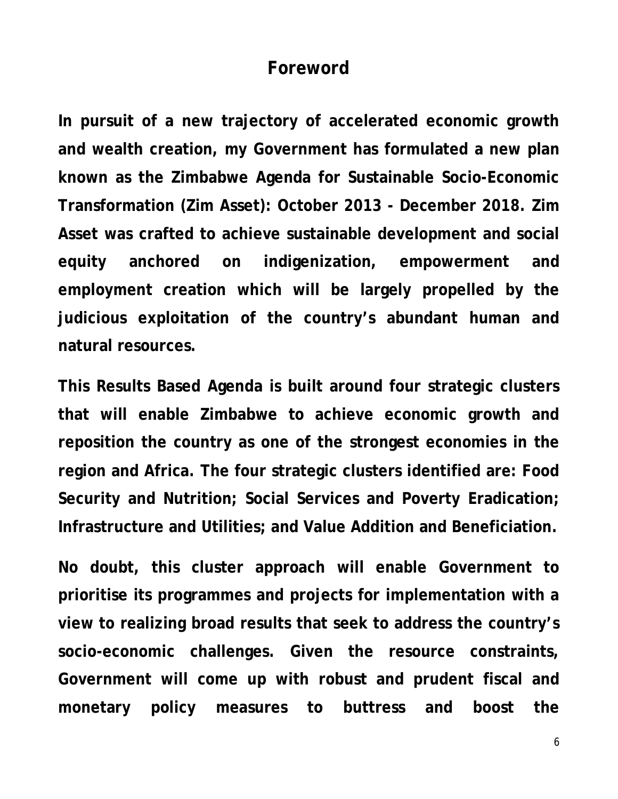#### **Foreword**

**In pursuit of a new trajectory of accelerated economic growth and wealth creation, my Government has formulated a new plan known as the Zimbabwe Agenda for Sustainable Socio-Economic Transformation (Zim Asset): October 2013 - December 2018. Zim Asset was crafted to achieve sustainable development and social equity anchored on indigenization, empowerment and employment creation which will be largely propelled by the judicious exploitation of the country's abundant human and natural resources.** 

**This Results Based Agenda is built around four strategic clusters that will enable Zimbabwe to achieve economic growth and reposition the country as one of the strongest economies in the region and Africa. The four strategic clusters identified are: Food Security and Nutrition; Social Services and Poverty Eradication; Infrastructure and Utilities; and Value Addition and Beneficiation.** 

**No doubt, this cluster approach will enable Government to prioritise its programmes and projects for implementation with a view to realizing broad results that seek to address the country's socio-economic challenges. Given the resource constraints, Government will come up with robust and prudent fiscal and monetary policy measures to buttress and boost the**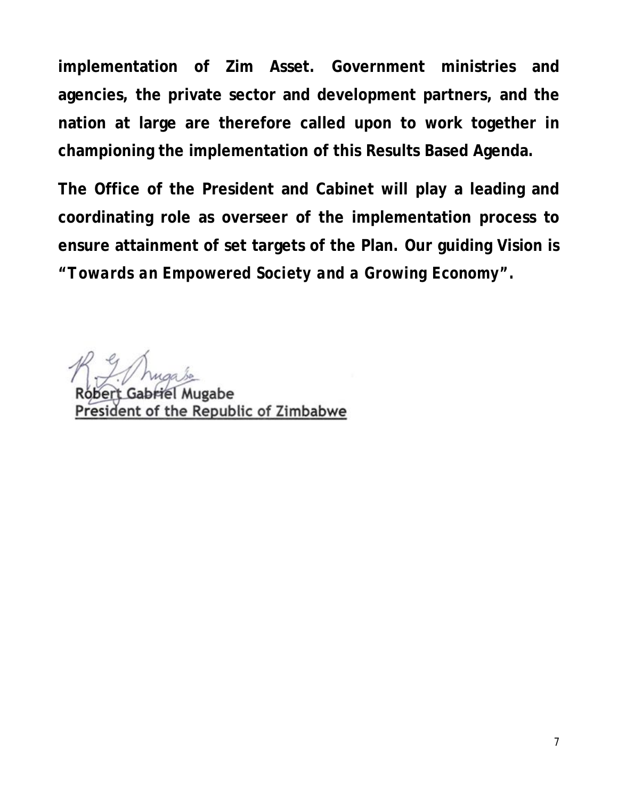**implementation of Zim Asset. Government ministries and agencies, the private sector and development partners, and the nation at large are therefore called upon to work together in championing the implementation of this Results Based Agenda.** 

**The Office of the President and Cabinet will play a leading and coordinating role as overseer of the implementation process to ensure attainment of set targets of the Plan. Our guiding Vision is** *"Towards an Empowered Society and a Growing Economy".*

el Mugabe Roberi President of the Republic of Zimbabwe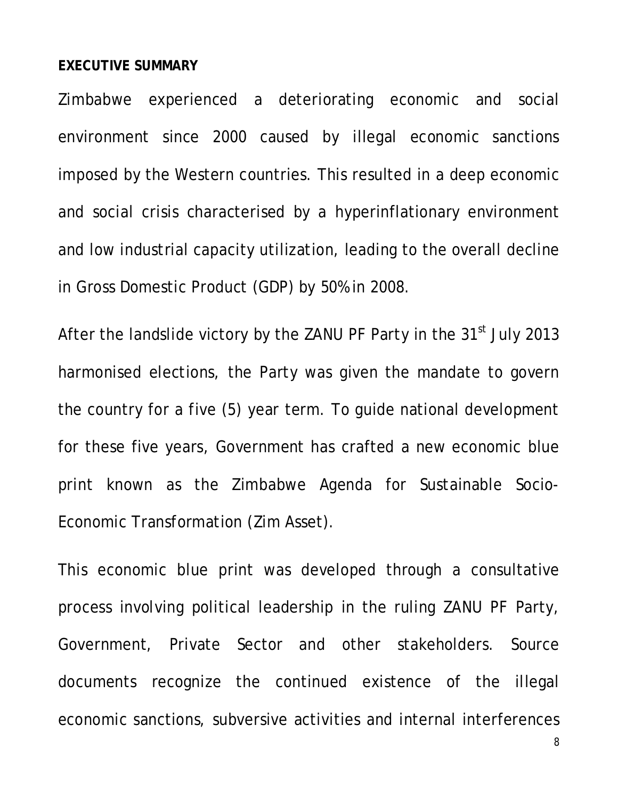#### **EXECUTIVE SUMMARY**

Zimbabwe experienced a deteriorating economic and social environment since 2000 caused by illegal economic sanctions imposed by the Western countries. This resulted in a deep economic and social crisis characterised by a hyperinflationary environment and low industrial capacity utilization, leading to the overall decline in Gross Domestic Product (GDP) by 50% in 2008.

After the landslide victory by the ZANU PF Party in the 31<sup>st</sup> July 2013 harmonised elections, the Party was given the mandate to govern the country for a five (5) year term. To guide national development for these five years, Government has crafted a new economic blue print known as the Zimbabwe Agenda for Sustainable Socio-Economic Transformation (Zim Asset).

This economic blue print was developed through a consultative process involving political leadership in the ruling ZANU PF Party, Government, Private Sector and other stakeholders. Source documents recognize the continued existence of the illegal economic sanctions, subversive activities and internal interferences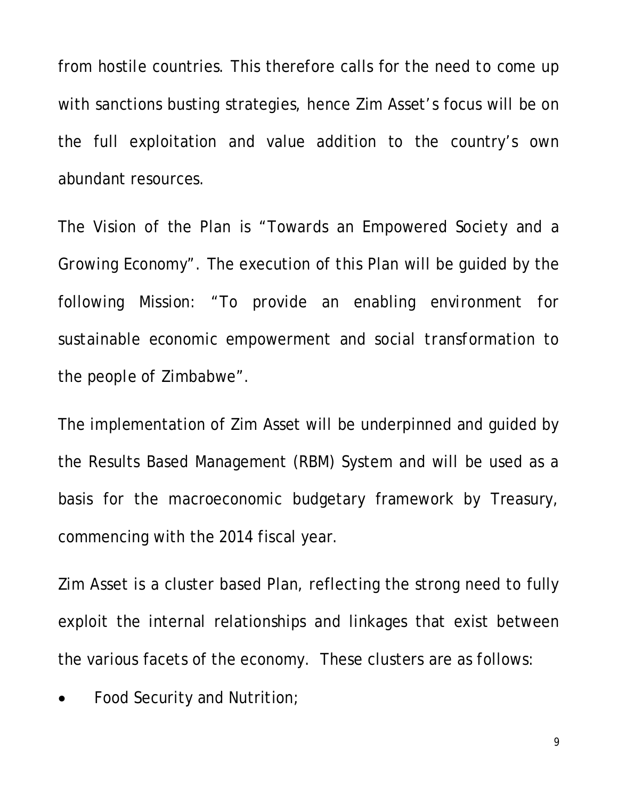from hostile countries. This therefore calls for the need to come up with sanctions busting strategies, hence Zim Asset's focus will be on the full exploitation and value addition to the country's own abundant resources.

The Vision of the Plan is *"Towards an Empowered Society and a Growing Economy"*. The execution of this Plan will be guided by the following Mission: *"To provide an enabling environment for sustainable economic empowerment and social transformation to the people of Zimbabwe"*.

The implementation of Zim Asset will be underpinned and guided by the Results Based Management (RBM) System and will be used as a basis for the macroeconomic budgetary framework by Treasury, commencing with the 2014 fiscal year.

Zim Asset is a cluster based Plan, reflecting the strong need to fully exploit the internal relationships and linkages that exist between the various facets of the economy. These clusters are as follows:

Food Security and Nutrition;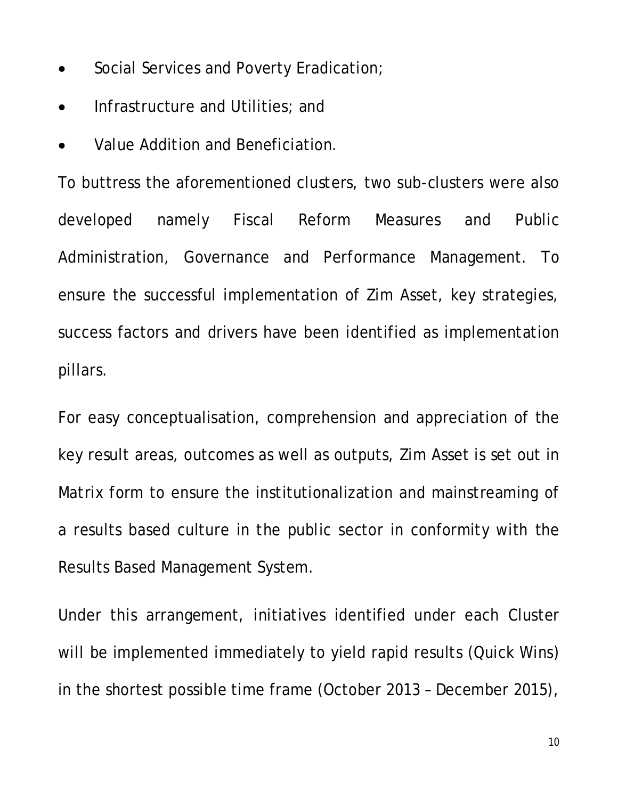- Social Services and Poverty Eradication;
- Infrastructure and Utilities; and
- Value Addition and Beneficiation.

To buttress the aforementioned clusters, two sub-clusters were also developed namely Fiscal Reform Measures and Public Administration, Governance and Performance Management. To ensure the successful implementation of Zim Asset, key strategies, success factors and drivers have been identified as implementation pillars.

For easy conceptualisation, comprehension and appreciation of the key result areas, outcomes as well as outputs, Zim Asset is set out in Matrix form to ensure the institutionalization and mainstreaming of a results based culture in the public sector in conformity with the Results Based Management System.

Under this arrangement, initiatives identified under each Cluster will be implemented immediately to yield rapid results (Quick Wins) in the shortest possible time frame (October 2013 – December 2015),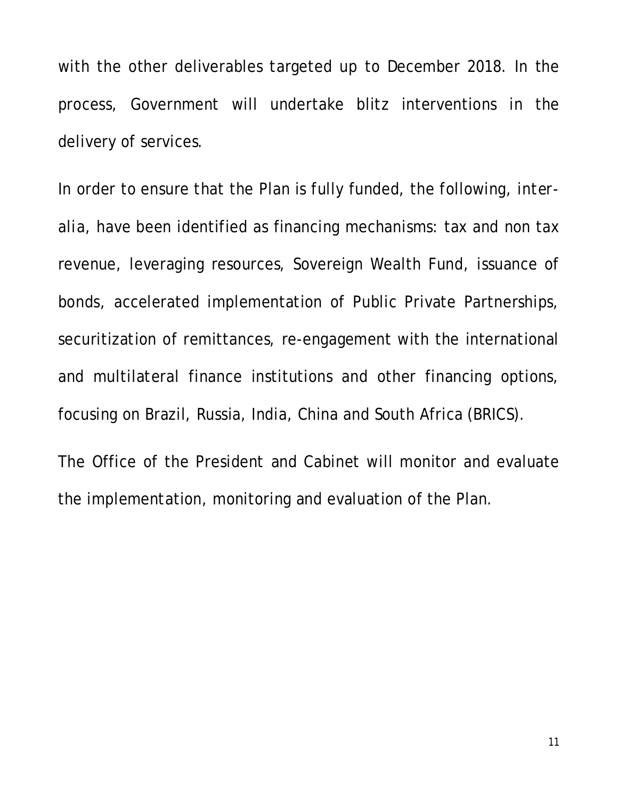with the other deliverables targeted up to December 2018. In the process, Government will undertake blitz interventions in the delivery of services.

In order to ensure that the Plan is fully funded, the following, *interalia*, have been identified as financing mechanisms: tax and non tax revenue, leveraging resources, Sovereign Wealth Fund, issuance of bonds, accelerated implementation of Public Private Partnerships, securitization of remittances, re-engagement with the international and multilateral finance institutions and other financing options, focusing on Brazil, Russia, India, China and South Africa (BRICS).

The Office of the President and Cabinet will monitor and evaluate the implementation, monitoring and evaluation of the Plan.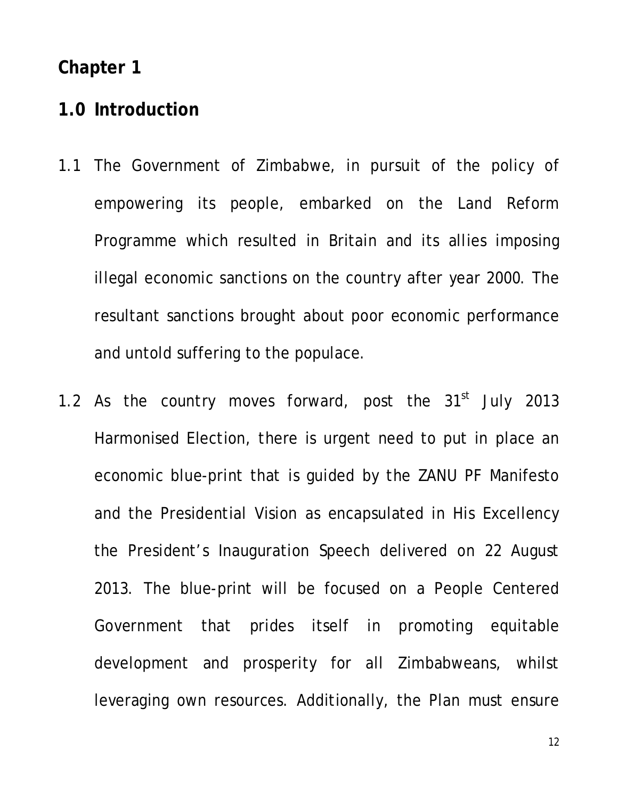#### **Chapter 1**

# **1.0 Introduction**

- 1.1 The Government of Zimbabwe, in pursuit of the policy of empowering its people, embarked on the Land Reform Programme which resulted in Britain and its allies imposing illegal economic sanctions on the country after year 2000. The resultant sanctions brought about poor economic performance and untold suffering to the populace.
- 1.2 As the country moves forward, post the  $31<sup>st</sup>$  July 2013 Harmonised Election, there is urgent need to put in place an economic blue-print that is guided by the ZANU PF Manifesto and the Presidential Vision as encapsulated in His Excellency the President's Inauguration Speech delivered on 22 August 2013. The blue-print will be focused on a People Centered Government that prides itself in promoting equitable development and prosperity for all Zimbabweans, whilst leveraging own resources. Additionally, the Plan must ensure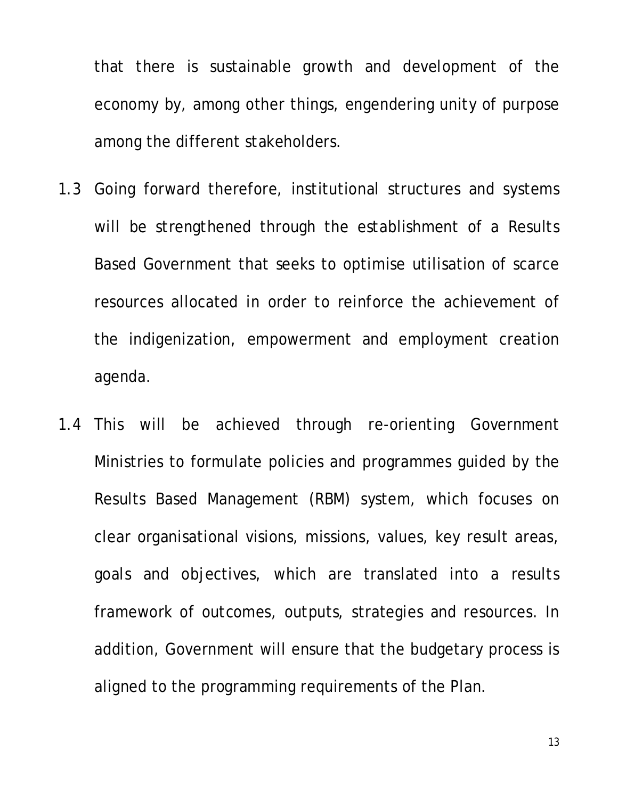that there is sustainable growth and development of the economy by, among other things, engendering unity of purpose among the different stakeholders.

- 1.3 Going forward therefore, institutional structures and systems will be strengthened through the establishment of a Results Based Government that seeks to optimise utilisation of scarce resources allocated in order to reinforce the achievement of the indigenization, empowerment and employment creation agenda.
- 1.4 This will be achieved through re-orienting Government Ministries to formulate policies and programmes guided by the Results Based Management (RBM) system, which focuses on clear organisational visions, missions, values, key result areas, goals and objectives, which are translated into a results framework of outcomes, outputs, strategies and resources. In addition, Government will ensure that the budgetary process is aligned to the programming requirements of the Plan.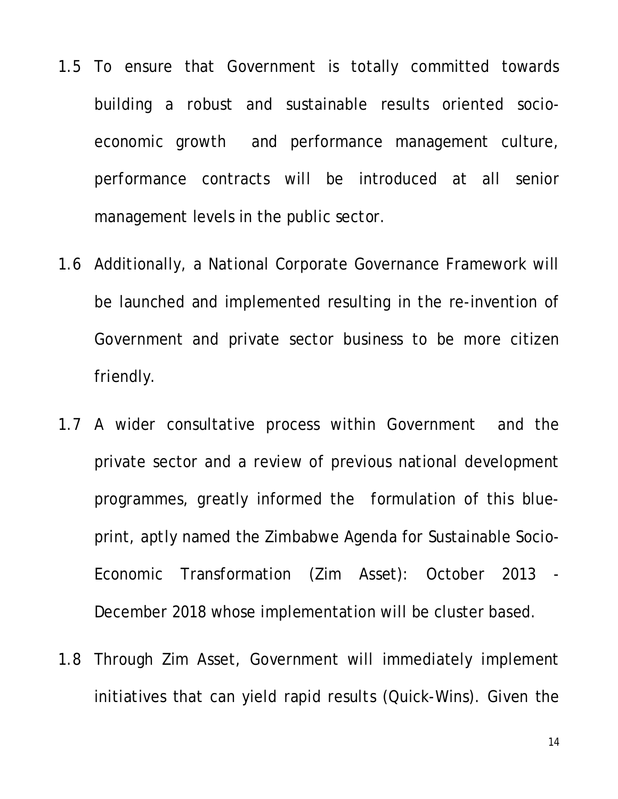- 1.5 To ensure that Government is totally committed towards building a robust and sustainable results oriented socioeconomic growth and performance management culture, performance contracts will be introduced at all senior management levels in the public sector.
- 1.6 Additionally, a National Corporate Governance Framework will be launched and implemented resulting in the re-invention of Government and private sector business to be more citizen friendly.
- 1.7 A wider consultative process within Government and the private sector and a review of previous national development programmes, greatly informed the formulation of this blueprint, aptly named the Zimbabwe Agenda for Sustainable Socio-Economic Transformation (Zim Asset): October 2013 - December 2018 whose implementation will be cluster based.
- 1.8 Through Zim Asset, Government will immediately implement initiatives that can yield rapid results (Quick-Wins). Given the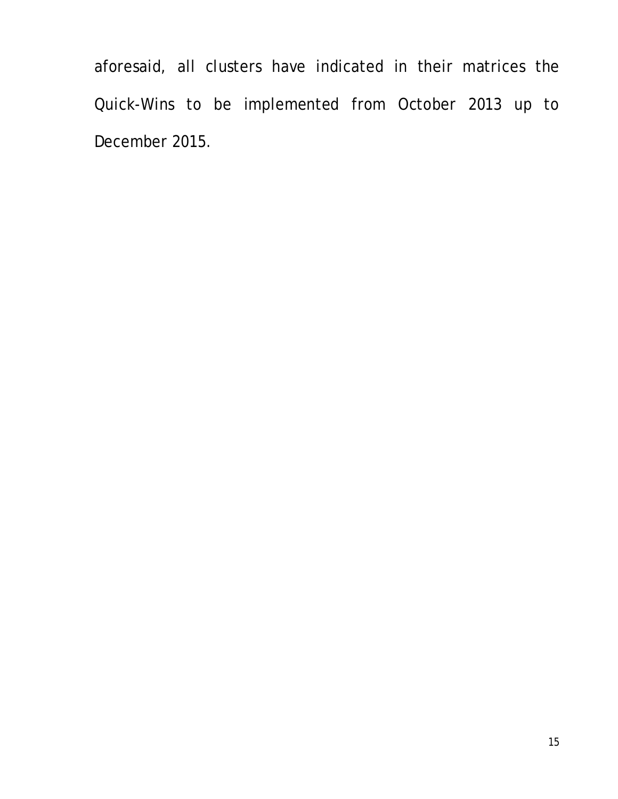aforesaid, all clusters have indicated in their matrices the Quick-Wins to be implemented from October 2013 up to December 2015.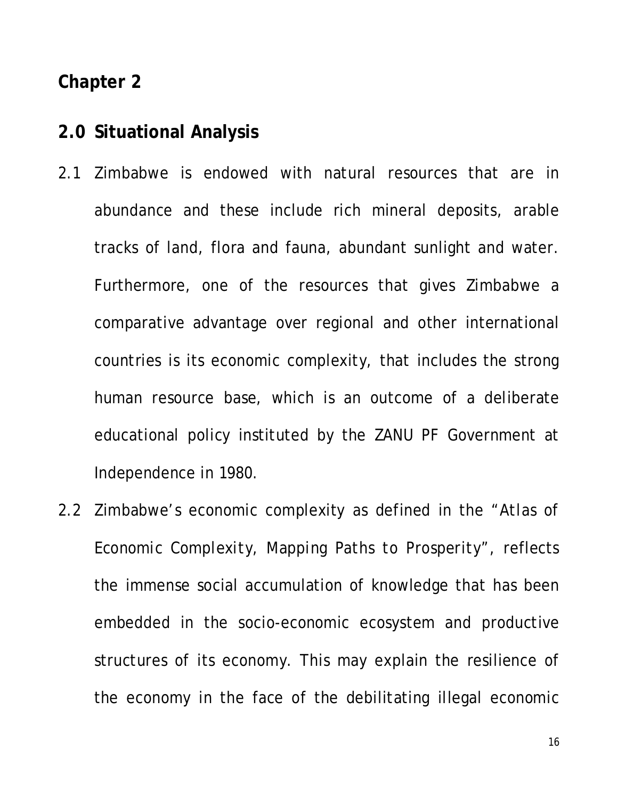#### **Chapter 2**

# **2.0 Situational Analysis**

- 2.1 Zimbabwe is endowed with natural resources that are in abundance and these include rich mineral deposits, arable tracks of land, flora and fauna, abundant sunlight and water. Furthermore, one of the resources that gives Zimbabwe a comparative advantage over regional and other international countries is its economic complexity, that includes the strong human resource base, which is an outcome of a deliberate educational policy instituted by the ZANU PF Government at Independence in 1980.
- 2.2 Zimbabwe's economic complexity as defined in the *"Atlas of Economic Complexity, Mapping Paths to Prosperity",* reflects the immense social accumulation of knowledge that has been embedded in the socio-economic ecosystem and productive structures of its economy. This may explain the resilience of the economy in the face of the debilitating illegal economic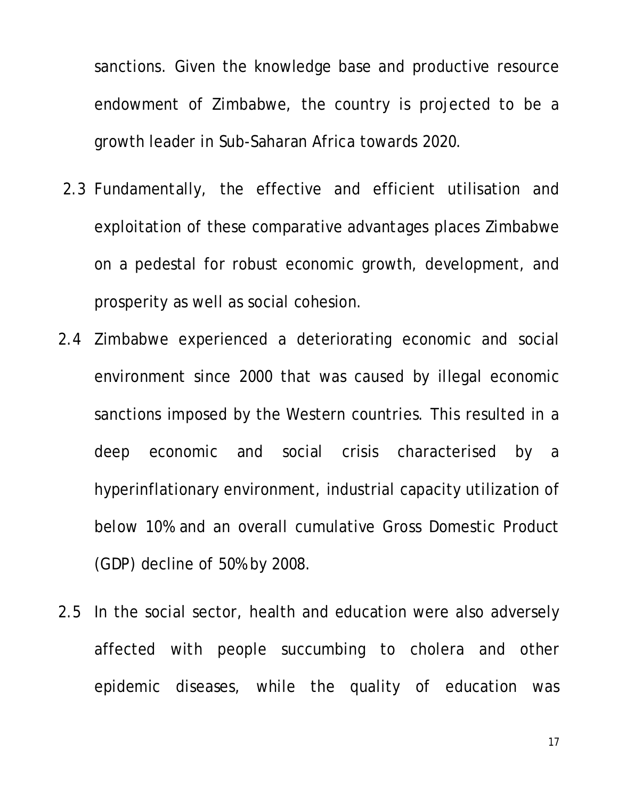sanctions. Given the knowledge base and productive resource endowment of Zimbabwe, the country is projected to be a growth leader in Sub-Saharan Africa towards 2020.

- 2.3 Fundamentally, the effective and efficient utilisation and exploitation of these comparative advantages places Zimbabwe on a pedestal for robust economic growth, development, and prosperity as well as social cohesion.
- 2.4 Zimbabwe experienced a deteriorating economic and social environment since 2000 that was caused by illegal economic sanctions imposed by the Western countries. This resulted in a deep economic and social crisis characterised by a hyperinflationary environment, industrial capacity utilization of below 10% and an overall cumulative Gross Domestic Product (GDP) decline of 50% by 2008.
- 2.5 In the social sector, health and education were also adversely affected with people succumbing to cholera and other epidemic diseases, while the quality of education was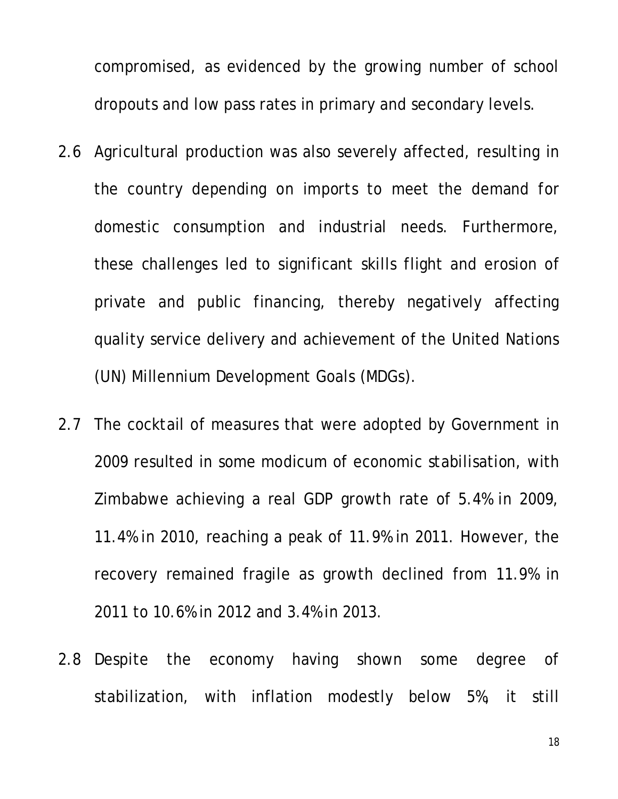compromised, as evidenced by the growing number of school dropouts and low pass rates in primary and secondary levels.

- 2.6 Agricultural production was also severely affected, resulting in the country depending on imports to meet the demand for domestic consumption and industrial needs. Furthermore, these challenges led to significant skills flight and erosion of private and public financing, thereby negatively affecting quality service delivery and achievement of the United Nations (UN) Millennium Development Goals (MDGs).
- 2.7 The cocktail of measures that were adopted by Government in 2009 resulted in some modicum of economic stabilisation, with Zimbabwe achieving a real GDP growth rate of 5.4% in 2009, 11.4% in 2010, reaching a peak of 11.9% in 2011. However, the recovery remained fragile as growth declined from 11.9% in 2011 to 10.6% in 2012 and 3.4% in 2013.
- 2.8 Despite the economy having shown some degree of stabilization, with inflation modestly below 5%, it still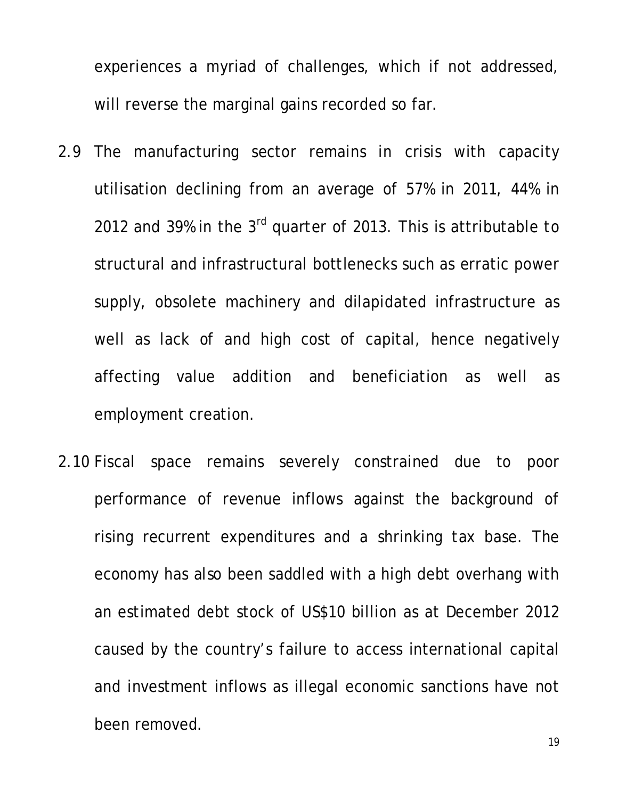experiences a myriad of challenges, which if not addressed, will reverse the marginal gains recorded so far.

- 2.9 The manufacturing sector remains in crisis with capacity utilisation declining from an average of 57% in 2011, 44% in 2012 and 39% in the 3<sup>rd</sup> quarter of 2013. This is attributable to structural and infrastructural bottlenecks such as erratic power supply, obsolete machinery and dilapidated infrastructure as well as lack of and high cost of capital, hence negatively affecting value addition and beneficiation as well as employment creation.
- 2.10 Fiscal space remains severely constrained due to poor performance of revenue inflows against the background of rising recurrent expenditures and a shrinking tax base. The economy has also been saddled with a high debt overhang with an estimated debt stock of US\$10 billion as at December 2012 caused by the country's failure to access international capital and investment inflows as illegal economic sanctions have not been removed.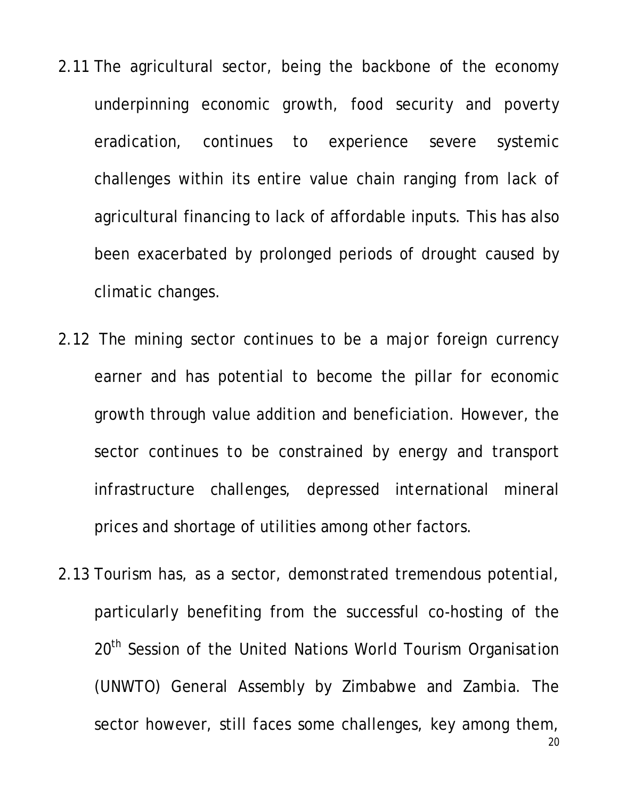- 2.11 The agricultural sector, being the backbone of the economy underpinning economic growth, food security and poverty eradication, continues to experience severe systemic challenges within its entire value chain ranging from lack of agricultural financing to lack of affordable inputs. This has also been exacerbated by prolonged periods of drought caused by climatic changes.
- 2.12 The mining sector continues to be a major foreign currency earner and has potential to become the pillar for economic growth through value addition and beneficiation. However, the sector continues to be constrained by energy and transport infrastructure challenges, depressed international mineral prices and shortage of utilities among other factors.
- 2.13 Tourism has, as a sector, demonstrated tremendous potential, particularly benefiting from the successful co-hosting of the 20<sup>th</sup> Session of the United Nations World Tourism Organisation (UNWTO) General Assembly by Zimbabwe and Zambia. The sector however, still faces some challenges, key among them,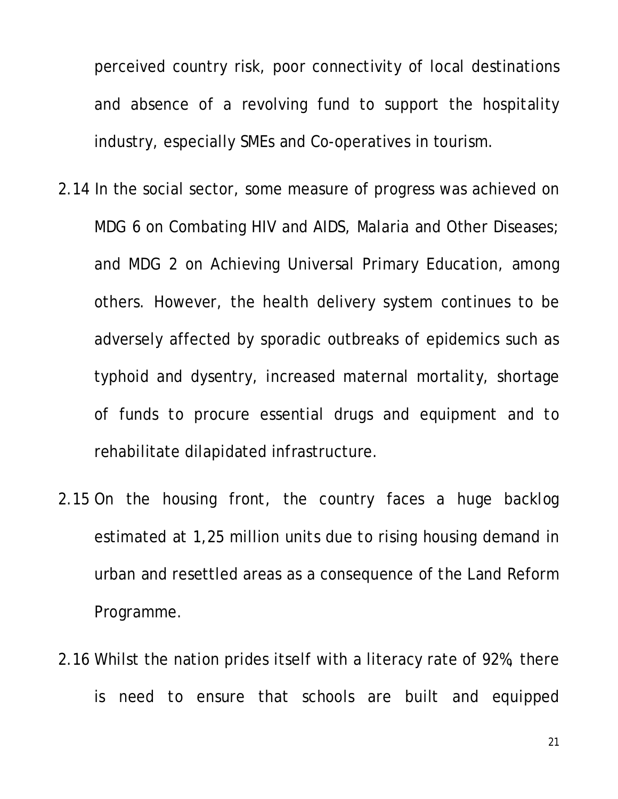perceived country risk, poor connectivity of local destinations and absence of a revolving fund to support the hospitality industry, especially SMEs and Co-operatives in tourism.

- 2.14 In the social sector, some measure of progress was achieved on MDG 6 on Combating HIV and AIDS, Malaria and Other Diseases; and MDG 2 on Achieving Universal Primary Education, among others. However, the health delivery system continues to be adversely affected by sporadic outbreaks of epidemics such as typhoid and dysentry, increased maternal mortality, shortage of funds to procure essential drugs and equipment and to rehabilitate dilapidated infrastructure.
- 2.15 On the housing front, the country faces a huge backlog estimated at 1,25 million units due to rising housing demand in urban and resettled areas as a consequence of the Land Reform Programme.
- 2.16 Whilst the nation prides itself with a literacy rate of 92%, there is need to ensure that schools are built and equipped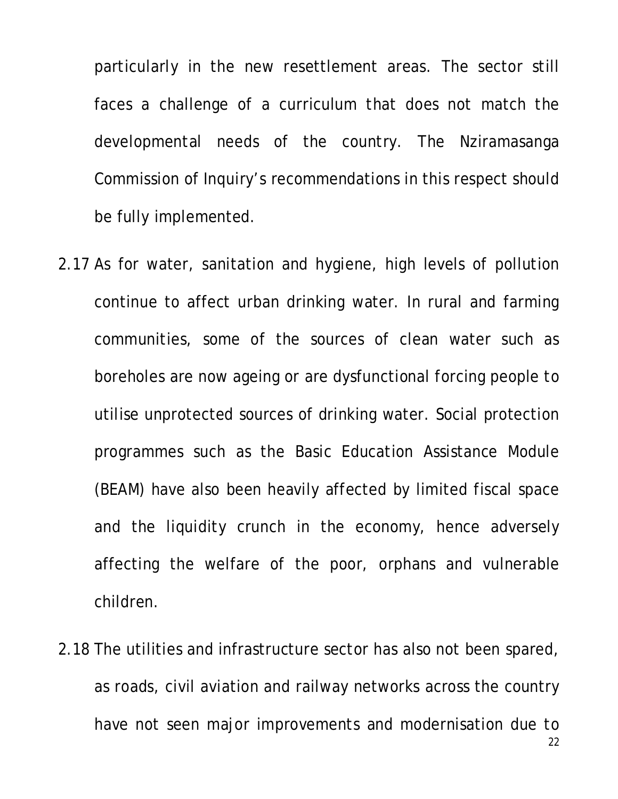particularly in the new resettlement areas. The sector still faces a challenge of a curriculum that does not match the developmental needs of the country. The Nziramasanga Commission of Inquiry's recommendations in this respect should be fully implemented.

- 2.17 As for water, sanitation and hygiene, high levels of pollution continue to affect urban drinking water. In rural and farming communities, some of the sources of clean water such as boreholes are now ageing or are dysfunctional forcing people to utilise unprotected sources of drinking water. Social protection programmes such as the Basic Education Assistance Module (BEAM) have also been heavily affected by limited fiscal space and the liquidity crunch in the economy, hence adversely affecting the welfare of the poor, orphans and vulnerable children.
- 2.18 The utilities and infrastructure sector has also not been spared, as roads, civil aviation and railway networks across the country have not seen major improvements and modernisation due to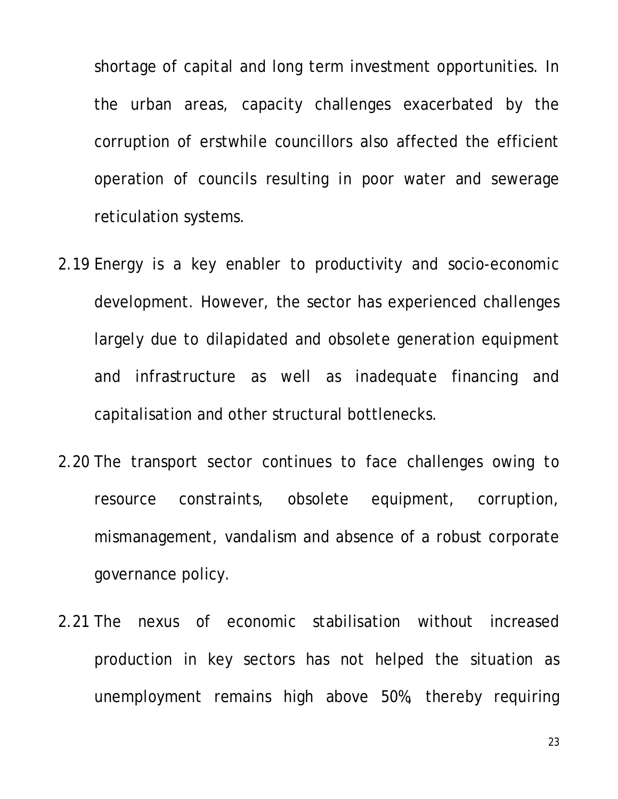shortage of capital and long term investment opportunities. In the urban areas, capacity challenges exacerbated by the corruption of erstwhile councillors also affected the efficient operation of councils resulting in poor water and sewerage reticulation systems.

- 2.19 Energy is a key enabler to productivity and socio-economic development. However, the sector has experienced challenges largely due to dilapidated and obsolete generation equipment and infrastructure as well as inadequate financing and capitalisation and other structural bottlenecks.
- 2.20 The transport sector continues to face challenges owing to resource constraints, obsolete equipment, corruption, mismanagement, vandalism and absence of a robust corporate governance policy.
- 2.21 The nexus of economic stabilisation without increased production in key sectors has not helped the situation as unemployment remains high above 50%, thereby requiring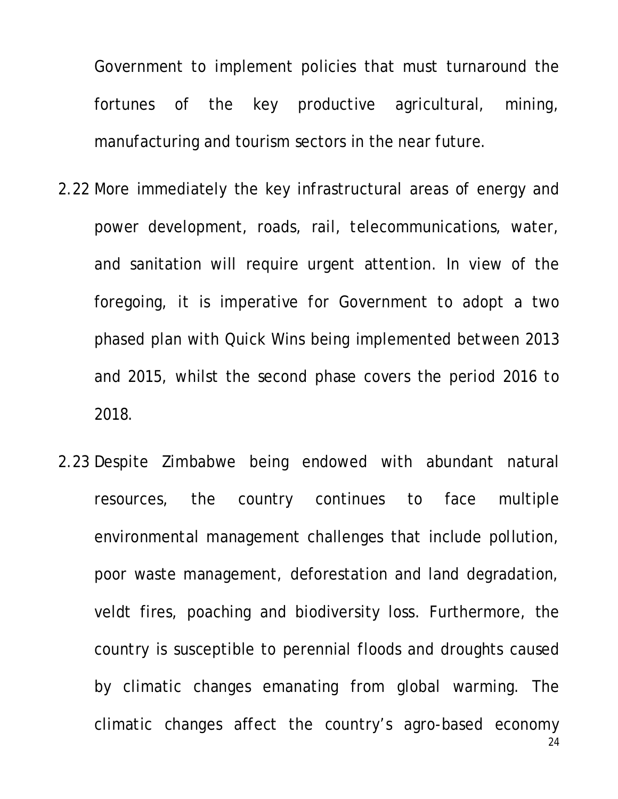Government to implement policies that must turnaround the fortunes of the key productive agricultural, mining, manufacturing and tourism sectors in the near future.

- 2.22 More immediately the key infrastructural areas of energy and power development, roads, rail, telecommunications, water, and sanitation will require urgent attention. In view of the foregoing, it is imperative for Government to adopt a two phased plan with Quick Wins being implemented between 2013 and 2015, whilst the second phase covers the period 2016 to 2018.
- 24 2.23 Despite Zimbabwe being endowed with abundant natural resources, the country continues to face multiple environmental management challenges that include pollution, poor waste management, deforestation and land degradation, veldt fires, poaching and biodiversity loss. Furthermore, the country is susceptible to perennial floods and droughts caused by climatic changes emanating from global warming. The climatic changes affect the country's agro-based economy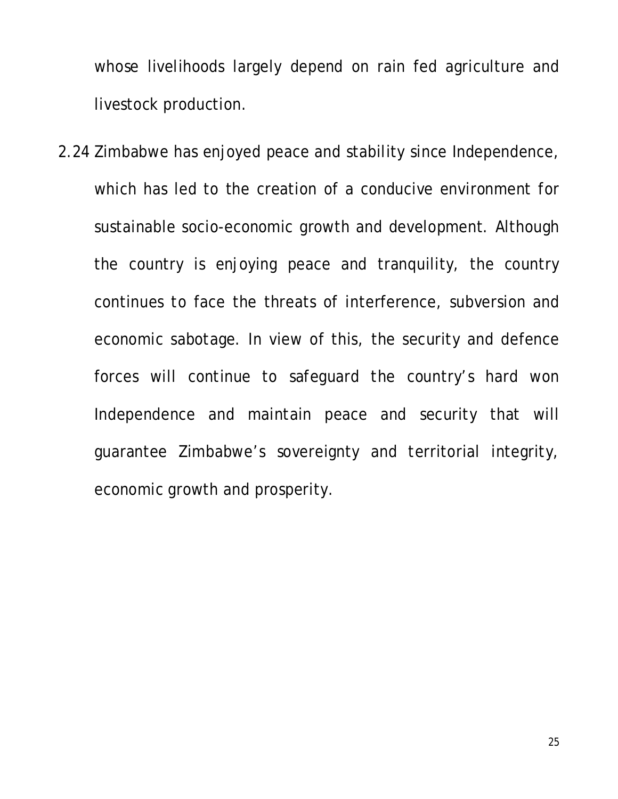whose livelihoods largely depend on rain fed agriculture and livestock production.

2.24 Zimbabwe has enjoyed peace and stability since Independence, which has led to the creation of a conducive environment for sustainable socio-economic growth and development. Although the country is enjoying peace and tranquility, the country continues to face the threats of interference, subversion and economic sabotage. In view of this, the security and defence forces will continue to safeguard the country's hard won Independence and maintain peace and security that will guarantee Zimbabwe's sovereignty and territorial integrity, economic growth and prosperity.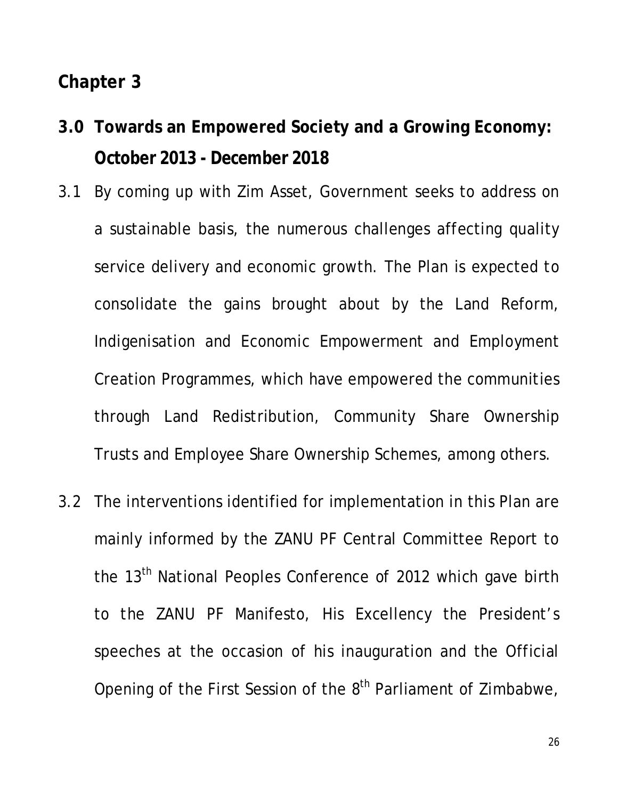#### **Chapter 3**

- **3.0 Towards an Empowered Society and a Growing Economy: October 2013 - December 2018**
- 3.1 By coming up with Zim Asset, Government seeks to address on a sustainable basis, the numerous challenges affecting quality service delivery and economic growth. The Plan is expected to consolidate the gains brought about by the Land Reform, Indigenisation and Economic Empowerment and Employment Creation Programmes, which have empowered the communities through Land Redistribution, Community Share Ownership Trusts and Employee Share Ownership Schemes, among others.
- 3.2 The interventions identified for implementation in this Plan are mainly informed by the ZANU PF Central Committee Report to the 13<sup>th</sup> National Peoples Conference of 2012 which gave birth to the ZANU PF Manifesto, His Excellency the President's speeches at the occasion of his inauguration and the Official Opening of the First Session of the 8<sup>th</sup> Parliament of Zimbabwe,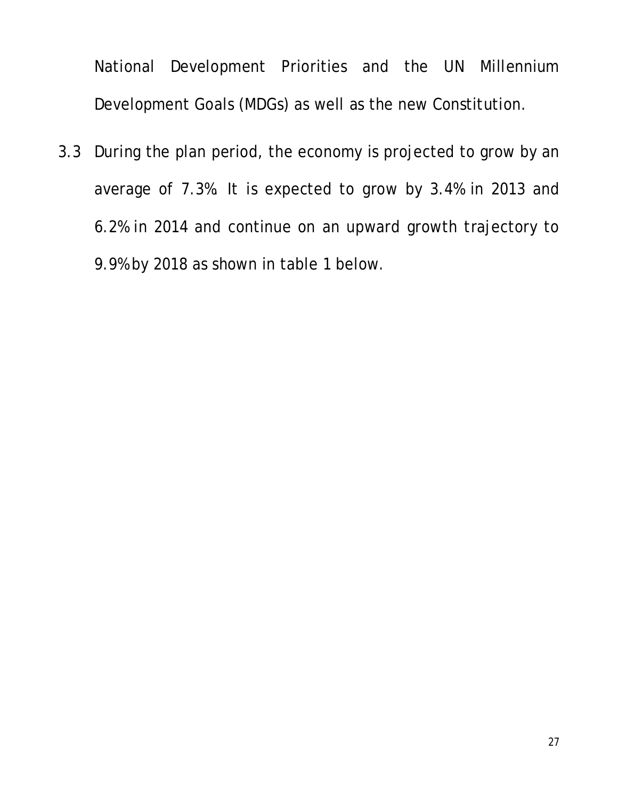National Development Priorities and the UN Millennium Development Goals (MDGs) as well as the new Constitution.

3.3 During the plan period, the economy is projected to grow by an average of 7.3%. It is expected to grow by 3.4% in 2013 and 6.2% in 2014 and continue on an upward growth trajectory to 9.9% by 2018 as shown in table 1 below.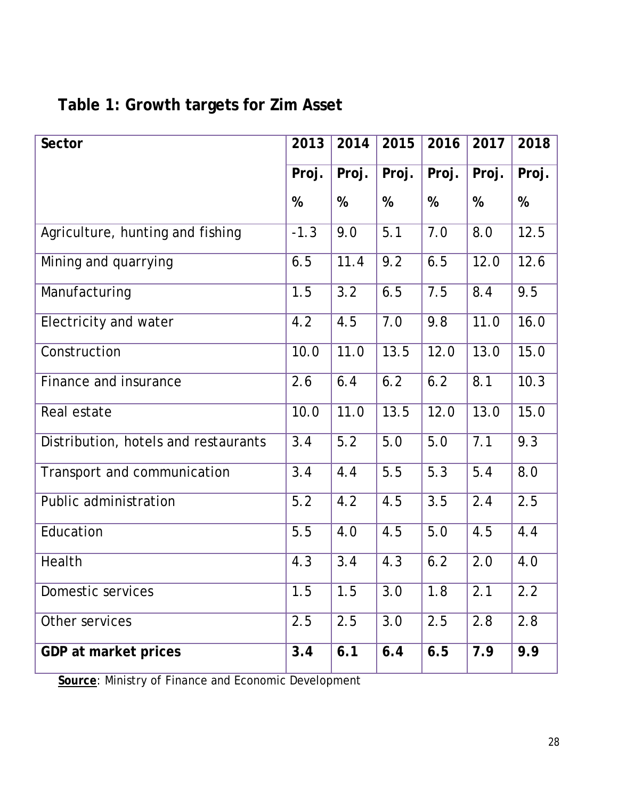| Table 1: Growth targets for Zim Asset |  |  |  |  |  |
|---------------------------------------|--|--|--|--|--|
|---------------------------------------|--|--|--|--|--|

| <b>Sector</b>                        | 2013   | 2014  | 2015  | 2016  | 2017  | 2018  |
|--------------------------------------|--------|-------|-------|-------|-------|-------|
|                                      | Proj.  | Proj. | Proj. | Proj. | Proj. | Proj. |
|                                      | %      | %     | %     | %     | %     | %     |
| Agriculture, hunting and fishing     | $-1.3$ | 9.0   | 5.1   | 7.0   | 8.0   | 12.5  |
| Mining and quarrying                 | 6.5    | 11.4  | 9.2   | 6.5   | 12.0  | 12.6  |
| Manufacturing                        | 1.5    | 3.2   | 6.5   | 7.5   | 8.4   | 9.5   |
| Electricity and water                | 4.2    | 4.5   | 7.0   | 9.8   | 11.0  | 16.0  |
| Construction                         | 10.0   | 11.0  | 13.5  | 12.0  | 13.0  | 15.0  |
| Finance and insurance                | 2.6    | 6.4   | 6.2   | 6.2   | 8.1   | 10.3  |
| Real estate                          | 10.0   | 11.0  | 13.5  | 12.0  | 13.0  | 15.0  |
| Distribution, hotels and restaurants | 3.4    | 5.2   | 5.0   | 5.0   | 7.1   | 9.3   |
| Transport and communication          | 3.4    | 4.4   | 5.5   | 5.3   | 5.4   | 8.0   |
| Public administration                | 5.2    | 4.2   | 4.5   | 3.5   | 2.4   | 2.5   |
| Education                            | 5.5    | 4.0   | 4.5   | 5.0   | 4.5   | 4.4   |
| Health                               | 4.3    | 3.4   | 4.3   | 6.2   | 2.0   | 4.0   |
| Domestic services                    | 1.5    | 1.5   | 3.0   | 1.8   | 2.1   | 2.2   |
| Other services                       | 2.5    | 2.5   | 3.0   | 2.5   | 2.8   | 2.8   |
| GDP at market prices                 | 3.4    | 6.1   | 6.4   | 6.5   | 7.9   | 9.9   |

**Source:** Ministry of Finance and Economic Development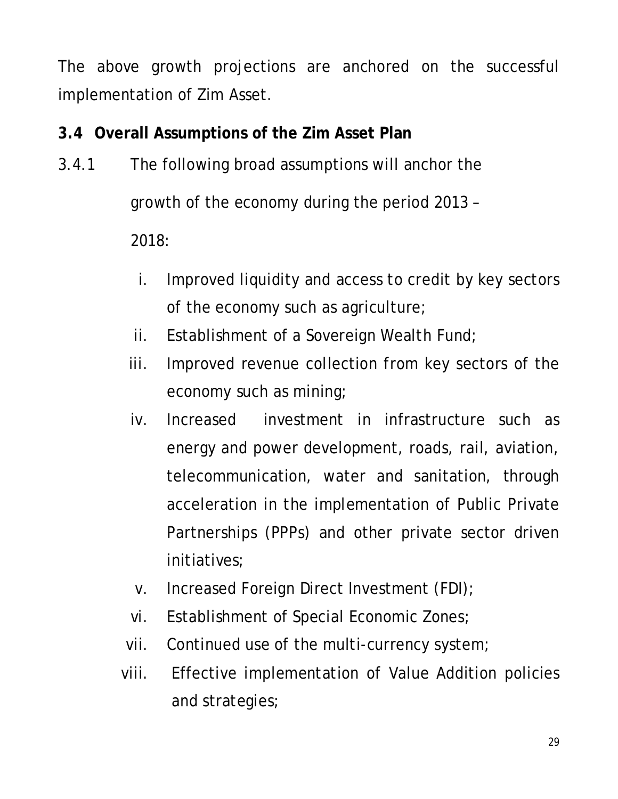The above growth projections are anchored on the successful implementation of Zim Asset.

# **3.4 Overall Assumptions of the Zim Asset Plan**

- 3.4.1 The following broad assumptions will anchor the growth of the economy during the period 2013 – 2018:
	- i. Improved liquidity and access to credit by key sectors of the economy such as agriculture;
	- ii. Establishment of a Sovereign Wealth Fund;
	- iii. Improved revenue collection from key sectors of the economy such as mining;
	- iv. Increased investment in infrastructure such as energy and power development, roads, rail, aviation, telecommunication, water and sanitation, through acceleration in the implementation of Public Private Partnerships (PPPs) and other private sector driven initiatives;
	- v. Increased Foreign Direct Investment (FDI);
	- vi. Establishment of Special Economic Zones;
	- vii. Continued use of the multi-currency system;
	- viii. Effective implementation of Value Addition policies and strategies;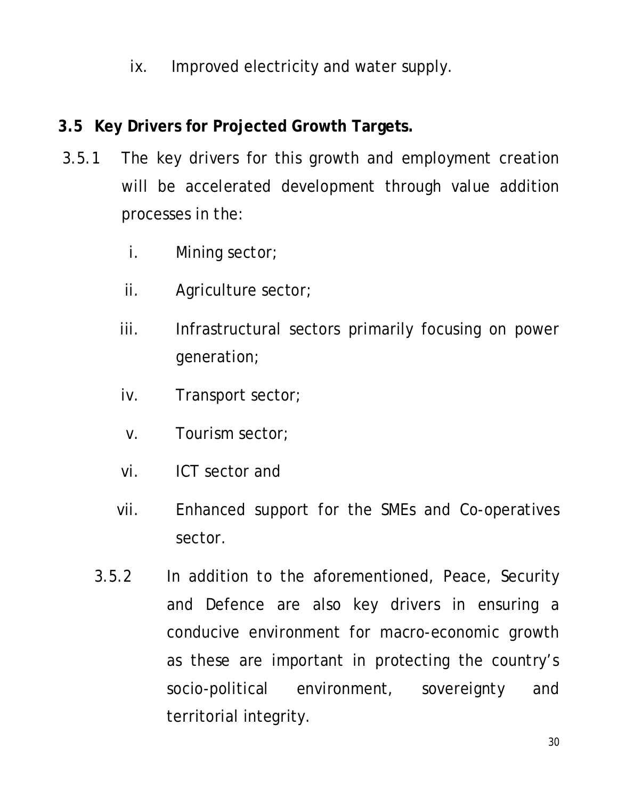ix. Improved electricity and water supply.

### **3.5 Key Drivers for Projected Growth Targets.**

- 3.5.1 The key drivers for this growth and employment creation will be accelerated development through value addition processes in the:
	- i. Mining sector;
	- ii. Agriculture sector;
	- iii. Infrastructural sectors primarily focusing on power generation;
	- iv. Transport sector;
	- v. Tourism sector;
	- vi. ICT sector and
	- vii. Enhanced support for the SMEs and Co-operatives sector.
	- 3.5.2 In addition to the aforementioned, Peace, Security and Defence are also key drivers in ensuring a conducive environment for macro-economic growth as these are important in protecting the country's socio-political environment, sovereignty and territorial integrity.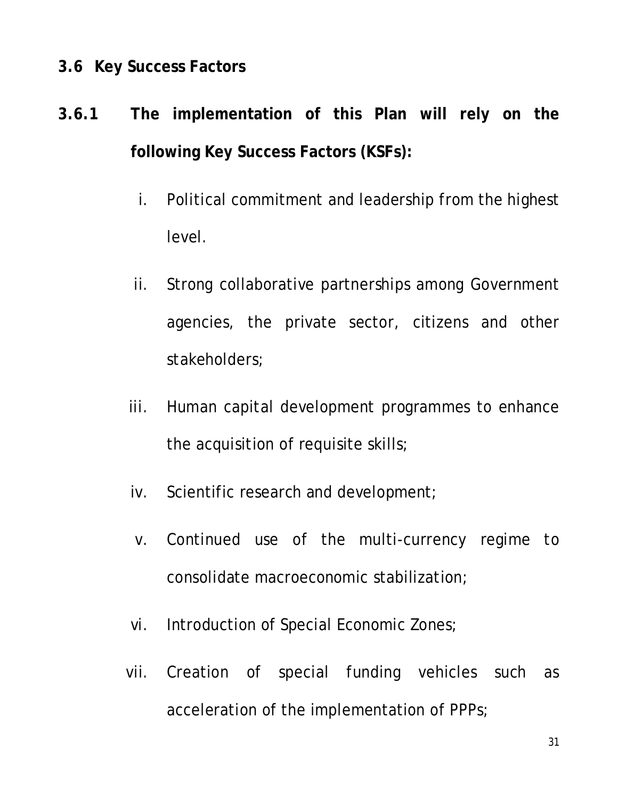#### **3.6 Key Success Factors**

# **3.6.1 The implementation of this Plan will rely on the following Key Success Factors (KSFs):**

- i. Political commitment and leadership from the highest level.
- ii. Strong collaborative partnerships among Government agencies, the private sector, citizens and other stakeholders;
- iii. Human capital development programmes to enhance the acquisition of requisite skills;
- iv. Scientific research and development;
- v. Continued use of the multi-currency regime to consolidate macroeconomic stabilization;
- vi. Introduction of Special Economic Zones;
- vii. Creation of special funding vehicles such as acceleration of the implementation of PPPs;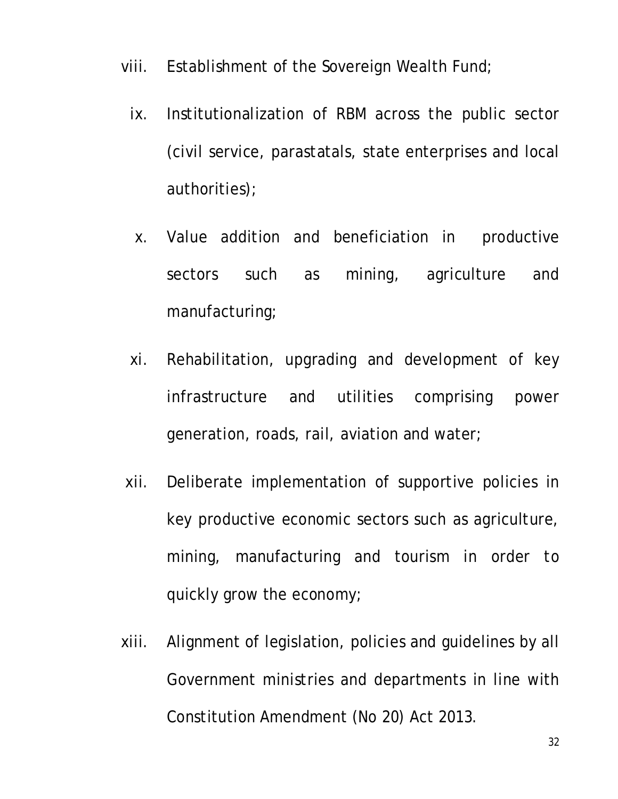- viii. Establishment of the Sovereign Wealth Fund;
	- ix. Institutionalization of RBM across the public sector (civil service, parastatals, state enterprises and local authorities);
	- x. Value addition and beneficiation in productive sectors such as mining, agriculture and manufacturing;
	- xi. Rehabilitation, upgrading and development of key infrastructure and utilities comprising power generation, roads, rail, aviation and water;
- xii. Deliberate implementation of supportive policies in key productive economic sectors such as agriculture, mining, manufacturing and tourism in order to quickly grow the economy;
- xiii. Alignment of legislation, policies and guidelines by all Government ministries and departments in line with Constitution Amendment (No 20) Act 2013.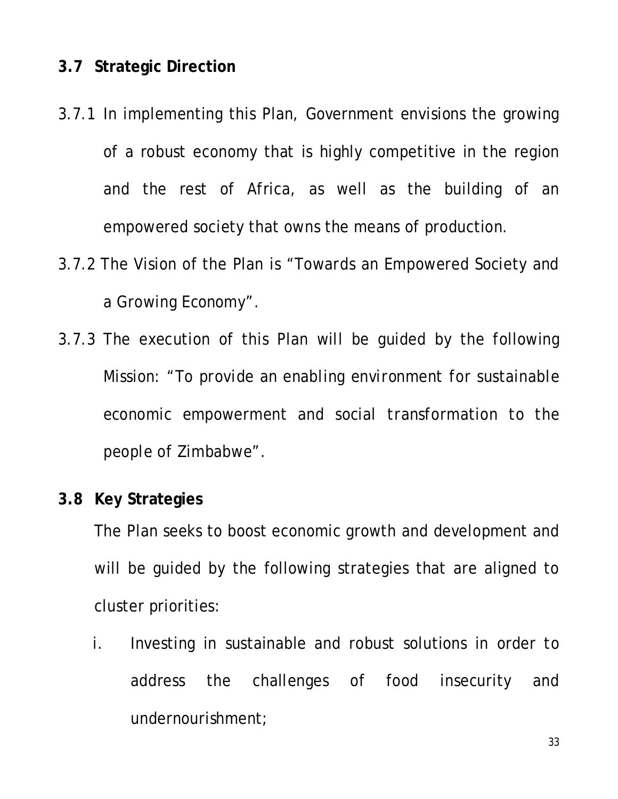#### **3.7 Strategic Direction**

- 3.7.1 In implementing this Plan, Government envisions the growing of a robust economy that is highly competitive in the region and the rest of Africa, as well as the building of an empowered society that owns the means of production.
- 3.7.2 The Vision of the Plan is *"Towards an Empowered Society and a Growing Economy".*
- 3.7.3 The execution of this Plan will be guided by the following Mission: *"To provide an enabling environment for sustainable economic empowerment and social transformation to the people of Zimbabwe".*

#### **3.8 Key Strategies**

The Plan seeks to boost economic growth and development and will be guided by the following strategies that are aligned to cluster priorities:

i. Investing in sustainable and robust solutions in order to address the challenges of food insecurity and undernourishment;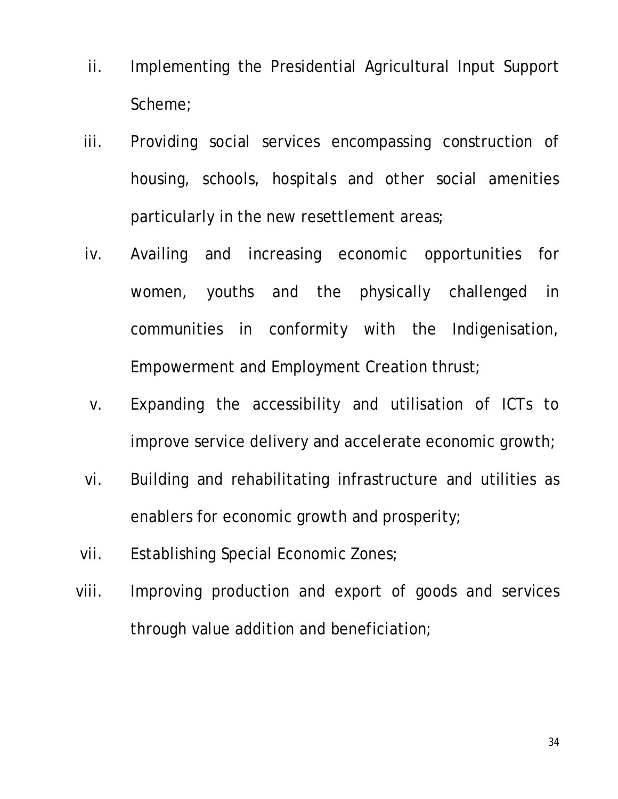- ii. Implementing the Presidential Agricultural Input Support Scheme;
- iii. Providing social services encompassing construction of housing, schools, hospitals and other social amenities particularly in the new resettlement areas;
- iv. Availing and increasing economic opportunities for women, youths and the physically challenged in communities in conformity with the Indigenisation, Empowerment and Employment Creation thrust;
- v. Expanding the accessibility and utilisation of ICTs to improve service delivery and accelerate economic growth;
- vi. Building and rehabilitating infrastructure and utilities as enablers for economic growth and prosperity;
- vii. Establishing Special Economic Zones;
- viii. Improving production and export of goods and services through value addition and beneficiation;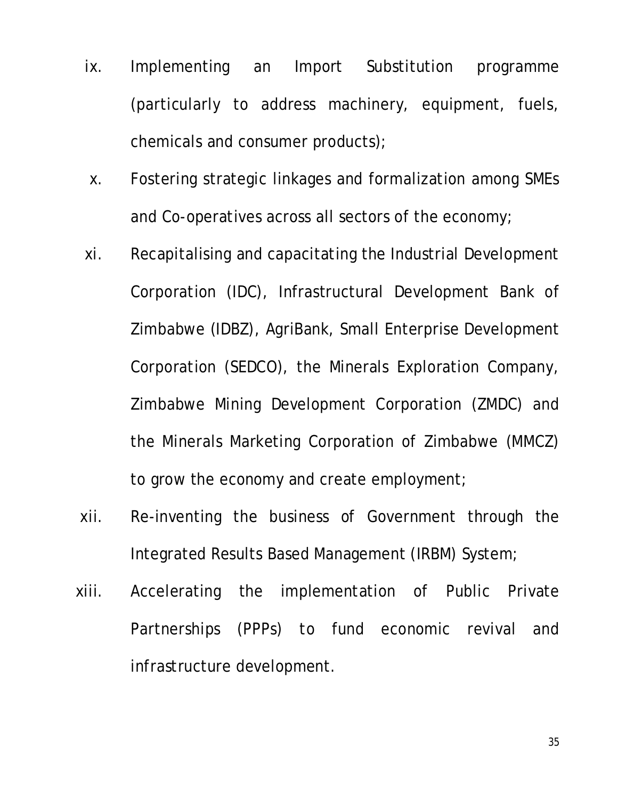- ix. Implementing an Import Substitution programme (particularly to address machinery, equipment, fuels, chemicals and consumer products);
- x. Fostering strategic linkages and formalization among SMEs and Co-operatives across all sectors of the economy;
- xi. Recapitalising and capacitating the Industrial Development Corporation (IDC), Infrastructural Development Bank of Zimbabwe (IDBZ), AgriBank, Small Enterprise Development Corporation (SEDCO), the Minerals Exploration Company, Zimbabwe Mining Development Corporation (ZMDC) and the Minerals Marketing Corporation of Zimbabwe (MMCZ) to grow the economy and create employment;
- xii. Re-inventing the business of Government through the Integrated Results Based Management (IRBM) System;
- xiii. Accelerating the implementation of Public Private Partnerships (PPPs) to fund economic revival and infrastructure development.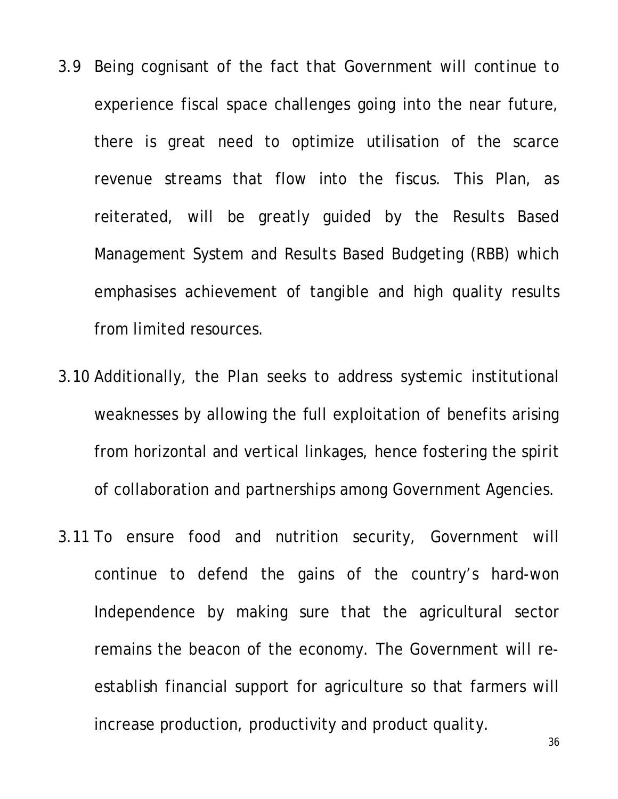- 3.9 Being cognisant of the fact that Government will continue to experience fiscal space challenges going into the near future, there is great need to optimize utilisation of the scarce revenue streams that flow into the fiscus. This Plan, as reiterated, will be greatly guided by the Results Based Management System and Results Based Budgeting (RBB) which emphasises achievement of tangible and high quality results from limited resources.
- 3.10 Additionally, the Plan seeks to address systemic institutional weaknesses by allowing the full exploitation of benefits arising from horizontal and vertical linkages, hence fostering the spirit of collaboration and partnerships among Government Agencies.
- 3.11 To ensure food and nutrition security, Government will continue to defend the gains of the country's hard-won Independence by making sure that the agricultural sector remains the beacon of the economy. The Government will reestablish financial support for agriculture so that farmers will increase production, productivity and product quality.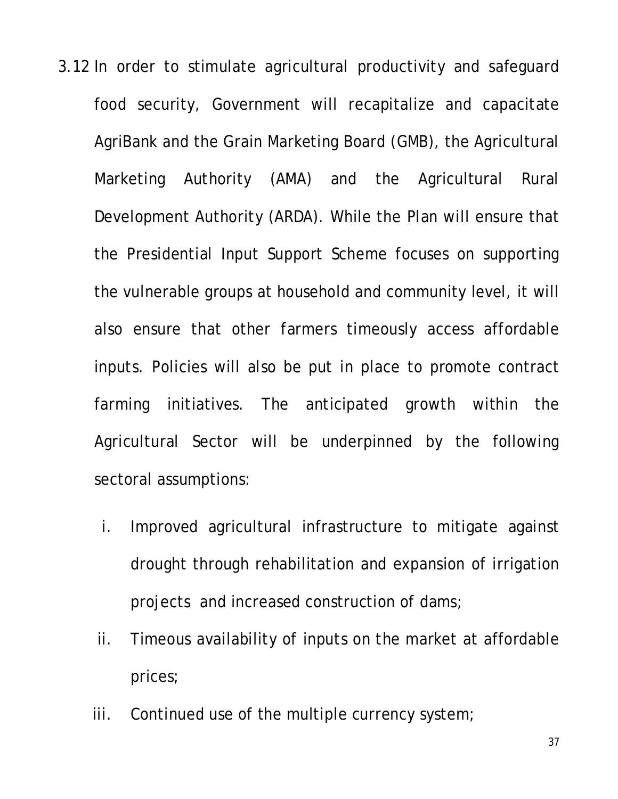- 3.12 In order to stimulate agricultural productivity and safeguard food security, Government will recapitalize and capacitate AgriBank and the Grain Marketing Board (GMB), the Agricultural Marketing Authority (AMA) and the Agricultural Rural Development Authority (ARDA). While the Plan will ensure that the Presidential Input Support Scheme focuses on supporting the vulnerable groups at household and community level, it will also ensure that other farmers timeously access affordable inputs. Policies will also be put in place to promote contract farming initiatives. The anticipated growth within the Agricultural Sector will be underpinned by the following sectoral assumptions:
	- i. Improved agricultural infrastructure to mitigate against drought through rehabilitation and expansion of irrigation projects and increased construction of dams;
	- ii. Timeous availability of inputs on the market at affordable prices;
	- iii. Continued use of the multiple currency system;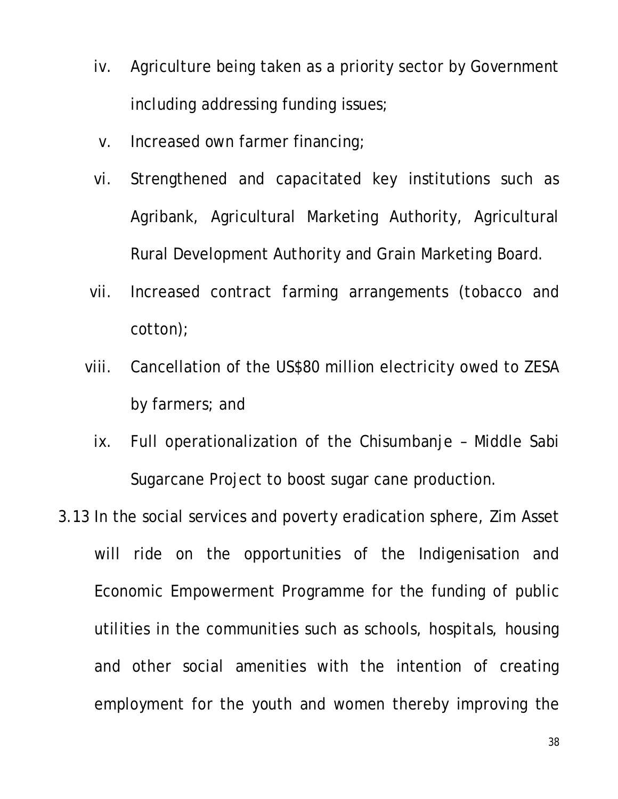- iv. Agriculture being taken as a priority sector by Government including addressing funding issues;
- v. Increased own farmer financing;
- vi. Strengthened and capacitated key institutions such as Agribank, Agricultural Marketing Authority, Agricultural Rural Development Authority and Grain Marketing Board.
- vii. Increased contract farming arrangements (tobacco and cotton);
- viii. Cancellation of the US\$80 million electricity owed to ZESA by farmers; and
	- ix. Full operationalization of the Chisumbanje Middle Sabi Sugarcane Project to boost sugar cane production.
- 3.13 In the social services and poverty eradication sphere, Zim Asset will ride on the opportunities of the Indigenisation and Economic Empowerment Programme for the funding of public utilities in the communities such as schools, hospitals, housing and other social amenities with the intention of creating employment for the youth and women thereby improving the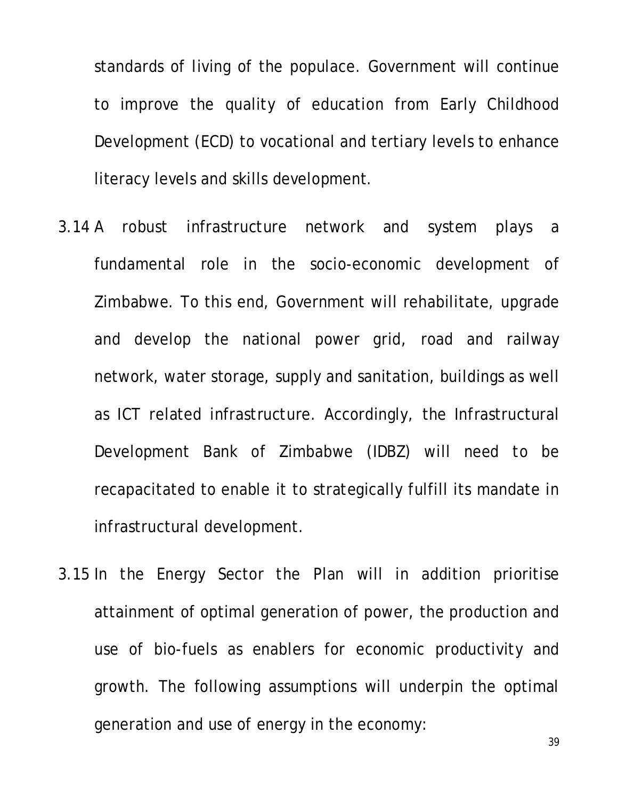standards of living of the populace. Government will continue to improve the quality of education from Early Childhood Development (ECD) to vocational and tertiary levels to enhance literacy levels and skills development.

- 3.14 A robust infrastructure network and system plays a fundamental role in the socio-economic development of Zimbabwe. To this end, Government will rehabilitate, upgrade and develop the national power grid, road and railway network, water storage, supply and sanitation, buildings as well as ICT related infrastructure. Accordingly, the Infrastructural Development Bank of Zimbabwe (IDBZ) will need to be recapacitated to enable it to strategically fulfill its mandate in infrastructural development.
- 3.15 In the Energy Sector the Plan will in addition prioritise attainment of optimal generation of power, the production and use of bio-fuels as enablers for economic productivity and growth. The following assumptions will underpin the optimal generation and use of energy in the economy:

39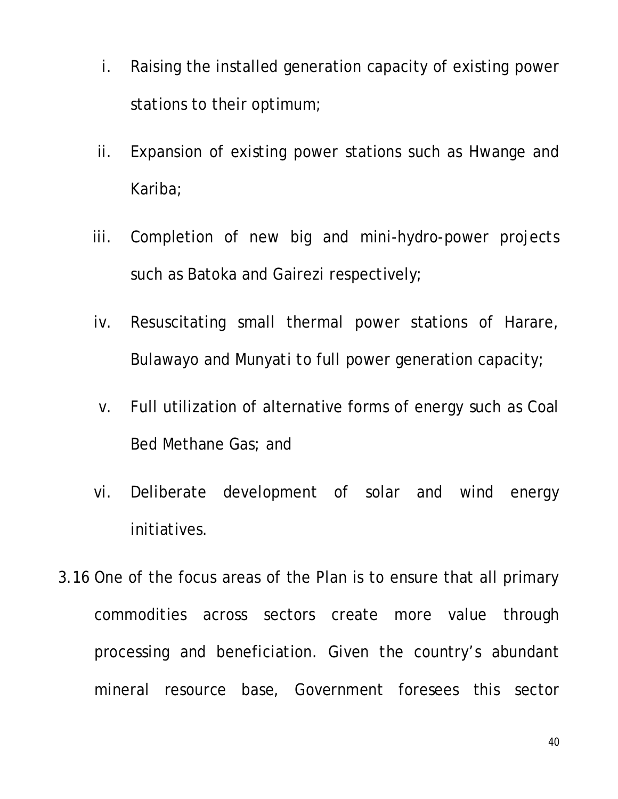- i. Raising the installed generation capacity of existing power stations to their optimum;
- ii. Expansion of existing power stations such as Hwange and Kariba;
- iii. Completion of new big and mini-hydro-power projects such as Batoka and Gairezi respectively;
- iv. Resuscitating small thermal power stations of Harare, Bulawayo and Munyati to full power generation capacity;
- v. Full utilization of alternative forms of energy such as Coal Bed Methane Gas; and
- vi. Deliberate development of solar and wind energy initiatives.
- 3.16 One of the focus areas of the Plan is to ensure that all primary commodities across sectors create more value through processing and beneficiation. Given the country's abundant mineral resource base, Government foresees this sector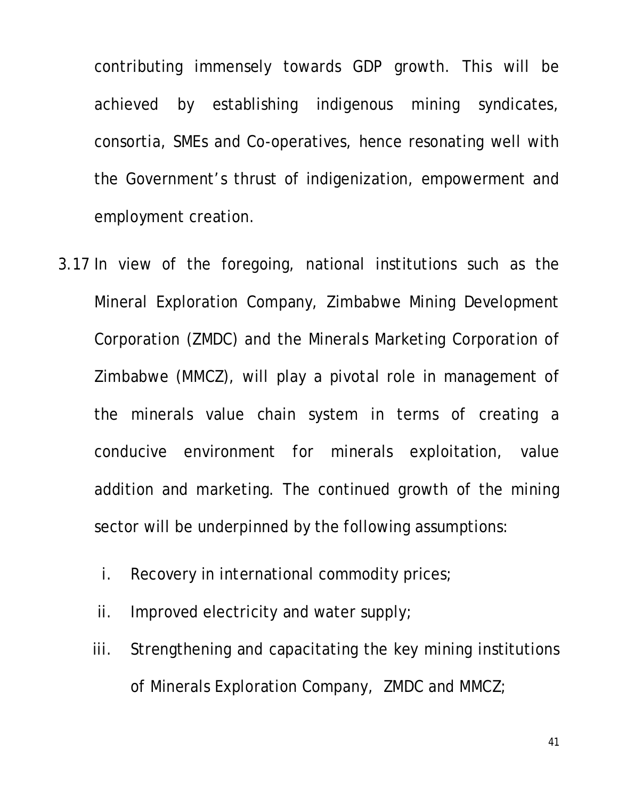contributing immensely towards GDP growth. This will be achieved by establishing indigenous mining syndicates, consortia, SMEs and Co-operatives, hence resonating well with the Government's thrust of indigenization, empowerment and employment creation.

- 3.17 In view of the foregoing, national institutions such as the Mineral Exploration Company, Zimbabwe Mining Development Corporation (ZMDC) and the Minerals Marketing Corporation of Zimbabwe (MMCZ), will play a pivotal role in management of the minerals value chain system in terms of creating a conducive environment for minerals exploitation, value addition and marketing. The continued growth of the mining sector will be underpinned by the following assumptions:
	- i. Recovery in international commodity prices;
	- ii. Improved electricity and water supply;
	- iii. Strengthening and capacitating the key mining institutions of Minerals Exploration Company, ZMDC and MMCZ;

41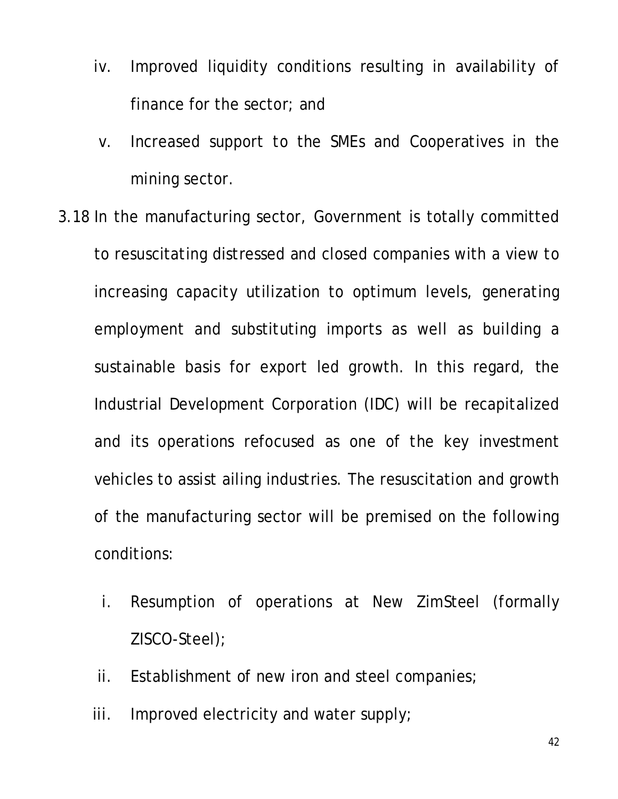- iv. Improved liquidity conditions resulting in availability of finance for the sector; and
- v. Increased support to the SMEs and Cooperatives in the mining sector.
- 3.18 In the manufacturing sector, Government is totally committed to resuscitating distressed and closed companies with a view to increasing capacity utilization to optimum levels, generating employment and substituting imports as well as building a sustainable basis for export led growth. In this regard, the Industrial Development Corporation (IDC) will be recapitalized and its operations refocused as one of the key investment vehicles to assist ailing industries. The resuscitation and growth of the manufacturing sector will be premised on the following conditions:
	- i. Resumption of operations at New ZimSteel (formally ZISCO-Steel);
	- ii. Establishment of new iron and steel companies;
	- iii. Improved electricity and water supply;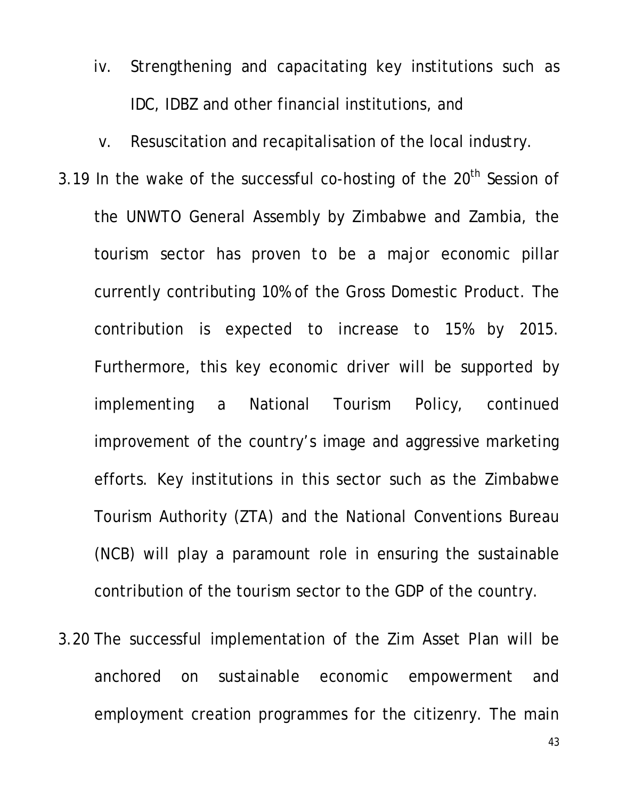- iv. Strengthening and capacitating key institutions such as IDC, IDBZ and other financial institutions, and
- v. Resuscitation and recapitalisation of the local industry.
- 3.19 In the wake of the successful co-hosting of the  $20<sup>th</sup>$  Session of the UNWTO General Assembly by Zimbabwe and Zambia, the tourism sector has proven to be a major economic pillar currently contributing 10% of the Gross Domestic Product. The contribution is expected to increase to 15% by 2015. Furthermore, this key economic driver will be supported by implementing a National Tourism Policy, continued improvement of the country's image and aggressive marketing efforts. Key institutions in this sector such as the Zimbabwe Tourism Authority (ZTA) and the National Conventions Bureau (NCB) will play a paramount role in ensuring the sustainable contribution of the tourism sector to the GDP of the country.
- 3.20 The successful implementation of the Zim Asset Plan will be anchored on sustainable economic empowerment and employment creation programmes for the citizenry. The main

43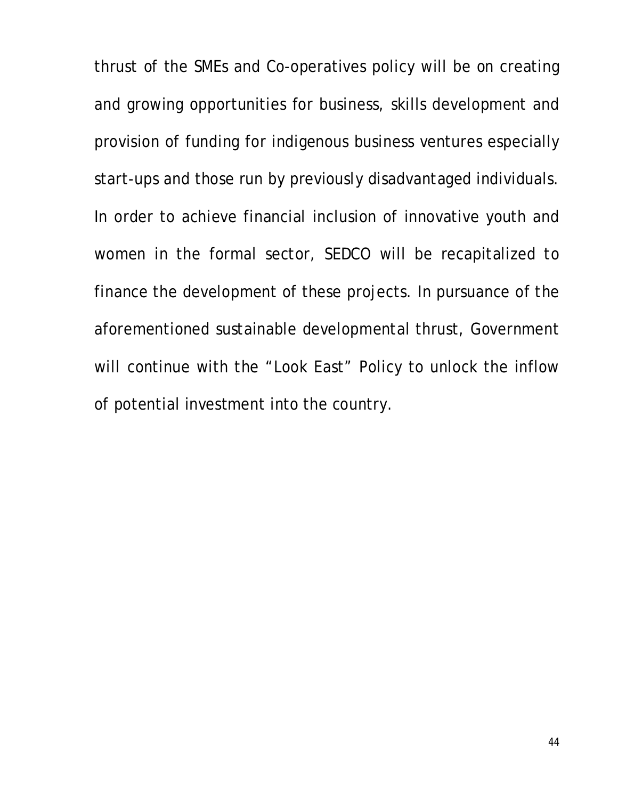thrust of the SMEs and Co-operatives policy will be on creating and growing opportunities for business, skills development and provision of funding for indigenous business ventures especially start-ups and those run by previously disadvantaged individuals. In order to achieve financial inclusion of innovative youth and women in the formal sector, SEDCO will be recapitalized to finance the development of these projects. In pursuance of the aforementioned sustainable developmental thrust, Government will continue with the "Look East" Policy to unlock the inflow of potential investment into the country.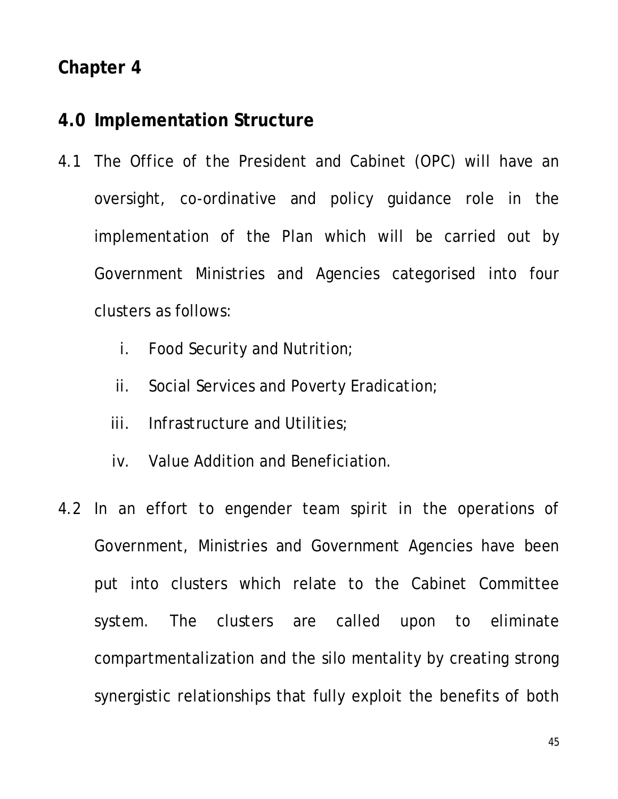#### **4.0 Implementation Structure**

- 4.1 The Office of the President and Cabinet (OPC) will have an oversight, co-ordinative and policy guidance role in the implementation of the Plan which will be carried out by Government Ministries and Agencies categorised into four clusters as follows:
	- i. Food Security and Nutrition;
	- ii. Social Services and Poverty Eradication;
	- iii. Infrastructure and Utilities;
	- iv. Value Addition and Beneficiation.
- 4.2 In an effort to engender team spirit in the operations of Government, Ministries and Government Agencies have been put into clusters which relate to the Cabinet Committee system. The clusters are called upon to eliminate compartmentalization and the silo mentality by creating strong synergistic relationships that fully exploit the benefits of both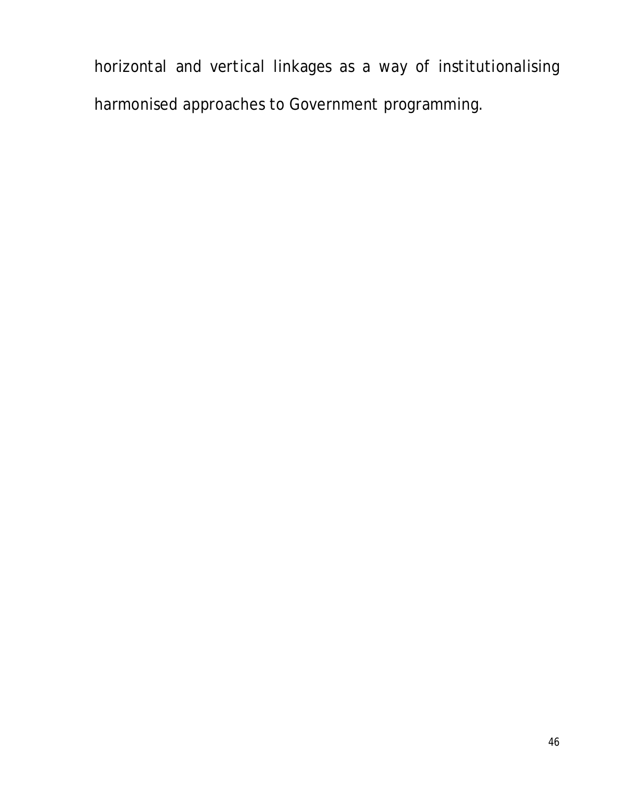horizontal and vertical linkages as a way of institutionalising harmonised approaches to Government programming.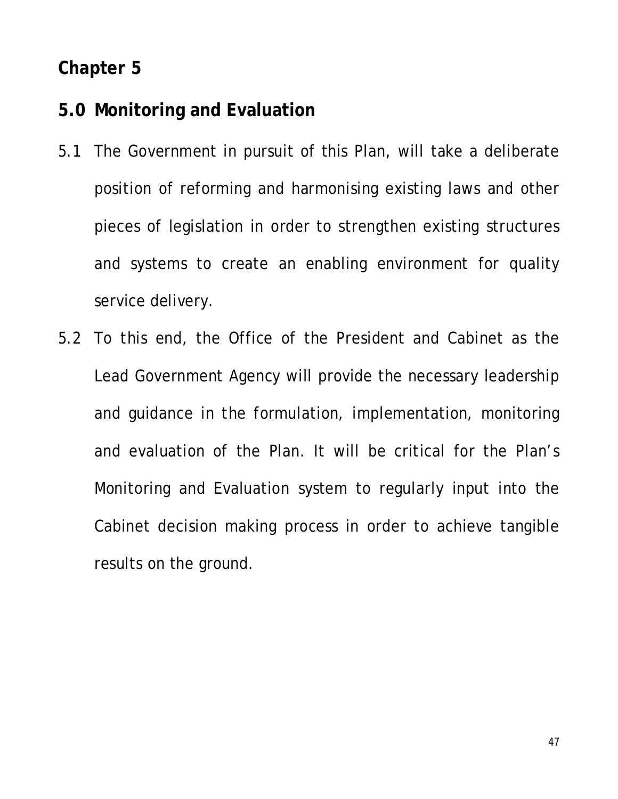#### **5.0 Monitoring and Evaluation**

- 5.1 The Government in pursuit of this Plan, will take a deliberate position of reforming and harmonising existing laws and other pieces of legislation in order to strengthen existing structures and systems to create an enabling environment for quality service delivery.
- 5.2 To this end, the Office of the President and Cabinet as the Lead Government Agency will provide the necessary leadership and guidance in the formulation, implementation, monitoring and evaluation of the Plan. It will be critical for the Plan's Monitoring and Evaluation system to regularly input into the Cabinet decision making process in order to achieve tangible results on the ground.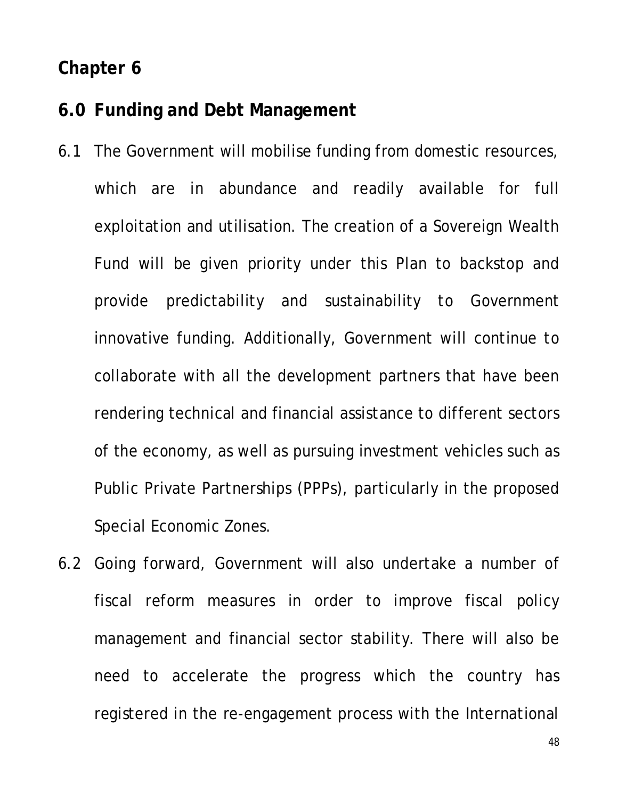#### **6.0 Funding and Debt Management**

- 6.1 The Government will mobilise funding from domestic resources, which are in abundance and readily available for full exploitation and utilisation. The creation of a Sovereign Wealth Fund will be given priority under this Plan to backstop and provide predictability and sustainability to Government innovative funding. Additionally, Government will continue to collaborate with all the development partners that have been rendering technical and financial assistance to different sectors of the economy, as well as pursuing investment vehicles such as Public Private Partnerships (PPPs), particularly in the proposed Special Economic Zones.
- 6.2 Going forward, Government will also undertake a number of fiscal reform measures in order to improve fiscal policy management and financial sector stability. There will also be need to accelerate the progress which the country has registered in the re-engagement process with the International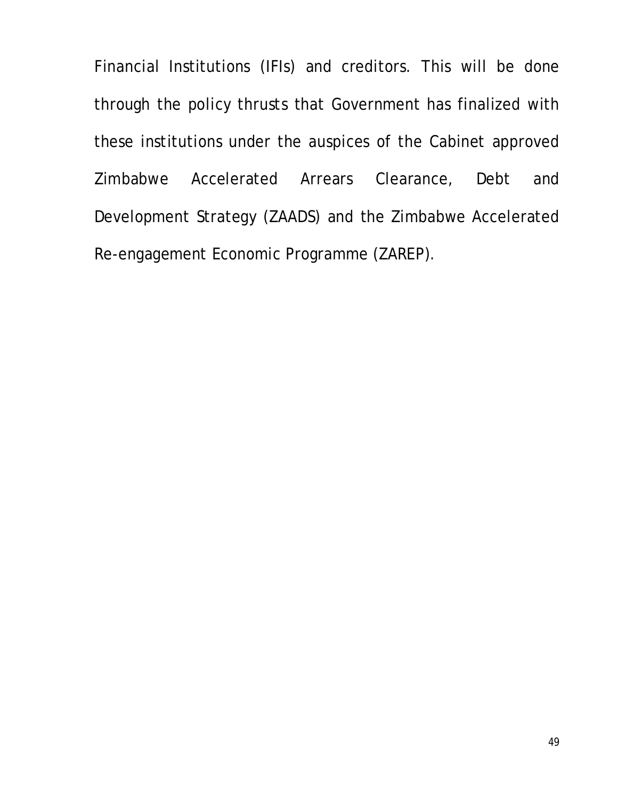Financial Institutions (IFIs) and creditors. This will be done through the policy thrusts that Government has finalized with these institutions under the auspices of the Cabinet approved Zimbabwe Accelerated Arrears Clearance, Debt and Development Strategy (ZAADS) and the Zimbabwe Accelerated Re-engagement Economic Programme (ZAREP).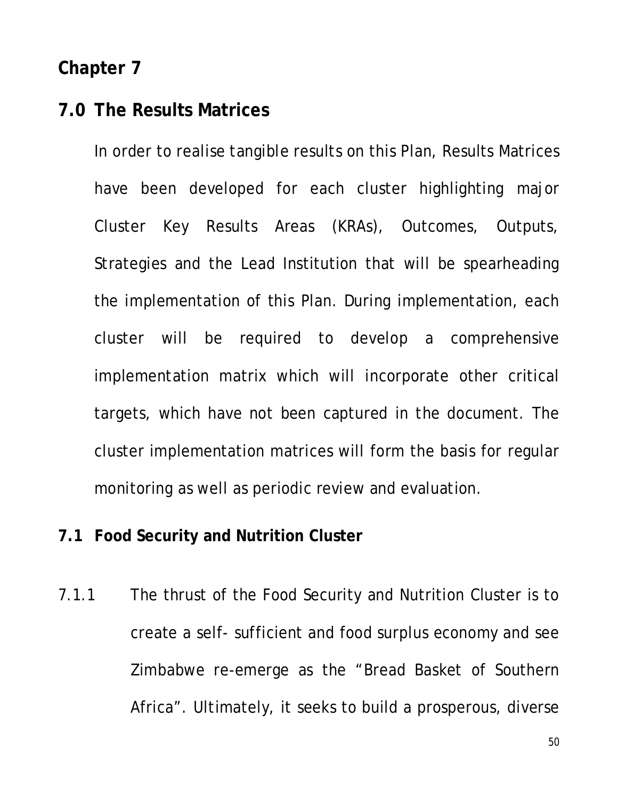#### **7.0 The Results Matrices**

In order to realise tangible results on this Plan, Results Matrices have been developed for each cluster highlighting major Cluster Key Results Areas (KRAs), Outcomes, Outputs, Strategies and the Lead Institution that will be spearheading the implementation of this Plan. During implementation, each cluster will be required to develop a comprehensive implementation matrix which will incorporate other critical targets, which have not been captured in the document. The cluster implementation matrices will form the basis for regular monitoring as well as periodic review and evaluation.

#### **7.1 Food Security and Nutrition Cluster**

7.1.1 The thrust of the Food Security and Nutrition Cluster is to create a self- sufficient and food surplus economy and see Zimbabwe re-emerge as the "Bread Basket of Southern Africa". Ultimately, it seeks to build a prosperous, diverse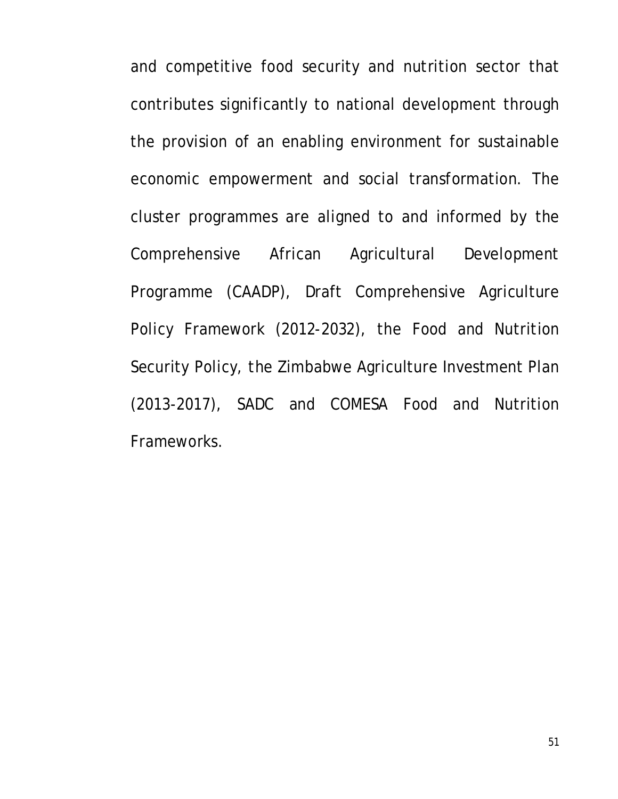and competitive food security and nutrition sector that contributes significantly to national development through the provision of an enabling environment for sustainable economic empowerment and social transformation. The cluster programmes are aligned to and informed by the Comprehensive African Agricultural Development Programme (CAADP), Draft Comprehensive Agriculture Policy Framework (2012-2032), the Food and Nutrition Security Policy, the Zimbabwe Agriculture Investment Plan (2013-2017), SADC and COMESA Food and Nutrition Frameworks.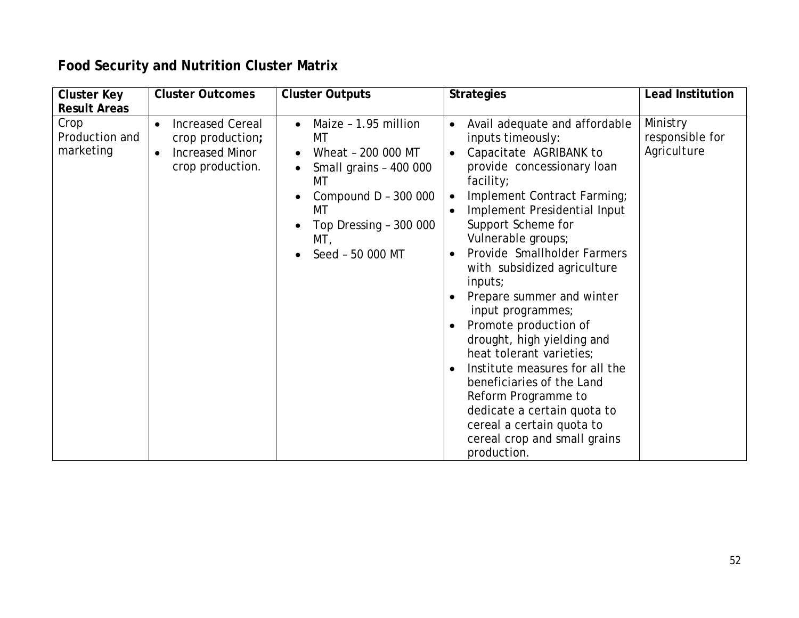## **Food Security and Nutrition Cluster Matrix**

| <b>Cluster Key</b>                  | <b>Cluster Outcomes</b>                                                                                             | <b>Cluster Outputs</b>                                                                                                                                                                        | <b>Strategies</b>                                                                                                                                                                                                                                                                                                                                                                                                                                                                                                                                                                                                                                                                        | <b>Lead Institution</b>                    |
|-------------------------------------|---------------------------------------------------------------------------------------------------------------------|-----------------------------------------------------------------------------------------------------------------------------------------------------------------------------------------------|------------------------------------------------------------------------------------------------------------------------------------------------------------------------------------------------------------------------------------------------------------------------------------------------------------------------------------------------------------------------------------------------------------------------------------------------------------------------------------------------------------------------------------------------------------------------------------------------------------------------------------------------------------------------------------------|--------------------------------------------|
| <b>Result Areas</b>                 |                                                                                                                     |                                                                                                                                                                                               |                                                                                                                                                                                                                                                                                                                                                                                                                                                                                                                                                                                                                                                                                          |                                            |
| Crop<br>Production and<br>marketing | <b>Increased Cereal</b><br>$\bullet$<br>crop production;<br><b>Increased Minor</b><br>$\bullet$<br>crop production. | Maize - 1.95 million<br>$\bullet$<br>МT<br>Wheat - 200 000 MT<br>$\bullet$<br>Small grains - 400 000<br>МT<br>Compound D - 300 000<br>МT<br>Top Dressing - 300 000<br>MT,<br>Seed - 50 000 MT | Avail adequate and affordable<br>$\bullet$<br>inputs timeously:<br>Capacitate AGRIBANK to<br>$\bullet$<br>provide concessionary loan<br>facility;<br>Implement Contract Farming;<br>$\bullet$<br>Implement Presidential Input<br>Support Scheme for<br>Vulnerable groups;<br>Provide Smallholder Farmers<br>with subsidized agriculture<br>inputs;<br>Prepare summer and winter<br>input programmes;<br>Promote production of<br>drought, high yielding and<br>heat tolerant varieties;<br>Institute measures for all the<br>beneficiaries of the Land<br>Reform Programme to<br>dedicate a certain quota to<br>cereal a certain quota to<br>cereal crop and small grains<br>production. | Ministry<br>responsible for<br>Agriculture |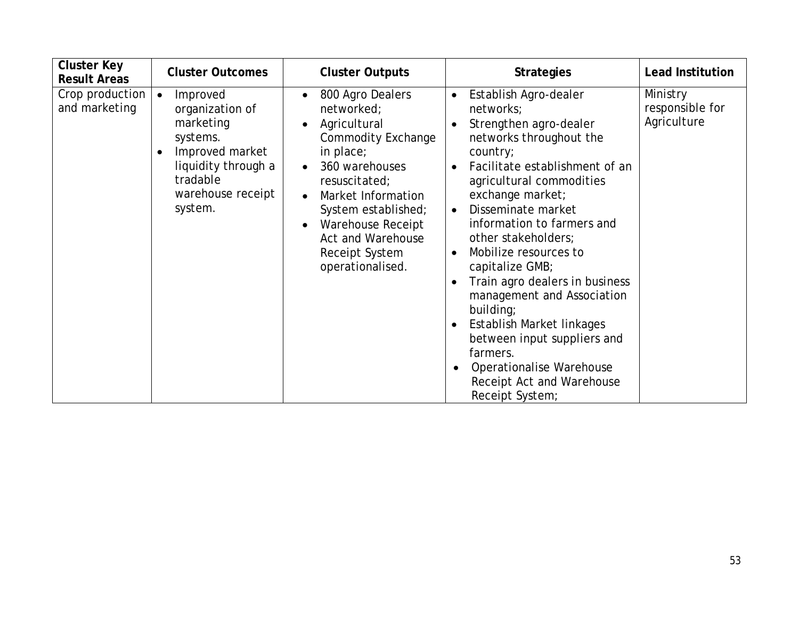| <b>Cluster Key</b><br><b>Result Areas</b> | <b>Cluster Outcomes</b>                                                                                                                                 | <b>Cluster Outputs</b>                                                                                                                                                                                                                                                             | <b>Strategies</b>                                                                                                                                                                                                                                                                                                                                                                                                                                                                                                                                                                                              | <b>Lead Institution</b>                    |
|-------------------------------------------|---------------------------------------------------------------------------------------------------------------------------------------------------------|------------------------------------------------------------------------------------------------------------------------------------------------------------------------------------------------------------------------------------------------------------------------------------|----------------------------------------------------------------------------------------------------------------------------------------------------------------------------------------------------------------------------------------------------------------------------------------------------------------------------------------------------------------------------------------------------------------------------------------------------------------------------------------------------------------------------------------------------------------------------------------------------------------|--------------------------------------------|
| Crop production<br>and marketing          | Improved<br>organization of<br>marketing<br>systems.<br>Improved market<br>$\bullet$<br>liquidity through a<br>tradable<br>warehouse receipt<br>system. | 800 Agro Dealers<br>$\bullet$<br>networked;<br>Agricultural<br>$\bullet$<br><b>Commodity Exchange</b><br>in place;<br>360 warehouses<br>resuscitated;<br>Market Information<br>System established;<br>Warehouse Receipt<br>Act and Warehouse<br>Receipt System<br>operationalised. | Establish Agro-dealer<br>$\bullet$<br>networks;<br>Strengthen agro-dealer<br>networks throughout the<br>country;<br>Facilitate establishment of an<br>agricultural commodities<br>exchange market;<br>Disseminate market<br>$\bullet$<br>information to farmers and<br>other stakeholders;<br>Mobilize resources to<br>$\bullet$<br>capitalize GMB;<br>Train agro dealers in business<br>management and Association<br>building;<br>Establish Market linkages<br>$\bullet$<br>between input suppliers and<br>farmers.<br>Operationalise Warehouse<br>$\bullet$<br>Receipt Act and Warehouse<br>Receipt System; | Ministry<br>responsible for<br>Agriculture |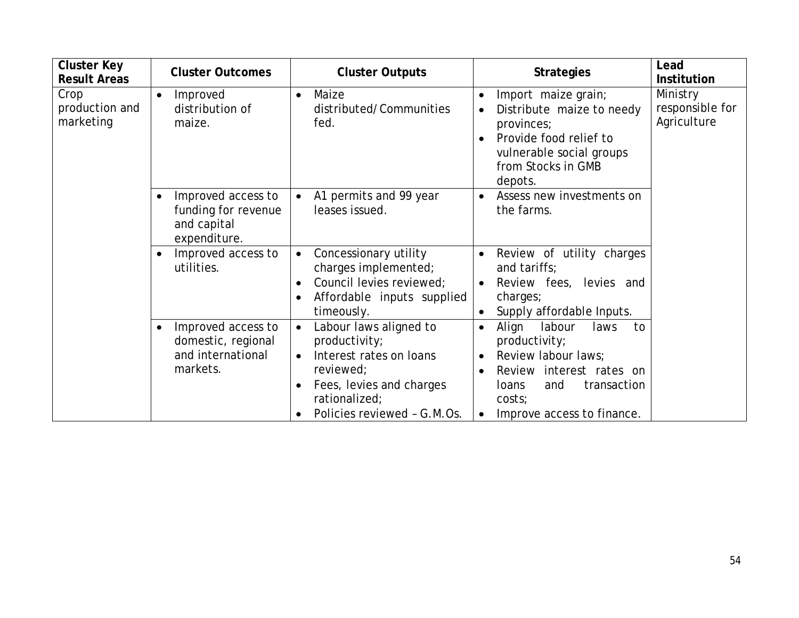| <b>Cluster Key</b><br><b>Result Areas</b> | <b>Cluster Outcomes</b>                                                                | <b>Cluster Outputs</b>                                                                                                                                                                | <b>Strategies</b>                                                                                                                                                                                                                   | Lead<br><b>Institution</b>                 |
|-------------------------------------------|----------------------------------------------------------------------------------------|---------------------------------------------------------------------------------------------------------------------------------------------------------------------------------------|-------------------------------------------------------------------------------------------------------------------------------------------------------------------------------------------------------------------------------------|--------------------------------------------|
| Crop<br>production and<br>marketing       | Improved<br>$\bullet$<br>distribution of<br>maize.                                     | Maize<br>$\bullet$<br>distributed/Communities<br>fed.                                                                                                                                 | Import maize grain;<br>$\bullet$<br>Distribute maize to needy<br>provinces;<br>Provide food relief to<br>vulnerable social groups<br>from Stocks in GMB<br>depots.                                                                  | Ministry<br>responsible for<br>Agriculture |
|                                           | Improved access to<br>$\bullet$<br>funding for revenue<br>and capital<br>expenditure.  | A1 permits and 99 year<br>$\bullet$<br>leases issued.                                                                                                                                 | Assess new investments on<br>$\bullet$<br>the farms.                                                                                                                                                                                |                                            |
|                                           | Improved access to<br>$\bullet$<br>utilities.                                          | Concessionary utility<br>$\bullet$<br>charges implemented;<br>Council levies reviewed;<br>$\bullet$<br>Affordable inputs supplied<br>$\bullet$<br>timeously.                          | Review of utility charges<br>$\bullet$<br>and tariffs;<br>Review fees, levies and<br>$\bullet$<br>charges;<br>Supply affordable Inputs.<br>$\bullet$                                                                                |                                            |
|                                           | Improved access to<br>$\bullet$<br>domestic, regional<br>and international<br>markets. | Labour laws aligned to<br>$\bullet$<br>productivity;<br>Interest rates on loans<br>$\bullet$<br>reviewed;<br>Fees, levies and charges<br>rationalized;<br>Policies reviewed - G.M.Os. | Align<br>labour<br>laws<br>to<br>$\bullet$<br>productivity;<br>Review labour laws;<br>$\bullet$<br>Review interest rates on<br>$\bullet$<br>transaction<br><b>loans</b><br>and<br>costs;<br>Improve access to finance.<br>$\bullet$ |                                            |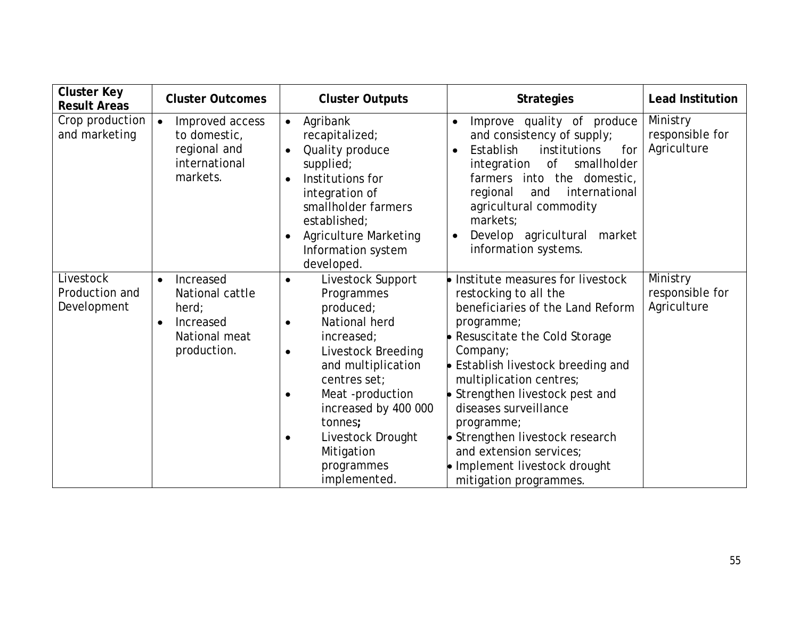| <b>Cluster Key</b><br><b>Result Areas</b>  | <b>Cluster Outcomes</b>                                                                                     | <b>Cluster Outputs</b>                                                                                                                                                                                                                                                                                                          | <b>Strategies</b>                                                                                                                                                                                                                                                                                                                                                                                                             | <b>Lead Institution</b>                    |
|--------------------------------------------|-------------------------------------------------------------------------------------------------------------|---------------------------------------------------------------------------------------------------------------------------------------------------------------------------------------------------------------------------------------------------------------------------------------------------------------------------------|-------------------------------------------------------------------------------------------------------------------------------------------------------------------------------------------------------------------------------------------------------------------------------------------------------------------------------------------------------------------------------------------------------------------------------|--------------------------------------------|
| Crop production<br>and marketing           | Improved access<br>to domestic,<br>regional and<br>international<br>markets.                                | Agribank<br>$\bullet$<br>recapitalized;<br>Quality produce<br>$\bullet$<br>supplied;<br>Institutions for<br>$\bullet$<br>integration of<br>smallholder farmers<br>established;<br><b>Agriculture Marketing</b><br>$\bullet$<br>Information system<br>developed.                                                                 | Improve quality of produce<br>$\bullet$<br>and consistency of supply;<br>Establish<br>institutions<br>for<br>$\bullet$<br>smallholder<br>integration<br>0f<br>farmers into the<br>domestic,<br>international<br>regional<br>and<br>agricultural commodity<br>markets:<br>Develop agricultural<br>market<br>information systems.                                                                                               | Ministry<br>responsible for<br>Agriculture |
| Livestock<br>Production and<br>Development | Increased<br>$\bullet$<br>National cattle<br>herd<br>Increased<br>$\bullet$<br>National meat<br>production. | Livestock Support<br>$\bullet$<br>Programmes<br>produced;<br>National herd<br>$\bullet$<br>increased;<br>Livestock Breeding<br>$\bullet$<br>and multiplication<br>centres set:<br>Meat-production<br>$\bullet$<br>increased by 400 000<br>tonnes;<br>Livestock Drought<br>$\bullet$<br>Mitigation<br>programmes<br>implemented. | • Institute measures for livestock<br>restocking to all the<br>beneficiaries of the Land Reform<br>programme;<br>• Resuscitate the Cold Storage<br>Company;<br>• Establish livestock breeding and<br>multiplication centres;<br>Strengthen livestock pest and<br>diseases surveillance<br>programme;<br>• Strengthen livestock research<br>and extension services;<br>• Implement livestock drought<br>mitigation programmes. | Ministry<br>responsible for<br>Agriculture |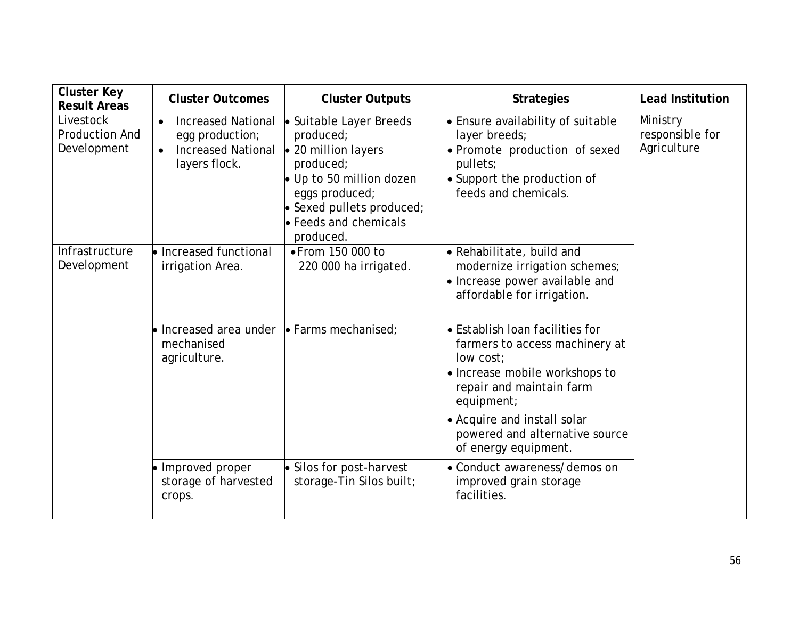| <b>Cluster Key</b><br><b>Result Areas</b>         | <b>Cluster Outcomes</b>                                                                                              | <b>Cluster Outputs</b>                                                                                                                                                                                  | <b>Strategies</b>                                                                                                                                                  | <b>Lead Institution</b>                    |
|---------------------------------------------------|----------------------------------------------------------------------------------------------------------------------|---------------------------------------------------------------------------------------------------------------------------------------------------------------------------------------------------------|--------------------------------------------------------------------------------------------------------------------------------------------------------------------|--------------------------------------------|
| Livestock<br><b>Production And</b><br>Development | <b>Increased National</b><br>$\bullet$<br>egg production;<br><b>Increased National</b><br>$\bullet$<br>layers flock. | Suitable Layer Breeds<br>produced;<br>• 20 million layers<br>produced;<br>$\bullet$ Up to 50 million dozen<br>eggs produced;<br>$\bullet$ Sexed pullets produced;<br>• Feeds and chemicals<br>produced. | • Ensure availability of suitable<br>layer breeds;<br>• Promote production of sexed<br>pullets;<br>$\bullet$ Support the production of<br>feeds and chemicals.     | Ministry<br>responsible for<br>Agriculture |
| Infrastructure<br>Development                     | $\bullet$ Increased functional<br>irrigation Area.                                                                   | • From 150 000 to<br>220 000 ha irrigated.                                                                                                                                                              | • Rehabilitate, build and<br>modernize irrigation schemes;<br>• Increase power available and<br>affordable for irrigation.                                         |                                            |
|                                                   | • Increased area under<br>mechanised<br>agriculture.                                                                 | $\bullet$ Farms mechanised;                                                                                                                                                                             | $\bullet$ Establish loan facilities for<br>farmers to access machinery at<br>low cost:<br>• Increase mobile workshops to<br>repair and maintain farm<br>equipment; |                                            |
|                                                   |                                                                                                                      |                                                                                                                                                                                                         | • Acquire and install solar<br>powered and alternative source<br>of energy equipment.                                                                              |                                            |
|                                                   | • Improved proper<br>storage of harvested<br>crops.                                                                  | • Silos for post-harvest<br>storage-Tin Silos built;                                                                                                                                                    | • Conduct awareness/demos on<br>improved grain storage<br>facilities.                                                                                              |                                            |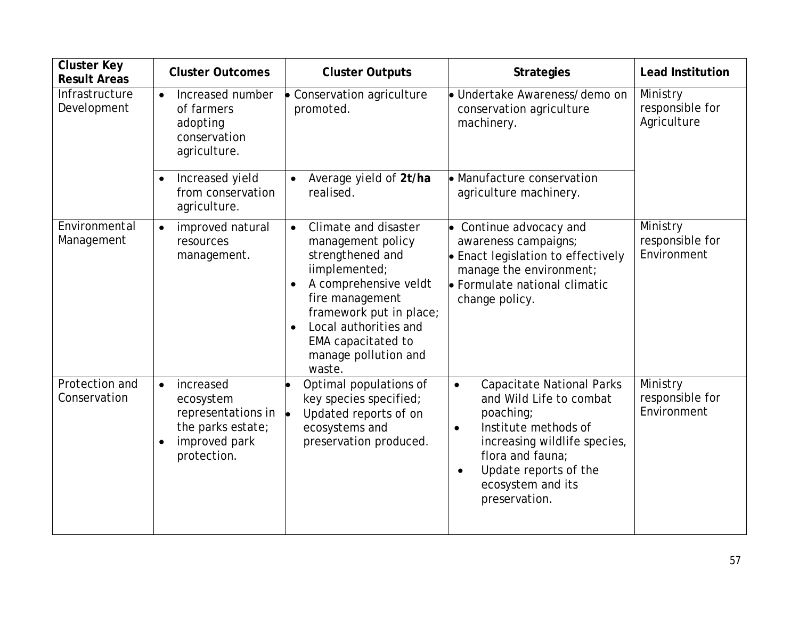| <b>Cluster Key</b><br><b>Result Areas</b> | <b>Cluster Outcomes</b>                                                                                                     | <b>Cluster Outputs</b>                                                                                                                                                                                                                                           | <b>Strategies</b>                                                                                                                                                                                                                                          | <b>Lead Institution</b>                    |
|-------------------------------------------|-----------------------------------------------------------------------------------------------------------------------------|------------------------------------------------------------------------------------------------------------------------------------------------------------------------------------------------------------------------------------------------------------------|------------------------------------------------------------------------------------------------------------------------------------------------------------------------------------------------------------------------------------------------------------|--------------------------------------------|
| Infrastructure<br>Development             | Increased number<br>$\bullet$<br>of farmers<br>adopting<br>conservation<br>agriculture.                                     | Conservation agriculture<br>promoted.                                                                                                                                                                                                                            | · Undertake Awareness/demo on<br>conservation agriculture<br>machinery.                                                                                                                                                                                    | Ministry<br>responsible for<br>Agriculture |
|                                           | Increased yield<br>$\bullet$<br>from conservation<br>agriculture.                                                           | Average yield of 2t/ha<br>realised.                                                                                                                                                                                                                              | • Manufacture conservation<br>agriculture machinery.                                                                                                                                                                                                       |                                            |
| Environmental<br>Management               | improved natural<br>$\bullet$<br>resources<br>management.                                                                   | Climate and disaster<br>$\bullet$<br>management policy<br>strengthened and<br>iimplemented;<br>A comprehensive veldt<br>fire management<br>framework put in place;<br>Local authorities and<br>$\bullet$<br>EMA capacitated to<br>manage pollution and<br>waste. | • Continue advocacy and<br>awareness campaigns;<br>• Enact legislation to effectively<br>manage the environment;<br>• Formulate national climatic<br>change policy.                                                                                        | Ministry<br>responsible for<br>Environment |
| Protection and<br>Conservation            | increased<br>$\bullet$<br>ecosystem<br>representations in<br>the parks estate;<br>improved park<br>$\bullet$<br>protection. | Optimal populations of<br>key species specified;<br>Updated reports of on<br>ecosystems and<br>preservation produced.                                                                                                                                            | <b>Capacitate National Parks</b><br>$\bullet$<br>and Wild Life to combat<br>poaching;<br>Institute methods of<br>$\bullet$<br>increasing wildlife species,<br>flora and fauna;<br>Update reports of the<br>$\bullet$<br>ecosystem and its<br>preservation. | Ministry<br>responsible for<br>Environment |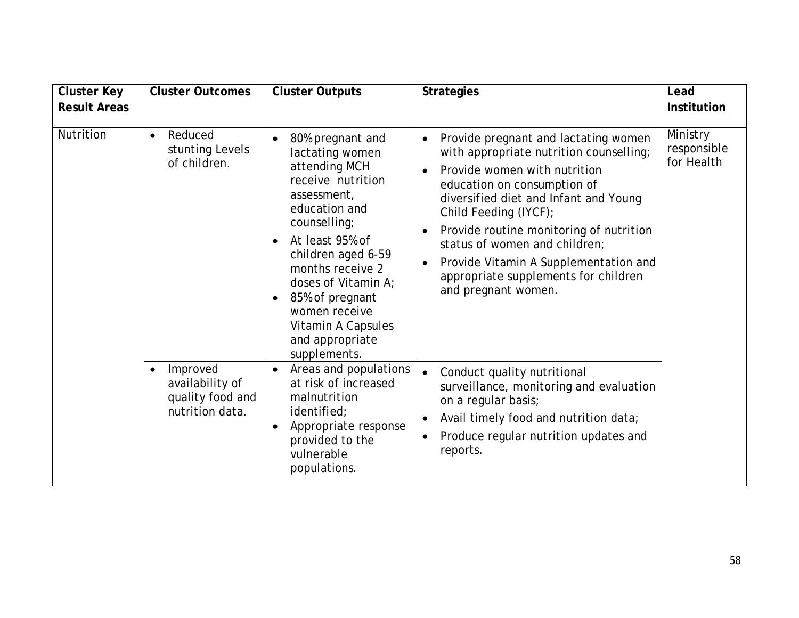| <b>Cluster Key</b>  | <b>Cluster Outcomes</b>                                                                                                                    | <b>Cluster Outputs</b>                                                                                                                                                                                                                                                                                                                                                                                                                                                                                                               | <b>Strategies</b>                                                                                                                                                                                                                                                                                                                                                                                                                                                                                                                                                                                                                                       | Lead                                  |
|---------------------|--------------------------------------------------------------------------------------------------------------------------------------------|--------------------------------------------------------------------------------------------------------------------------------------------------------------------------------------------------------------------------------------------------------------------------------------------------------------------------------------------------------------------------------------------------------------------------------------------------------------------------------------------------------------------------------------|---------------------------------------------------------------------------------------------------------------------------------------------------------------------------------------------------------------------------------------------------------------------------------------------------------------------------------------------------------------------------------------------------------------------------------------------------------------------------------------------------------------------------------------------------------------------------------------------------------------------------------------------------------|---------------------------------------|
| <b>Result Areas</b> |                                                                                                                                            |                                                                                                                                                                                                                                                                                                                                                                                                                                                                                                                                      |                                                                                                                                                                                                                                                                                                                                                                                                                                                                                                                                                                                                                                                         | <b>Institution</b>                    |
| Nutrition           | Reduced<br>$\bullet$<br>stunting Levels<br>of children.<br>Improved<br>$\bullet$<br>availability of<br>quality food and<br>nutrition data. | 80% pregnant and<br>$\bullet$<br>lactating women<br>attending MCH<br>receive nutrition<br>assessment,<br>education and<br>counselling;<br>At least 95% of<br>$\bullet$<br>children aged 6-59<br>months receive 2<br>doses of Vitamin A;<br>85% of pregnant<br>$\bullet$<br>women receive<br>Vitamin A Capsules<br>and appropriate<br>supplements.<br>Areas and populations<br>$\bullet$<br>at risk of increased<br>malnutrition<br>identified;<br>Appropriate response<br>$\bullet$<br>provided to the<br>vulnerable<br>populations. | Provide pregnant and lactating women<br>$\bullet$<br>with appropriate nutrition counselling;<br>Provide women with nutrition<br>education on consumption of<br>diversified diet and Infant and Young<br>Child Feeding (IYCF);<br>Provide routine monitoring of nutrition<br>status of women and children;<br>Provide Vitamin A Supplementation and<br>appropriate supplements for children<br>and pregnant women.<br>Conduct quality nutritional<br>$\bullet$<br>surveillance, monitoring and evaluation<br>on a regular basis;<br>Avail timely food and nutrition data;<br>$\bullet$<br>Produce regular nutrition updates and<br>$\bullet$<br>reports. | Ministry<br>responsible<br>for Health |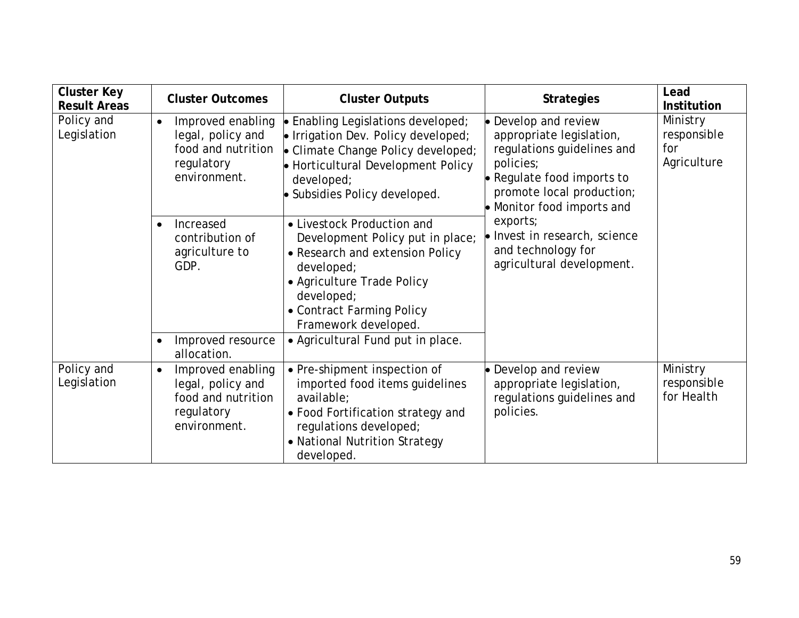| <b>Cluster Key</b><br><b>Result Areas</b> | <b>Cluster Outcomes</b>                                                                                                                                                                                                                                                                                                                      | <b>Cluster Outputs</b>                                                                                                                                                                                           | <b>Strategies</b>                                                                                                                                                       | Lead<br><b>Institution</b>                    |
|-------------------------------------------|----------------------------------------------------------------------------------------------------------------------------------------------------------------------------------------------------------------------------------------------------------------------------------------------------------------------------------------------|------------------------------------------------------------------------------------------------------------------------------------------------------------------------------------------------------------------|-------------------------------------------------------------------------------------------------------------------------------------------------------------------------|-----------------------------------------------|
| Policy and<br>Legislation                 | Improved enabling<br>$\bullet$ Enabling Legislations developed;<br>$\bullet$<br>legal, policy and<br>$\bullet$ Irrigation Dev. Policy developed;<br>food and nutrition<br>• Climate Change Policy developed;<br>policies;<br>regulatory<br>• Horticultural Development Policy<br>environment.<br>developed;<br>• Subsidies Policy developed. |                                                                                                                                                                                                                  | • Develop and review<br>appropriate legislation,<br>regulations guidelines and<br>• Regulate food imports to<br>promote local production;<br>• Monitor food imports and | Ministry<br>responsible<br>for<br>Agriculture |
|                                           | Increased<br>$\bullet$<br>contribution of<br>agriculture to<br>GDP.                                                                                                                                                                                                                                                                          | • Livestock Production and<br>Development Policy put in place;<br>• Research and extension Policy<br>developed;<br>• Agriculture Trade Policy<br>developed;<br>• Contract Farming Policy<br>Framework developed. | exports;<br>lo Invest in research, science<br>and technology for<br>agricultural development.                                                                           |                                               |
|                                           | Improved resource<br>$\bullet$<br>allocation.                                                                                                                                                                                                                                                                                                | • Agricultural Fund put in place.                                                                                                                                                                                |                                                                                                                                                                         |                                               |
| Policy and<br>Legislation                 | Improved enabling<br>$\bullet$<br>legal, policy and<br>food and nutrition<br>regulatory<br>environment.                                                                                                                                                                                                                                      | • Pre-shipment inspection of<br>imported food items guidelines<br>available;<br>• Food Fortification strategy and<br>requlations developed;<br>• National Nutrition Strategy<br>developed.                       | • Develop and review<br>appropriate legislation,<br>regulations guidelines and<br>policies.                                                                             | Ministry<br>responsible<br>for Health         |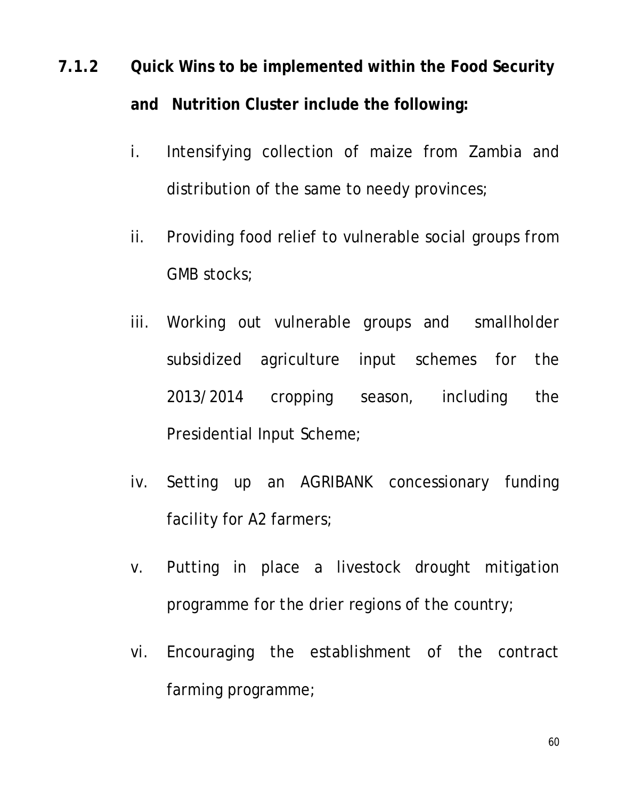# **7.1.2 Quick Wins to be implemented within the Food Security and Nutrition Cluster include the following:**

- i. Intensifying collection of maize from Zambia and distribution of the same to needy provinces;
- ii. Providing food relief to vulnerable social groups from GMB stocks;
- iii. Working out vulnerable groups and smallholder subsidized agriculture input schemes for the 2013/2014 cropping season, including the Presidential Input Scheme;
- iv. Setting up an AGRIBANK concessionary funding facility for A2 farmers;
- v. Putting in place a livestock drought mitigation programme for the drier regions of the country;
- vi. Encouraging the establishment of the contract farming programme;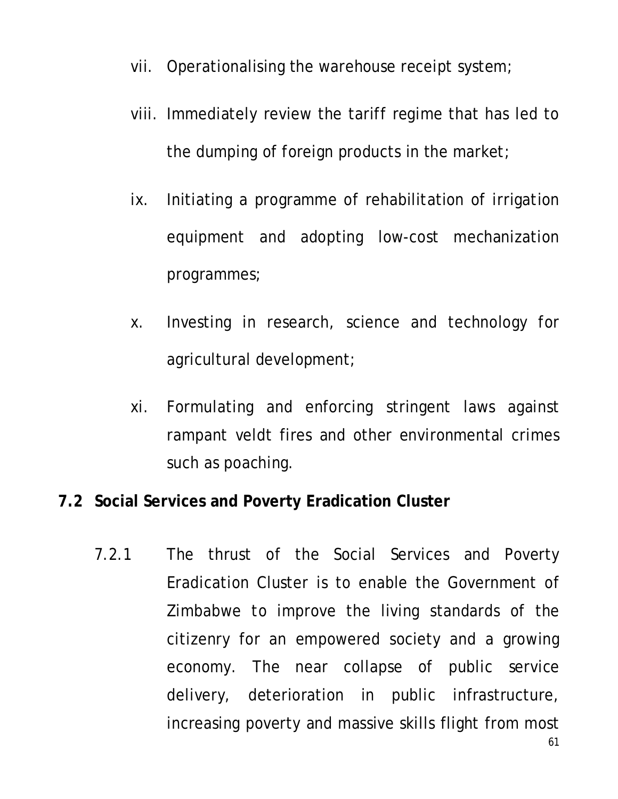- vii. Operationalising the warehouse receipt system;
- viii. Immediately review the tariff regime that has led to the dumping of foreign products in the market;
- ix. Initiating a programme of rehabilitation of irrigation equipment and adopting low-cost mechanization programmes;
- x. Investing in research, science and technology for agricultural development;
- xi. Formulating and enforcing stringent laws against rampant veldt fires and other environmental crimes such as poaching.

#### **7.2 Social Services and Poverty Eradication Cluster**

7.2.1 The thrust of the Social Services and Poverty Eradication Cluster is to enable the Government of Zimbabwe to improve the living standards of the citizenry for an empowered society and a growing economy. The near collapse of public service delivery, deterioration in public infrastructure, increasing poverty and massive skills flight from most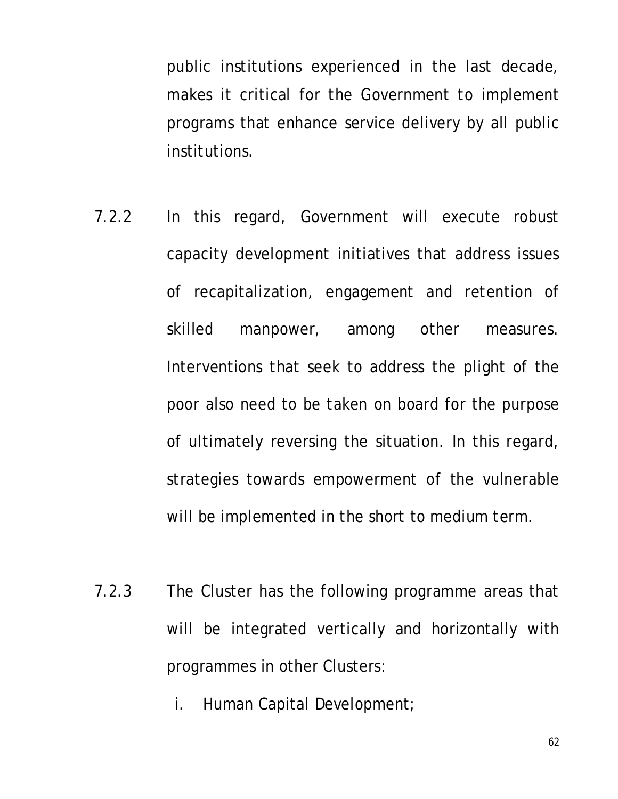public institutions experienced in the last decade, makes it critical for the Government to implement programs that enhance service delivery by all public institutions.

- 7.2.2 In this regard, Government will execute robust capacity development initiatives that address issues of recapitalization, engagement and retention of skilled manpower, among other measures. Interventions that seek to address the plight of the poor also need to be taken on board for the purpose of ultimately reversing the situation. In this regard, strategies towards empowerment of the vulnerable will be implemented in the short to medium term.
- 7.2.3 The Cluster has the following programme areas that will be integrated vertically and horizontally with programmes in other Clusters:
	- i. Human Capital Development;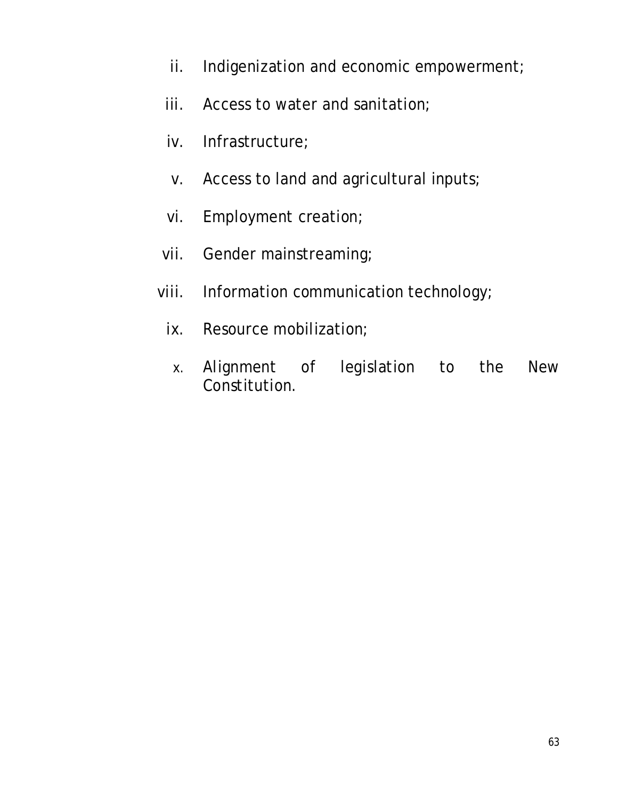- ii. Indigenization and economic empowerment;
- iii. Access to water and sanitation;
- iv. Infrastructure;
- v. Access to land and agricultural inputs;
- vi. Employment creation;
- vii. Gender mainstreaming;
- viii. Information communication technology;
	- ix. Resource mobilization;
	- x. Alignment of legislation to the New Constitution.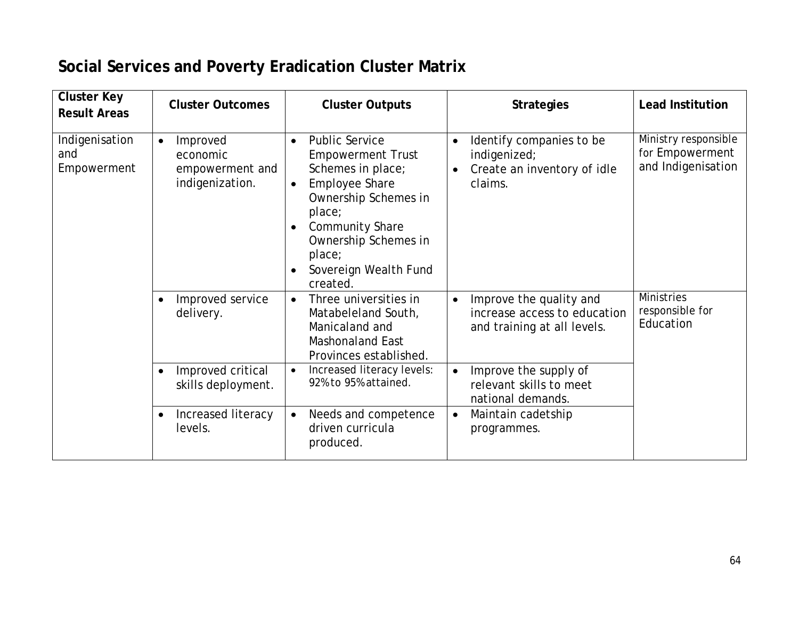## **Social Services and Poverty Eradication Cluster Matrix**

| <b>Cluster Key</b><br><b>Result Areas</b> | <b>Cluster Outcomes</b>                                                 | <b>Cluster Outputs</b>                                                                                                                                                                                                                                       | <b>Strategies</b>                                                                                            | <b>Lead Institution</b>                                       |
|-------------------------------------------|-------------------------------------------------------------------------|--------------------------------------------------------------------------------------------------------------------------------------------------------------------------------------------------------------------------------------------------------------|--------------------------------------------------------------------------------------------------------------|---------------------------------------------------------------|
| Indigenisation<br>and<br>Empowerment      | Improved<br>$\bullet$<br>economic<br>empowerment and<br>indigenization. | <b>Public Service</b><br>$\bullet$<br><b>Empowerment Trust</b><br>Schemes in place;<br><b>Employee Share</b><br>$\bullet$<br>Ownership Schemes in<br>place;<br><b>Community Share</b><br>Ownership Schemes in<br>place;<br>Sovereign Wealth Fund<br>created. | Identify companies to be<br>$\bullet$<br>indigenized;<br>Create an inventory of idle<br>$\bullet$<br>claims. | Ministry responsible<br>for Empowerment<br>and Indigenisation |
|                                           | Improved service<br>$\bullet$<br>delivery.                              | Three universities in<br>$\bullet$<br>Matabeleland South,<br>Manicaland and<br><b>Mashonaland East</b><br>Provinces established.                                                                                                                             | Improve the quality and<br>$\bullet$<br>increase access to education<br>and training at all levels.          | <b>Ministries</b><br>responsible for<br>Education             |
|                                           | Improved critical<br>$\bullet$<br>skills deployment.                    | Increased literacy levels:<br>$\bullet$<br>92% to 95% attained.                                                                                                                                                                                              | Improve the supply of<br>$\bullet$<br>relevant skills to meet<br>national demands.                           |                                                               |
|                                           | Increased literacy<br>$\bullet$<br>levels.                              | Needs and competence<br>$\bullet$<br>driven curricula<br>produced.                                                                                                                                                                                           | Maintain cadetship<br>$\bullet$<br>programmes.                                                               |                                                               |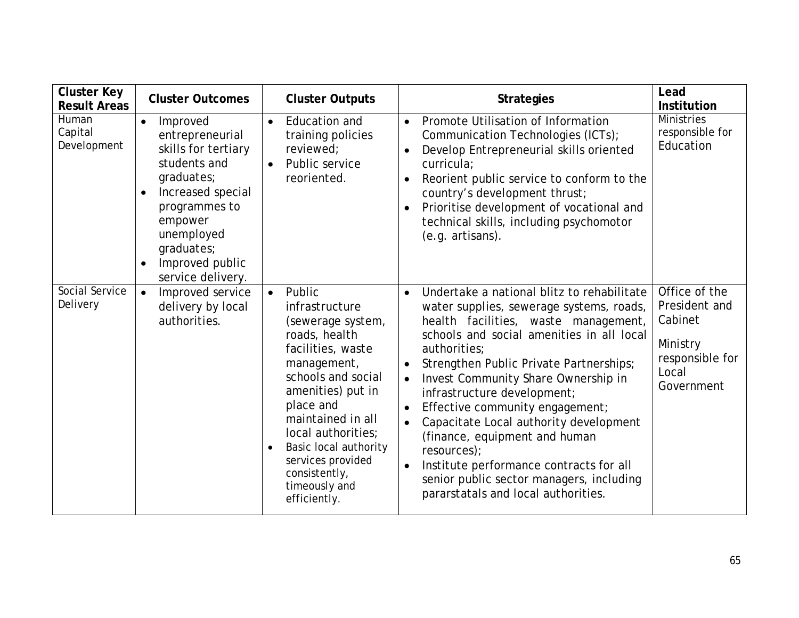| <b>Cluster Key</b><br><b>Result Areas</b> | <b>Cluster Outcomes</b>                                                                                                                                                                                                         | <b>Cluster Outputs</b>                                                                                                                                                                                                                                                                                                          | <b>Strategies</b>                                                                                                                                                                                                                                                                                                                                                                                                                                                                                                                                                                                              | Lead<br><b>Institution</b>                                                                      |
|-------------------------------------------|---------------------------------------------------------------------------------------------------------------------------------------------------------------------------------------------------------------------------------|---------------------------------------------------------------------------------------------------------------------------------------------------------------------------------------------------------------------------------------------------------------------------------------------------------------------------------|----------------------------------------------------------------------------------------------------------------------------------------------------------------------------------------------------------------------------------------------------------------------------------------------------------------------------------------------------------------------------------------------------------------------------------------------------------------------------------------------------------------------------------------------------------------------------------------------------------------|-------------------------------------------------------------------------------------------------|
| Human<br>Capital<br>Development           | $\bullet$<br>Improved<br>entrepreneurial<br>skills for tertiary<br>students and<br>graduates;<br>Increased special<br>programmes to<br>empower<br>unemployed<br>graduates;<br>Improved public<br>$\bullet$<br>service delivery. | Education and<br>$\bullet$<br>training policies<br>reviewed;<br>Public service<br>$\bullet$<br>reoriented.                                                                                                                                                                                                                      | Promote Utilisation of Information<br>$\bullet$<br>Communication Technologies (ICTs);<br>Develop Entrepreneurial skills oriented<br>curricula;<br>Reorient public service to conform to the<br>country's development thrust;<br>Prioritise development of vocational and<br>technical skills, including psychomotor<br>(e.g. artisans).                                                                                                                                                                                                                                                                        | <b>Ministries</b><br>responsible for<br>Education                                               |
| Social Service<br>Delivery                | Improved service<br>$\bullet$<br>delivery by local<br>authorities.                                                                                                                                                              | Public<br>$\bullet$<br>infrastructure<br>(sewerage system,<br>roads, health<br>facilities, waste<br>management,<br>schools and social<br>amenities) put in<br>place and<br>maintained in all<br>local authorities;<br>Basic local authority<br>$\bullet$<br>services provided<br>consistently,<br>timeously and<br>efficiently. | Undertake a national blitz to rehabilitate<br>$\bullet$<br>water supplies, sewerage systems, roads,<br>health facilities, waste management,<br>schools and social amenities in all local<br>authorities;<br>Strengthen Public Private Partnerships;<br>Invest Community Share Ownership in<br>$\bullet$<br>infrastructure development;<br>Effective community engagement;<br>Capacitate Local authority development<br>(finance, equipment and human<br>resources);<br>Institute performance contracts for all<br>$\bullet$<br>senior public sector managers, including<br>pararstatals and local authorities. | Office of the<br>President and<br>Cabinet<br>Ministry<br>responsible for<br>Local<br>Government |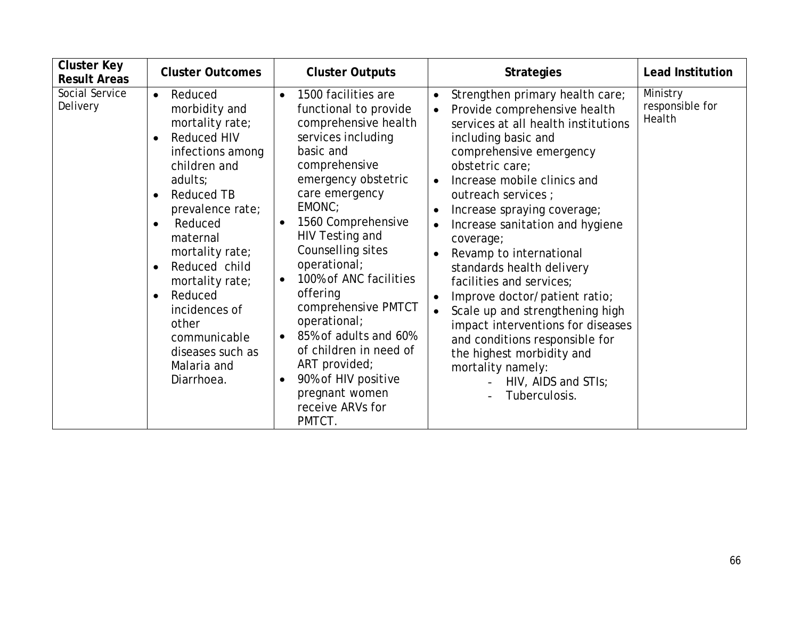| <b>Cluster Key</b><br><b>Result Areas</b> | <b>Cluster Outcomes</b>                                                                                                                                                                                                                                                                                                                                                                                                     | <b>Cluster Outputs</b>                                                                                                                                                                                                                                                                                                                                                                                                                                                                                                                             | <b>Strategies</b>                                                                                                                                                                                                                                                                                                                                                                                                                                                                                                                                                                                                                                                   | <b>Lead Institution</b>               |
|-------------------------------------------|-----------------------------------------------------------------------------------------------------------------------------------------------------------------------------------------------------------------------------------------------------------------------------------------------------------------------------------------------------------------------------------------------------------------------------|----------------------------------------------------------------------------------------------------------------------------------------------------------------------------------------------------------------------------------------------------------------------------------------------------------------------------------------------------------------------------------------------------------------------------------------------------------------------------------------------------------------------------------------------------|---------------------------------------------------------------------------------------------------------------------------------------------------------------------------------------------------------------------------------------------------------------------------------------------------------------------------------------------------------------------------------------------------------------------------------------------------------------------------------------------------------------------------------------------------------------------------------------------------------------------------------------------------------------------|---------------------------------------|
| Social Service<br>Delivery                | Reduced<br>$\bullet$<br>morbidity and<br>mortality rate;<br><b>Reduced HIV</b><br>$\bullet$<br>infections among<br>children and<br>adults;<br><b>Reduced TB</b><br>$\bullet$<br>prevalence rate;<br>Reduced<br>$\bullet$<br>maternal<br>mortality rate;<br>Reduced child<br>$\bullet$<br>mortality rate;<br>Reduced<br>$\bullet$<br>incidences of<br>other<br>communicable<br>diseases such as<br>Malaria and<br>Diarrhoea. | 1500 facilities are<br>$\bullet$<br>functional to provide<br>comprehensive health<br>services including<br>basic and<br>comprehensive<br>emergency obstetric<br>care emergency<br>EMONC;<br>1560 Comprehensive<br>$\bullet$<br>HIV Testing and<br>Counselling sites<br>operational;<br>100% of ANC facilities<br>$\bullet$<br>offering<br>comprehensive PMTCT<br>operational;<br>85% of adults and 60%<br>$\bullet$<br>of children in need of<br>ART provided;<br>90% of HIV positive<br>$\bullet$<br>pregnant women<br>receive ARVs for<br>PMTCT. | Strengthen primary health care;<br>Provide comprehensive health<br>services at all health institutions<br>including basic and<br>comprehensive emergency<br>obstetric care;<br>Increase mobile clinics and<br>outreach services ;<br>Increase spraying coverage;<br>Increase sanitation and hygiene<br>coverage;<br>Revamp to international<br>standards health delivery<br>facilities and services;<br>Improve doctor/patient ratio;<br>$\bullet$<br>Scale up and strengthening high<br>$\bullet$<br>impact interventions for diseases<br>and conditions responsible for<br>the highest morbidity and<br>mortality namely:<br>HIV, AIDS and STIs;<br>Tuberculosis. | Ministry<br>responsible for<br>Health |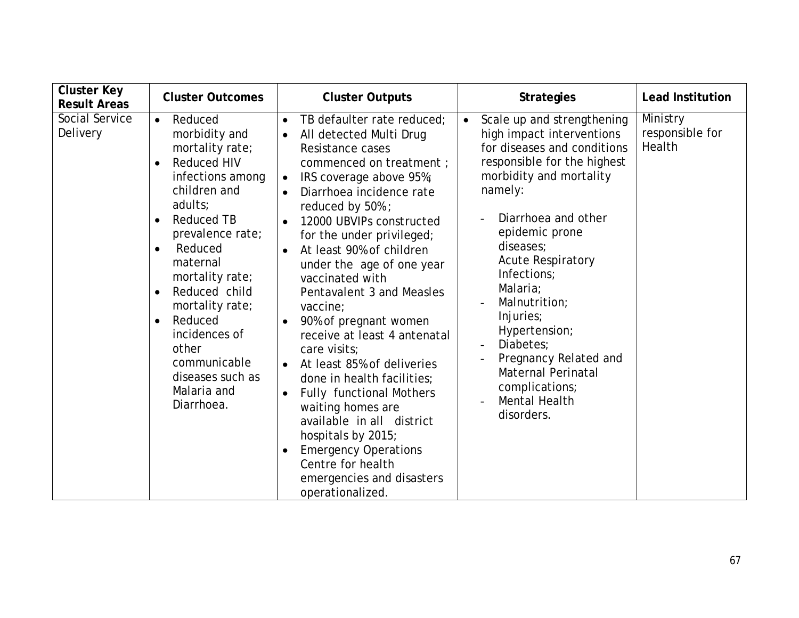| <b>Cluster Key</b><br><b>Result Areas</b> | <b>Cluster Outcomes</b>                                                                                                                                                                                                                                                                                                                                                                                        | <b>Cluster Outputs</b>                                                                                                                                                                                                                                                                                                                                                                                                                                                                                                                                                                                                                                                                                                                                                                          | <b>Strategies</b>                                                                                                                                                                                                                                                                                                                                                                                                                                        | <b>Lead Institution</b>               |
|-------------------------------------------|----------------------------------------------------------------------------------------------------------------------------------------------------------------------------------------------------------------------------------------------------------------------------------------------------------------------------------------------------------------------------------------------------------------|-------------------------------------------------------------------------------------------------------------------------------------------------------------------------------------------------------------------------------------------------------------------------------------------------------------------------------------------------------------------------------------------------------------------------------------------------------------------------------------------------------------------------------------------------------------------------------------------------------------------------------------------------------------------------------------------------------------------------------------------------------------------------------------------------|----------------------------------------------------------------------------------------------------------------------------------------------------------------------------------------------------------------------------------------------------------------------------------------------------------------------------------------------------------------------------------------------------------------------------------------------------------|---------------------------------------|
| Social Service<br>Delivery                | Reduced<br>$\bullet$<br>morbidity and<br>mortality rate;<br><b>Reduced HIV</b><br>$\bullet$<br>infections among<br>children and<br>adults;<br><b>Reduced TB</b><br>$\bullet$<br>prevalence rate;<br>Reduced<br>maternal<br>mortality rate;<br>Reduced child<br>$\bullet$<br>mortality rate;<br>Reduced<br>$\bullet$<br>incidences of<br>other<br>communicable<br>diseases such as<br>Malaria and<br>Diarrhoea. | TB defaulter rate reduced;<br>$\bullet$<br>All detected Multi Drug<br>$\bullet$<br>Resistance cases<br>commenced on treatment;<br>IRS coverage above 95%;<br>$\bullet$<br>Diarrhoea incidence rate<br>reduced by 50%;<br>12000 UBVIPs constructed<br>$\bullet$<br>for the under privileged;<br>At least 90% of children<br>under the age of one year<br>vaccinated with<br>Pentavalent 3 and Measles<br>vaccine;<br>90% of pregnant women<br>receive at least 4 antenatal<br>care visits;<br>At least 85% of deliveries<br>$\bullet$<br>done in health facilities;<br><b>Fully functional Mothers</b><br>$\bullet$<br>waiting homes are<br>available in all district<br>hospitals by 2015;<br><b>Emergency Operations</b><br>Centre for health<br>emergencies and disasters<br>operationalized. | Scale up and strengthening<br>$\bullet$<br>high impact interventions<br>for diseases and conditions<br>responsible for the highest<br>morbidity and mortality<br>namely:<br>Diarrhoea and other<br>epidemic prone<br>diseases;<br><b>Acute Respiratory</b><br>Infections;<br>Malaria;<br>Malnutrition;<br>Injuries;<br>Hypertension;<br>Diabetes:<br>Pregnancy Related and<br><b>Maternal Perinatal</b><br>complications;<br>Mental Health<br>disorders. | Ministry<br>responsible for<br>Health |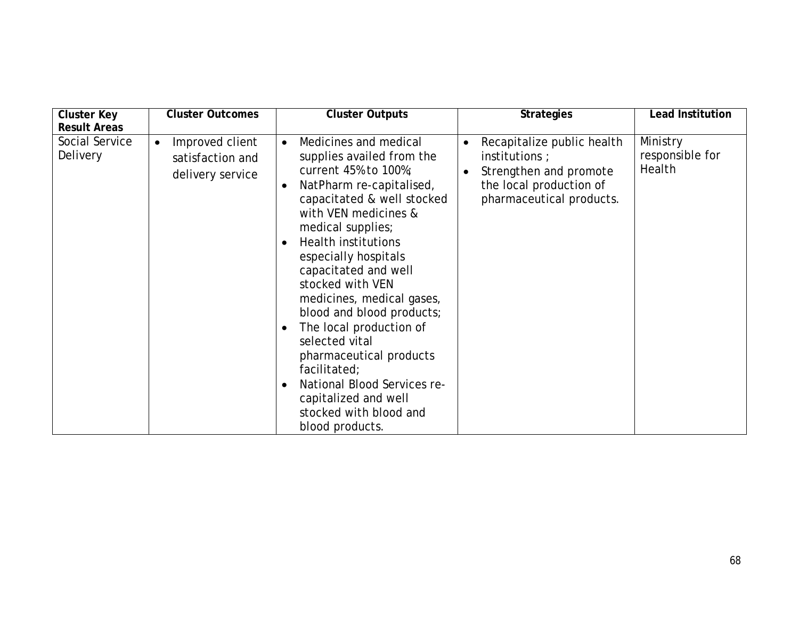| <b>Cluster Key</b>                                | <b>Cluster Outcomes</b>                                              | <b>Cluster Outputs</b>                                                                                                                                                                                                                                                                                                                                                                                                                                                                                                                                 | <b>Strategies</b>                                                                                                                                       | <b>Lead Institution</b>               |
|---------------------------------------------------|----------------------------------------------------------------------|--------------------------------------------------------------------------------------------------------------------------------------------------------------------------------------------------------------------------------------------------------------------------------------------------------------------------------------------------------------------------------------------------------------------------------------------------------------------------------------------------------------------------------------------------------|---------------------------------------------------------------------------------------------------------------------------------------------------------|---------------------------------------|
| <b>Result Areas</b><br>Social Service<br>Delivery | Improved client<br>$\bullet$<br>satisfaction and<br>delivery service | Medicines and medical<br>$\bullet$<br>supplies availed from the<br>current 45% to 100%;<br>NatPharm re-capitalised,<br>capacitated & well stocked<br>with VEN medicines &<br>medical supplies;<br><b>Health institutions</b><br>especially hospitals<br>capacitated and well<br>stocked with VEN<br>medicines, medical gases,<br>blood and blood products;<br>The local production of<br>selected vital<br>pharmaceutical products<br>facilitated;<br>National Blood Services re-<br>capitalized and well<br>stocked with blood and<br>blood products. | Recapitalize public health<br>$\bullet$<br>institutions ;<br>Strengthen and promote<br>$\bullet$<br>the local production of<br>pharmaceutical products. | Ministry<br>responsible for<br>Health |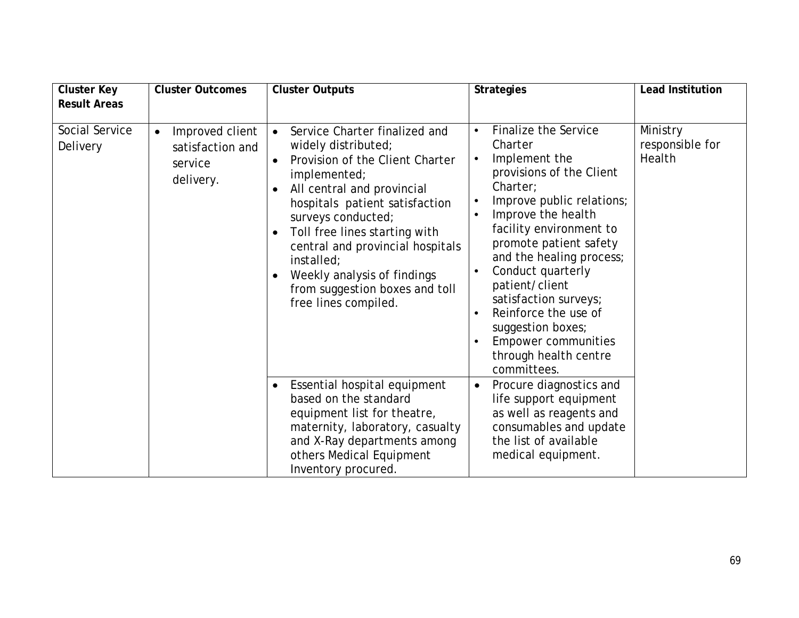| <b>Cluster Key</b><br><b>Result Areas</b> | <b>Cluster Outcomes</b>                                                  | <b>Cluster Outputs</b>                                                                                                                                                                                                                                                                                                                                                                              | <b>Strategies</b>                                                                                                                                                                                                                                                                                                                                                                                                                         | <b>Lead Institution</b>               |
|-------------------------------------------|--------------------------------------------------------------------------|-----------------------------------------------------------------------------------------------------------------------------------------------------------------------------------------------------------------------------------------------------------------------------------------------------------------------------------------------------------------------------------------------------|-------------------------------------------------------------------------------------------------------------------------------------------------------------------------------------------------------------------------------------------------------------------------------------------------------------------------------------------------------------------------------------------------------------------------------------------|---------------------------------------|
|                                           |                                                                          |                                                                                                                                                                                                                                                                                                                                                                                                     |                                                                                                                                                                                                                                                                                                                                                                                                                                           |                                       |
| Social Service<br>Delivery                | Improved client<br>$\bullet$<br>satisfaction and<br>service<br>delivery. | Service Charter finalized and<br>$\bullet$<br>widely distributed;<br>Provision of the Client Charter<br>$\bullet$<br>implemented;<br>All central and provincial<br>hospitals patient satisfaction<br>surveys conducted;<br>Toll free lines starting with<br>central and provincial hospitals<br>installed;<br>Weekly analysis of findings<br>from suggestion boxes and toll<br>free lines compiled. | <b>Finalize the Service</b><br>Charter<br>Implement the<br>$\bullet$<br>provisions of the Client<br>Charter;<br>Improve public relations;<br>$\bullet$<br>Improve the health<br>facility environment to<br>promote patient safety<br>and the healing process;<br>Conduct quarterly<br>patient/client<br>satisfaction surveys;<br>Reinforce the use of<br>suggestion boxes;<br>Empower communities<br>through health centre<br>committees. | Ministry<br>responsible for<br>Health |
|                                           |                                                                          | Essential hospital equipment<br>$\bullet$<br>based on the standard<br>equipment list for theatre,<br>maternity, laboratory, casualty<br>and X-Ray departments among<br>others Medical Equipment<br>Inventory procured.                                                                                                                                                                              | Procure diagnostics and<br>$\bullet$<br>life support equipment<br>as well as reagents and<br>consumables and update<br>the list of available<br>medical equipment.                                                                                                                                                                                                                                                                        |                                       |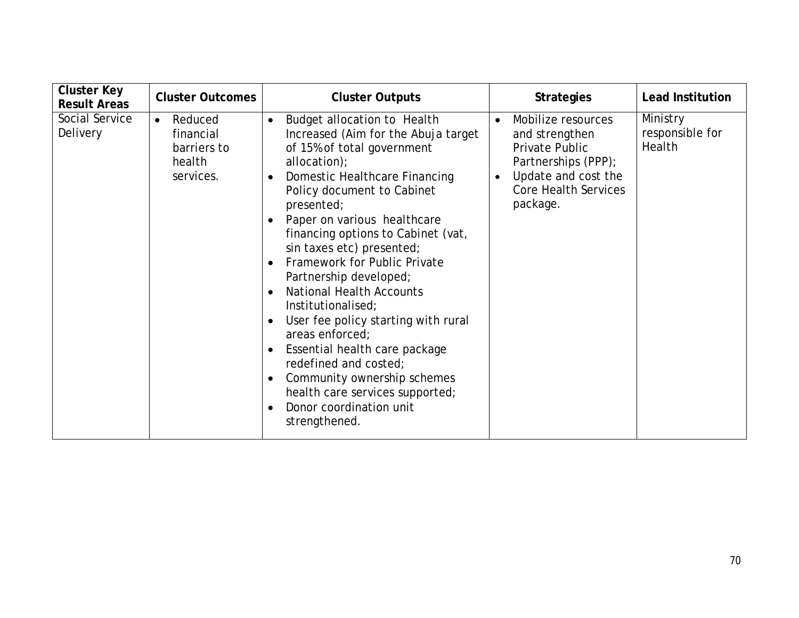| <b>Cluster Key</b><br><b>Result Areas</b> | <b>Cluster Outcomes</b>                                                 | <b>Cluster Outputs</b>                                                                                                                                                                                                                                                                                                                                                                                                                                                                                                                                                                                                                                                                                                                                                    | <b>Strategies</b>                                                                                                                                                                | <b>Lead Institution</b>               |
|-------------------------------------------|-------------------------------------------------------------------------|---------------------------------------------------------------------------------------------------------------------------------------------------------------------------------------------------------------------------------------------------------------------------------------------------------------------------------------------------------------------------------------------------------------------------------------------------------------------------------------------------------------------------------------------------------------------------------------------------------------------------------------------------------------------------------------------------------------------------------------------------------------------------|----------------------------------------------------------------------------------------------------------------------------------------------------------------------------------|---------------------------------------|
| Social Service<br>Delivery                | Reduced<br>$\bullet$<br>financial<br>barriers to<br>health<br>services. | Budget allocation to Health<br>$\bullet$<br>Increased (Aim for the Abuja target<br>of 15% of total government<br>allocation);<br>Domestic Healthcare Financing<br>$\bullet$<br>Policy document to Cabinet<br>presented;<br>Paper on various healthcare<br>$\bullet$<br>financing options to Cabinet (vat,<br>sin taxes etc) presented;<br>Framework for Public Private<br>$\bullet$<br>Partnership developed;<br><b>National Health Accounts</b><br>$\bullet$<br>Institutionalised;<br>User fee policy starting with rural<br>$\bullet$<br>areas enforced;<br>Essential health care package<br>$\bullet$<br>redefined and costed;<br>Community ownership schemes<br>$\bullet$<br>health care services supported;<br>Donor coordination unit<br>$\bullet$<br>strengthened. | Mobilize resources<br>$\bullet$<br>and strengthen<br><b>Private Public</b><br>Partnerships (PPP);<br>Update and cost the<br>$\bullet$<br><b>Core Health Services</b><br>package. | Ministry<br>responsible for<br>Health |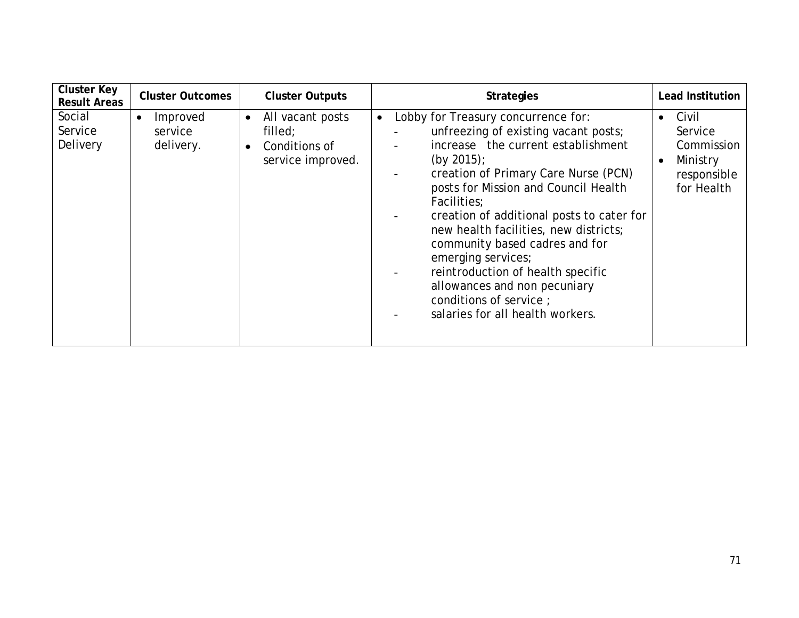| <b>Cluster Key</b><br><b>Result Areas</b> | <b>Cluster Outcomes</b>                       | <b>Cluster Outputs</b>                                                         | <b>Strategies</b>                                                                                                                                                                                                                                                                                                                                                                                                                                                                                                               | <b>Lead Institution</b>                                                                           |
|-------------------------------------------|-----------------------------------------------|--------------------------------------------------------------------------------|---------------------------------------------------------------------------------------------------------------------------------------------------------------------------------------------------------------------------------------------------------------------------------------------------------------------------------------------------------------------------------------------------------------------------------------------------------------------------------------------------------------------------------|---------------------------------------------------------------------------------------------------|
| Social<br>Service<br>Delivery             | Improved<br>$\bullet$<br>service<br>delivery. | All vacant posts<br>$\bullet$<br>filled;<br>Conditions of<br>service improved. | Lobby for Treasury concurrence for:<br>$\bullet$<br>unfreezing of existing vacant posts;<br>increase the current establishment<br>(by $2015$ );<br>creation of Primary Care Nurse (PCN)<br>posts for Mission and Council Health<br>Facilities:<br>creation of additional posts to cater for<br>new health facilities, new districts;<br>community based cadres and for<br>emerging services;<br>reintroduction of health specific<br>allowances and non pecuniary<br>conditions of service;<br>salaries for all health workers. | Civil<br>$\bullet$<br>Service<br>Commission<br>Ministry<br>$\bullet$<br>responsible<br>for Health |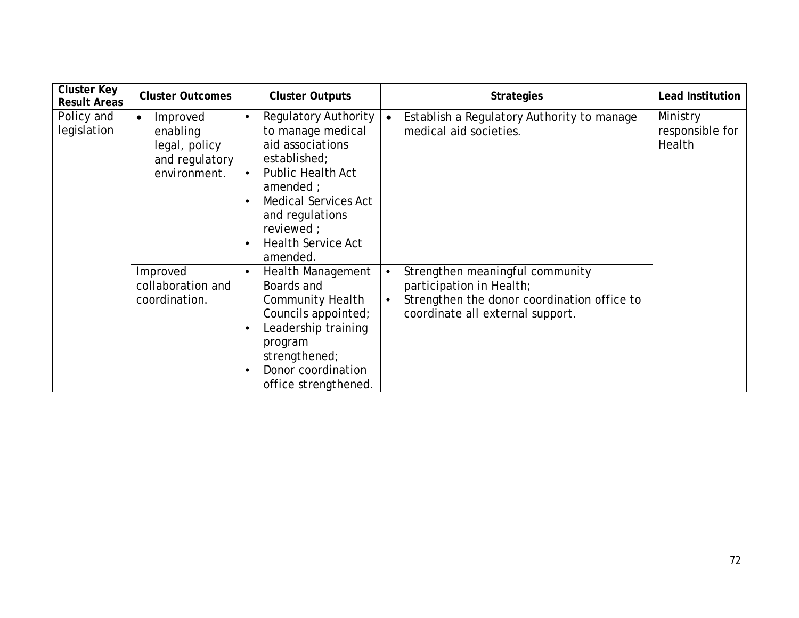| <b>Cluster Key</b><br><b>Result Areas</b> | <b>Cluster Outcomes</b>                                                              | <b>Cluster Outputs</b>                                                                                                                                                                                                          | <b>Strategies</b>                                                                                                                                                        | <b>Lead Institution</b>               |
|-------------------------------------------|--------------------------------------------------------------------------------------|---------------------------------------------------------------------------------------------------------------------------------------------------------------------------------------------------------------------------------|--------------------------------------------------------------------------------------------------------------------------------------------------------------------------|---------------------------------------|
| Policy and<br>legislation                 | Improved<br>$\bullet$<br>enabling<br>legal, policy<br>and regulatory<br>environment. | Regulatory Authority<br>to manage medical<br>aid associations<br>established;<br><b>Public Health Act</b><br>amended ;<br><b>Medical Services Act</b><br>and regulations<br>reviewed ;<br><b>Health Service Act</b><br>amended. | Establish a Regulatory Authority to manage<br>$\bullet$<br>medical aid societies.                                                                                        | Ministry<br>responsible for<br>Health |
|                                           | Improved<br>collaboration and<br>coordination.                                       | <b>Health Management</b><br>Boards and<br><b>Community Health</b><br>Councils appointed;<br>Leadership training<br>program<br>strengthened;<br>Donor coordination<br>office strengthened.                                       | Strengthen meaningful community<br>$\bullet$<br>participation in Health;<br>Strengthen the donor coordination office to<br>$\bullet$<br>coordinate all external support. |                                       |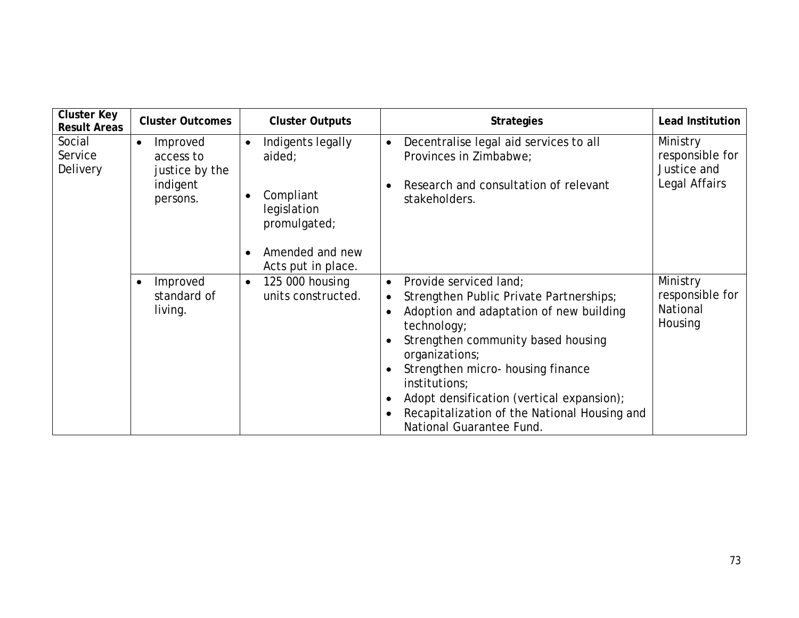| <b>Cluster Key</b><br><b>Result Areas</b> | <b>Cluster Outcomes</b>                                                      | <b>Cluster Outputs</b>                                                                                                        | <b>Strategies</b>                                                                                                                                                                                                                                                                                                                                                                            | <b>Lead Institution</b>                                     |
|-------------------------------------------|------------------------------------------------------------------------------|-------------------------------------------------------------------------------------------------------------------------------|----------------------------------------------------------------------------------------------------------------------------------------------------------------------------------------------------------------------------------------------------------------------------------------------------------------------------------------------------------------------------------------------|-------------------------------------------------------------|
| Social<br>Service<br>Delivery             | Improved<br>$\bullet$<br>access to<br>justice by the<br>indigent<br>persons. | Indigents legally<br>$\bullet$<br>aided;<br>Compliant<br>legislation<br>promulgated;<br>Amended and new<br>Acts put in place. | Decentralise legal aid services to all<br>$\bullet$<br>Provinces in Zimbabwe;<br>Research and consultation of relevant<br>stakeholders.                                                                                                                                                                                                                                                      | Ministry<br>responsible for<br>Justice and<br>Legal Affairs |
|                                           | Improved<br>$\bullet$<br>standard of<br>living.                              | 125 000 housing<br>$\bullet$<br>units constructed.                                                                            | Provide serviced land;<br>$\bullet$<br>Strengthen Public Private Partnerships;<br>$\bullet$<br>Adoption and adaptation of new building<br>technology;<br>Strengthen community based housing<br>organizations;<br>Strengthen micro- housing finance<br>institutions;<br>Adopt densification (vertical expansion);<br>Recapitalization of the National Housing and<br>National Guarantee Fund. | Ministry<br>responsible for<br>National<br>Housing          |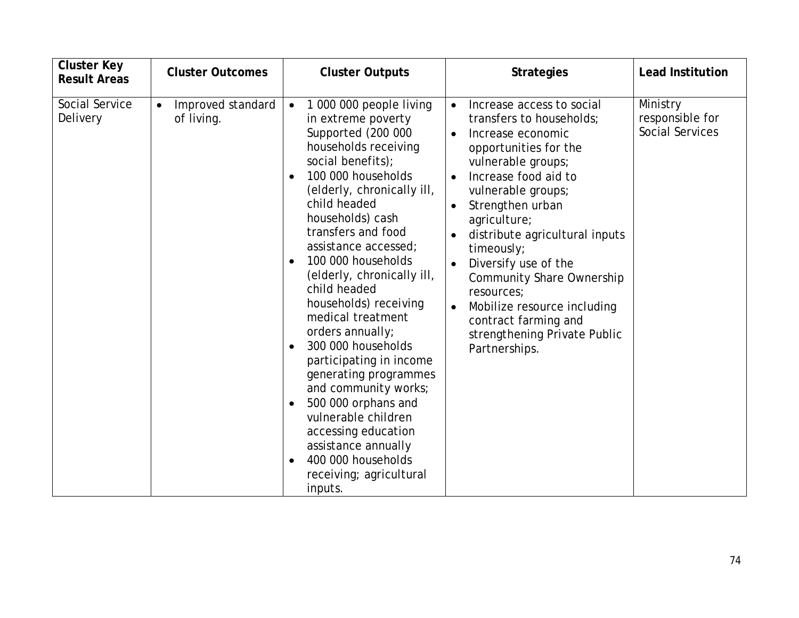| <b>Cluster Key</b><br><b>Result Areas</b> | <b>Cluster Outcomes</b>                      | <b>Cluster Outputs</b>                                                                                                                                                                                                                                                                                                                                                                                                                                                                                                                                                                                                                                                                                                               | <b>Strategies</b>                                                                                                                                                                                                                                                                                                                                                                                                                                                                    | <b>Lead Institution</b>                               |
|-------------------------------------------|----------------------------------------------|--------------------------------------------------------------------------------------------------------------------------------------------------------------------------------------------------------------------------------------------------------------------------------------------------------------------------------------------------------------------------------------------------------------------------------------------------------------------------------------------------------------------------------------------------------------------------------------------------------------------------------------------------------------------------------------------------------------------------------------|--------------------------------------------------------------------------------------------------------------------------------------------------------------------------------------------------------------------------------------------------------------------------------------------------------------------------------------------------------------------------------------------------------------------------------------------------------------------------------------|-------------------------------------------------------|
| Social Service<br>Delivery                | Improved standard<br>$\bullet$<br>of living. | 1 000 000 people living<br>$\bullet$<br>in extreme poverty<br>Supported (200 000<br>households receiving<br>social benefits);<br>100 000 households<br>$\bullet$<br>(elderly, chronically ill,<br>child headed<br>households) cash<br>transfers and food<br>assistance accessed;<br>100 000 households<br>$\bullet$<br>(elderly, chronically ill,<br>child headed<br>households) receiving<br>medical treatment<br>orders annually;<br>300 000 households<br>$\bullet$<br>participating in income<br>generating programmes<br>and community works;<br>500 000 orphans and<br>$\bullet$<br>vulnerable children<br>accessing education<br>assistance annually<br>400 000 households<br>$\bullet$<br>receiving; agricultural<br>inputs. | Increase access to social<br>$\bullet$<br>transfers to households;<br>Increase economic<br>$\bullet$<br>opportunities for the<br>vulnerable groups;<br>Increase food aid to<br>$\bullet$<br>vulnerable groups;<br>Strengthen urban<br>agriculture;<br>distribute agricultural inputs<br>timeously;<br>Diversify use of the<br><b>Community Share Ownership</b><br>resources;<br>Mobilize resource including<br>contract farming and<br>strengthening Private Public<br>Partnerships. | Ministry<br>responsible for<br><b>Social Services</b> |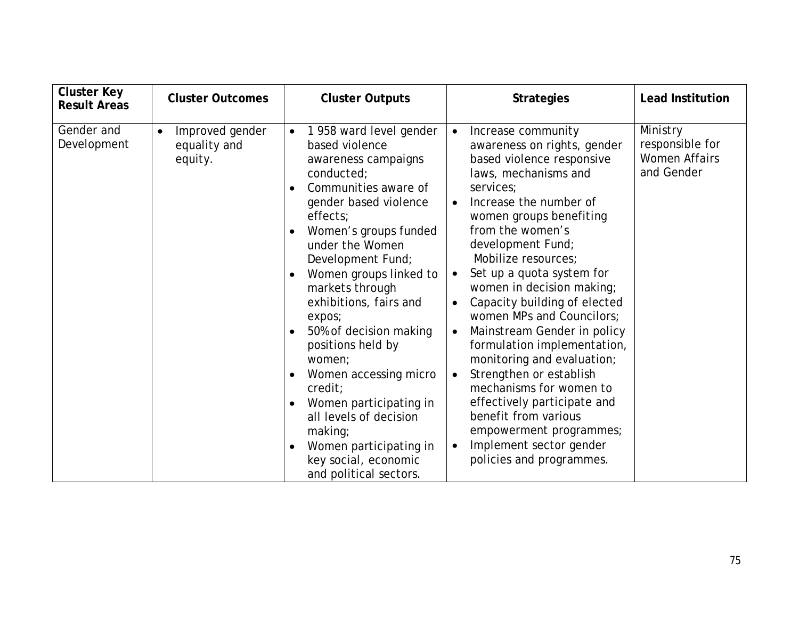| <b>Cluster Key</b><br><b>Result Areas</b> | <b>Cluster Outcomes</b>                                 | <b>Cluster Outputs</b>                                                                                                                                                                                                                                                                                                                                                                                                                                                                                                                                                                                                                       | <b>Strategies</b>                                                                                                                                                                                                                                                                                                                                                                                                                                                                                                                                                                                                                                                                                                           | <b>Lead Institution</b>                                           |
|-------------------------------------------|---------------------------------------------------------|----------------------------------------------------------------------------------------------------------------------------------------------------------------------------------------------------------------------------------------------------------------------------------------------------------------------------------------------------------------------------------------------------------------------------------------------------------------------------------------------------------------------------------------------------------------------------------------------------------------------------------------------|-----------------------------------------------------------------------------------------------------------------------------------------------------------------------------------------------------------------------------------------------------------------------------------------------------------------------------------------------------------------------------------------------------------------------------------------------------------------------------------------------------------------------------------------------------------------------------------------------------------------------------------------------------------------------------------------------------------------------------|-------------------------------------------------------------------|
| Gender and<br>Development                 | Improved gender<br>$\bullet$<br>equality and<br>equity. | 1958 ward level gender<br>$\bullet$<br>based violence<br>awareness campaigns<br>conducted;<br>Communities aware of<br>$\bullet$<br>gender based violence<br>effects;<br>Women's groups funded<br>$\bullet$<br>under the Women<br>Development Fund;<br>Women groups linked to<br>$\bullet$<br>markets through<br>exhibitions, fairs and<br>expos;<br>50% of decision making<br>$\bullet$<br>positions held by<br>women;<br>Women accessing micro<br>$\bullet$<br>credit;<br>Women participating in<br>$\bullet$<br>all levels of decision<br>making;<br>Women participating in<br>$\bullet$<br>key social, economic<br>and political sectors. | Increase community<br>$\bullet$<br>awareness on rights, gender<br>based violence responsive<br>laws, mechanisms and<br>services;<br>Increase the number of<br>women groups benefiting<br>from the women's<br>development Fund;<br>Mobilize resources;<br>Set up a quota system for<br>$\bullet$<br>women in decision making;<br>Capacity building of elected<br>women MPs and Councilors;<br>Mainstream Gender in policy<br>$\bullet$<br>formulation implementation,<br>monitoring and evaluation;<br>Strengthen or establish<br>$\bullet$<br>mechanisms for women to<br>effectively participate and<br>benefit from various<br>empowerment programmes;<br>Implement sector gender<br>$\bullet$<br>policies and programmes. | Ministry<br>responsible for<br><b>Women Affairs</b><br>and Gender |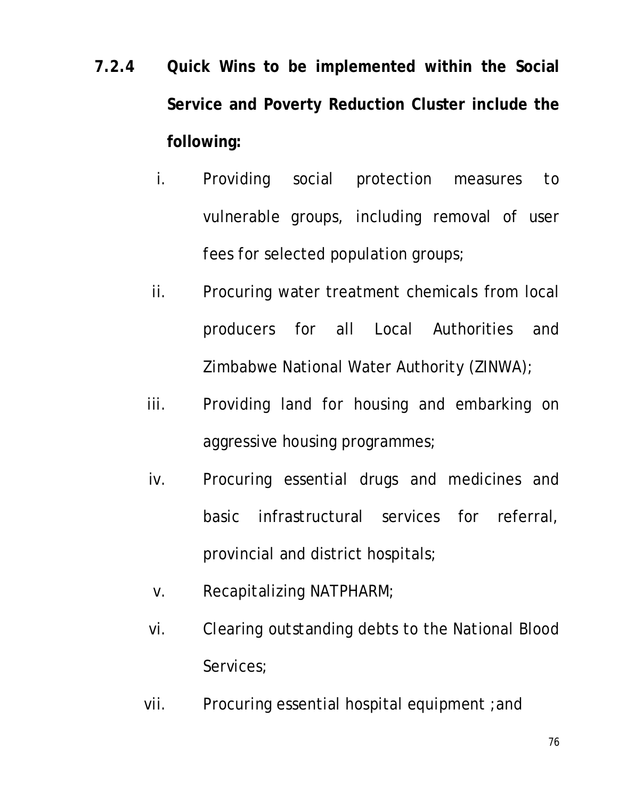- **7.2.4 Quick Wins to be implemented within the Social Service and Poverty Reduction Cluster include the following:**
	- i. Providing social protection measures to vulnerable groups, including removal of user fees for selected population groups;
	- ii. Procuring water treatment chemicals from local producers for all Local Authorities and Zimbabwe National Water Authority (ZINWA);
	- iii. Providing land for housing and embarking on aggressive housing programmes;
	- iv. Procuring essential drugs and medicines and basic infrastructural services for referral, provincial and district hospitals;
	- v. Recapitalizing NATPHARM;
	- vi. Clearing outstanding debts to the National Blood Services;
	- vii. Procuring essential hospital equipment ;and

76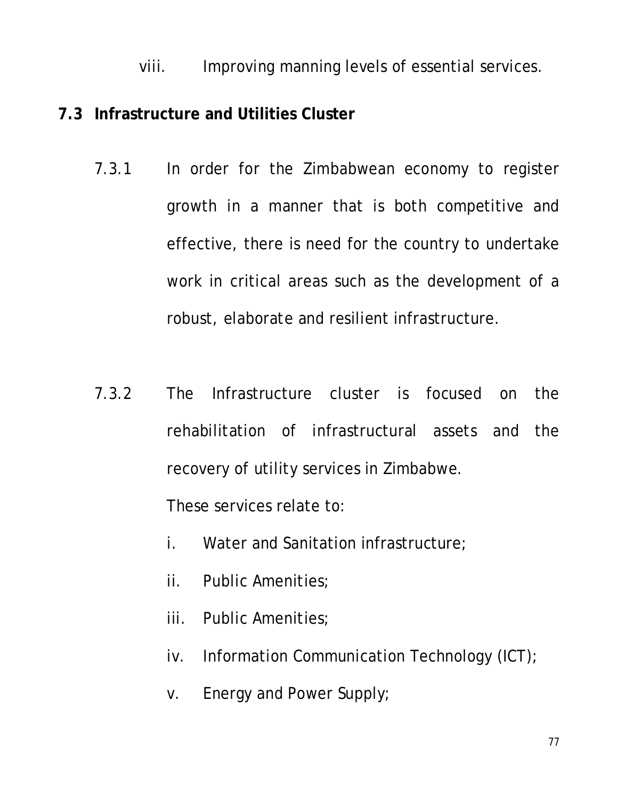viii. Improving manning levels of essential services.

#### **7.3 Infrastructure and Utilities Cluster**

- 7.3.1 In order for the Zimbabwean economy to register growth in a manner that is both competitive and effective, there is need for the country to undertake work in critical areas such as the development of a robust, elaborate and resilient infrastructure.
- 7.3.2 The Infrastructure cluster is focused on the rehabilitation of infrastructural assets and the recovery of utility services in Zimbabwe.

These services relate to:

- i. Water and Sanitation infrastructure;
- ii. Public Amenities;
- iii. Public Amenities;
- iv. Information Communication Technology (ICT);
- v. Energy and Power Supply;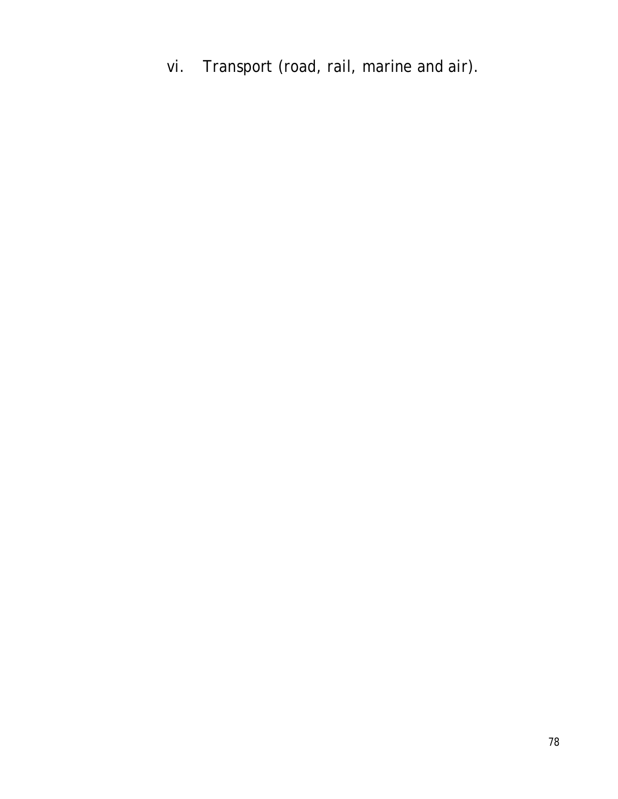vi. Transport (road, rail, marine and air).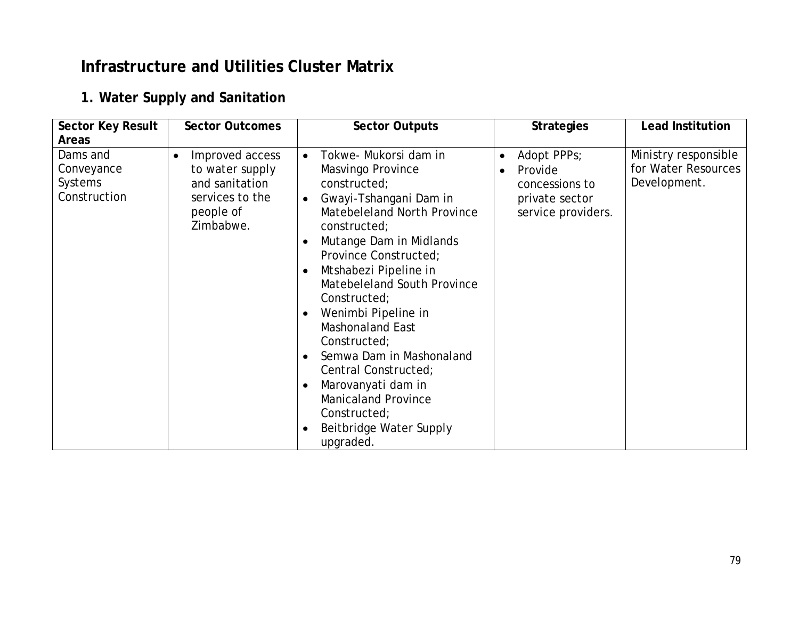### **Infrastructure and Utilities Cluster Matrix**

#### **1. Water Supply and Sanitation**

| <b>Sector Key Result</b>                                          | <b>Sector Outcomes</b>                                                                                         | <b>Sector Outputs</b>                                                                                                                                                                                                                                                                                                                                                              | <b>Strategies</b>                                                                                          | <b>Lead Institution</b>                                     |
|-------------------------------------------------------------------|----------------------------------------------------------------------------------------------------------------|------------------------------------------------------------------------------------------------------------------------------------------------------------------------------------------------------------------------------------------------------------------------------------------------------------------------------------------------------------------------------------|------------------------------------------------------------------------------------------------------------|-------------------------------------------------------------|
| <b>Areas</b><br>Dams and<br>Conveyance<br>Systems<br>Construction | Improved access<br>$\bullet$<br>to water supply<br>and sanitation<br>services to the<br>people of<br>Zimbabwe. | Tokwe- Mukorsi dam in<br>$\bullet$<br>Masvingo Province<br>constructed;<br>Gwayi-Tshangani Dam in<br>$\bullet$<br>Matebeleland North Province<br>constructed;<br>Mutange Dam in Midlands<br>$\bullet$<br>Province Constructed;<br>Mtshabezi Pipeline in<br>$\bullet$<br>Matebeleland South Province<br>Constructed;<br>Wenimbi Pipeline in<br>$\bullet$<br><b>Mashonaland East</b> | Adopt PPPs;<br>$\bullet$<br>Provide<br>$\bullet$<br>concessions to<br>private sector<br>service providers. | Ministry responsible<br>for Water Resources<br>Development. |
|                                                                   |                                                                                                                | Constructed;<br>Semwa Dam in Mashonaland<br>$\bullet$<br>Central Constructed;<br>Marovanyati dam in<br>$\bullet$<br><b>Manicaland Province</b><br>Constructed;<br>Beitbridge Water Supply<br>$\bullet$<br>upgraded.                                                                                                                                                                |                                                                                                            |                                                             |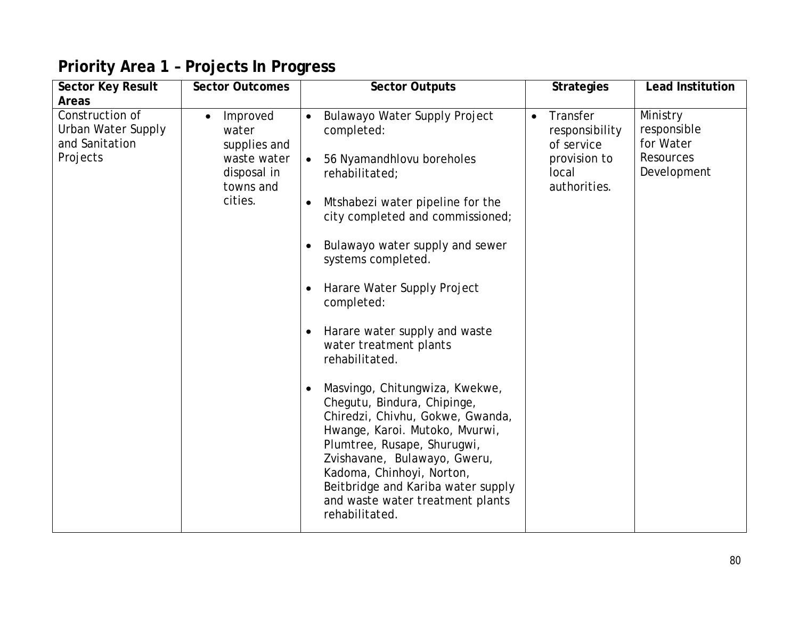| <b>Sector Key Result</b><br><b>Areas</b>                            | <b>Sector Outcomes</b>                                                                               | <b>Sector Outputs</b>                                                                                                                                                                                                                                                                                                                                                                                                                                                                                                                                                                                                                                                                                                                                              | <b>Strategies</b>                                                                              | <b>Lead Institution</b>                                                 |
|---------------------------------------------------------------------|------------------------------------------------------------------------------------------------------|--------------------------------------------------------------------------------------------------------------------------------------------------------------------------------------------------------------------------------------------------------------------------------------------------------------------------------------------------------------------------------------------------------------------------------------------------------------------------------------------------------------------------------------------------------------------------------------------------------------------------------------------------------------------------------------------------------------------------------------------------------------------|------------------------------------------------------------------------------------------------|-------------------------------------------------------------------------|
| Construction of<br>Urban Water Supply<br>and Sanitation<br>Projects | Improved<br>$\bullet$<br>water<br>supplies and<br>waste water<br>disposal in<br>towns and<br>cities. | Bulawayo Water Supply Project<br>$\bullet$<br>completed:<br>56 Nyamandhlovu boreholes<br>$\bullet$<br>rehabilitated;<br>Mtshabezi water pipeline for the<br>$\bullet$<br>city completed and commissioned;<br>Bulawayo water supply and sewer<br>systems completed.<br>Harare Water Supply Project<br>$\bullet$<br>completed:<br>Harare water supply and waste<br>$\bullet$<br>water treatment plants<br>rehabilitated.<br>Masvingo, Chitungwiza, Kwekwe,<br>$\bullet$<br>Chegutu, Bindura, Chipinge,<br>Chiredzi, Chivhu, Gokwe, Gwanda,<br>Hwange, Karoi. Mutoko, Mvurwi,<br>Plumtree, Rusape, Shurugwi,<br>Zvishavane, Bulawayo, Gweru,<br>Kadoma, Chinhoyi, Norton,<br>Beitbridge and Kariba water supply<br>and waste water treatment plants<br>rehabilitated. | Transfer<br>$\bullet$<br>responsibility<br>of service<br>provision to<br>local<br>authorities. | Ministry<br>responsible<br>for Water<br><b>Resources</b><br>Development |

## **Priority Area 1 – Projects In Progress**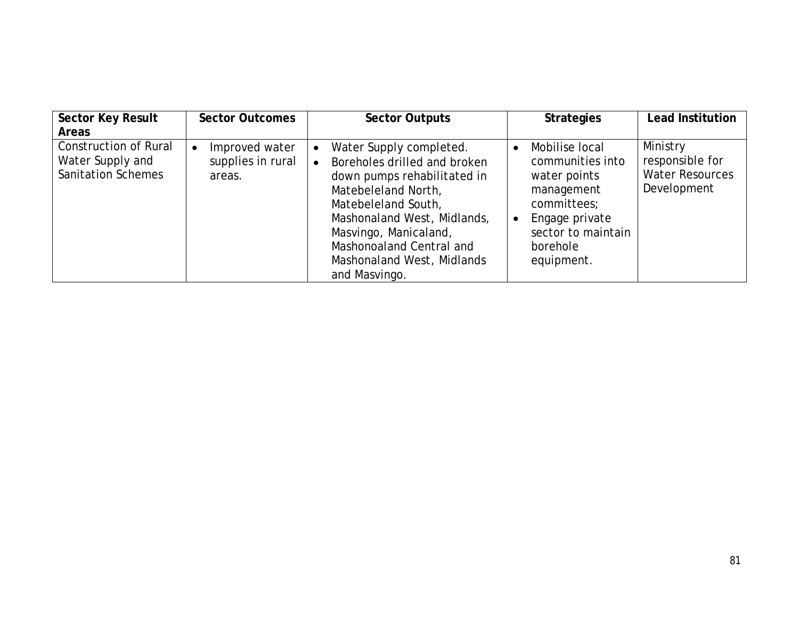| <b>Sector Key Result</b>                                                      | <b>Sector Outcomes</b>                        | <b>Sector Outputs</b>                                                                                                                                                                                                                                                                             | <b>Strategies</b>                                                                                                                                 | <b>Lead Institution</b>                                              |
|-------------------------------------------------------------------------------|-----------------------------------------------|---------------------------------------------------------------------------------------------------------------------------------------------------------------------------------------------------------------------------------------------------------------------------------------------------|---------------------------------------------------------------------------------------------------------------------------------------------------|----------------------------------------------------------------------|
| <b>Areas</b>                                                                  |                                               |                                                                                                                                                                                                                                                                                                   |                                                                                                                                                   |                                                                      |
| <b>Construction of Rural</b><br>Water Supply and<br><b>Sanitation Schemes</b> | Improved water<br>supplies in rural<br>areas. | Water Supply completed.<br>$\bullet$<br>Boreholes drilled and broken<br>$\bullet$<br>down pumps rehabilitated in<br>Matebeleland North,<br>Matebeleland South,<br>Mashonaland West, Midlands,<br>Masvingo, Manicaland,<br>Mashonoaland Central and<br>Mashonaland West, Midlands<br>and Masvingo. | Mobilise local<br>communities into<br>water points<br>management<br>committees;<br>Engage private<br>sector to maintain<br>borehole<br>equipment. | Ministry<br>responsible for<br><b>Water Resources</b><br>Development |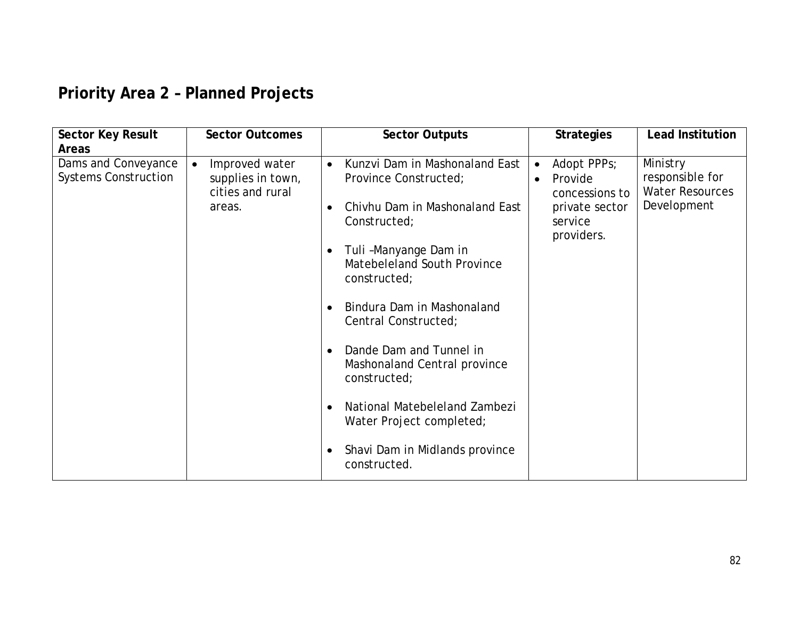## **Priority Area 2 – Planned Projects**

| <b>Areas</b><br>Dams and Conveyance<br>Ministry<br>Kunzvi Dam in Mashonaland East<br>Adopt PPPs;<br>Improved water<br>$\bullet$<br>$\bullet$<br>$\bullet$<br><b>Systems Construction</b><br>responsible for<br>supplies in town,<br>Province Constructed;<br>Provide<br>$\bullet$<br><b>Water Resources</b><br>cities and rural<br>concessions to<br>Development<br>Chivhu Dam in Mashonaland East<br>areas.<br>private sector<br>Constructed;<br>service<br>providers.<br>Tuli-Manyange Dam in<br>$\bullet$<br>Matebeleland South Province<br>constructed;<br>Bindura Dam in Mashonaland<br>Central Constructed;<br>Dande Dam and Tunnel in<br>Mashonaland Central province<br>constructed;<br>National Matebeleland Zambezi<br>Water Project completed; | <b>Sector Key Result</b> | <b>Sector Outcomes</b> | <b>Sector Outputs</b>                       | <b>Strategies</b> | <b>Lead Institution</b> |
|-----------------------------------------------------------------------------------------------------------------------------------------------------------------------------------------------------------------------------------------------------------------------------------------------------------------------------------------------------------------------------------------------------------------------------------------------------------------------------------------------------------------------------------------------------------------------------------------------------------------------------------------------------------------------------------------------------------------------------------------------------------|--------------------------|------------------------|---------------------------------------------|-------------------|-------------------------|
|                                                                                                                                                                                                                                                                                                                                                                                                                                                                                                                                                                                                                                                                                                                                                           |                          |                        |                                             |                   |                         |
| constructed.                                                                                                                                                                                                                                                                                                                                                                                                                                                                                                                                                                                                                                                                                                                                              |                          |                        | Shavi Dam in Midlands province<br>$\bullet$ |                   |                         |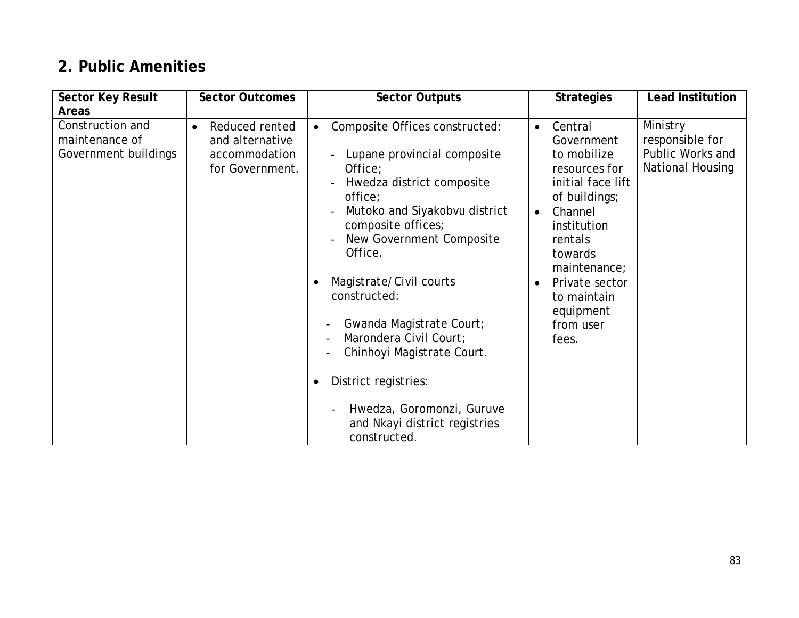## **2. Public Amenities**

| <b>Sector Key Result</b>                                   | <b>Sector Outcomes</b>                                                             | <b>Sector Outputs</b>                                                                                                                    | <b>Strategies</b>                                                                                        | <b>Lead Institution</b>                                             |
|------------------------------------------------------------|------------------------------------------------------------------------------------|------------------------------------------------------------------------------------------------------------------------------------------|----------------------------------------------------------------------------------------------------------|---------------------------------------------------------------------|
| <b>Areas</b>                                               |                                                                                    |                                                                                                                                          |                                                                                                          |                                                                     |
| Construction and<br>maintenance of<br>Government buildings | Reduced rented<br>$\bullet$<br>and alternative<br>accommodation<br>for Government. | Composite Offices constructed:<br>$\bullet$<br>Lupane provincial composite<br>Office;<br>Hwedza district composite<br>office;            | Central<br>$\bullet$<br>Government<br>to mobilize<br>resources for<br>initial face lift<br>of buildings; | Ministry<br>responsible for<br>Public Works and<br>National Housing |
|                                                            |                                                                                    | Mutoko and Siyakobvu district<br>composite offices;<br>New Government Composite<br>Office.                                               | Channel<br>$\bullet$<br>institution<br>rentals<br>towards<br>maintenance;                                |                                                                     |
|                                                            |                                                                                    | Magistrate/Civil courts<br>$\bullet$<br>constructed:<br>Gwanda Magistrate Court;<br>Marondera Civil Court;<br>Chinhoyi Magistrate Court. | Private sector<br>$\bullet$<br>to maintain<br>equipment<br>from user<br>fees.                            |                                                                     |
|                                                            |                                                                                    | District registries:<br>$\bullet$<br>Hwedza, Goromonzi, Guruve<br>and Nkayi district registries<br>constructed.                          |                                                                                                          |                                                                     |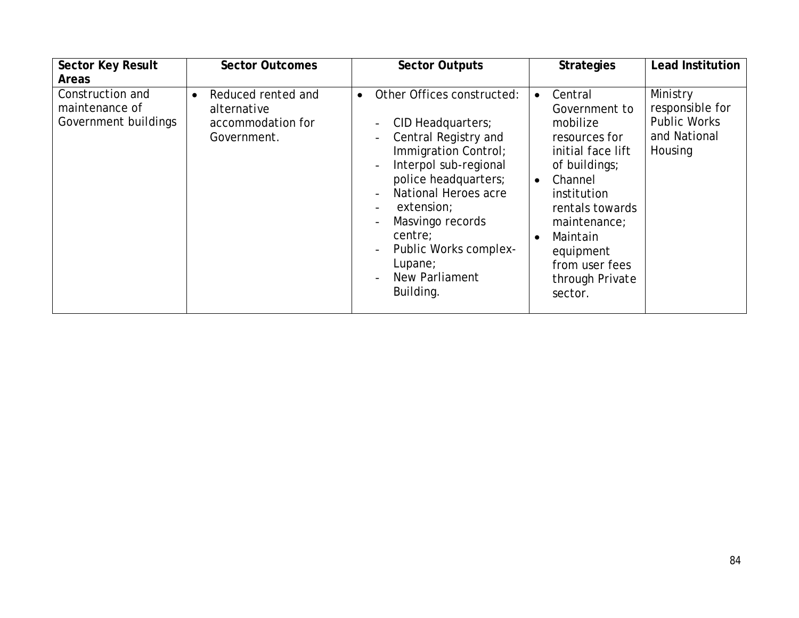| <b>Sector Key Result</b>                                   | <b>Sector Outcomes</b>                                                             | <b>Sector Outputs</b>                                                                                                                                                                                                                                                                                 | <b>Strategies</b>                                                                                                                                                                                                                                           | <b>Lead Institution</b>                                                       |
|------------------------------------------------------------|------------------------------------------------------------------------------------|-------------------------------------------------------------------------------------------------------------------------------------------------------------------------------------------------------------------------------------------------------------------------------------------------------|-------------------------------------------------------------------------------------------------------------------------------------------------------------------------------------------------------------------------------------------------------------|-------------------------------------------------------------------------------|
| <b>Areas</b>                                               |                                                                                    |                                                                                                                                                                                                                                                                                                       |                                                                                                                                                                                                                                                             |                                                                               |
| Construction and<br>maintenance of<br>Government buildings | Reduced rented and<br>$\bullet$<br>alternative<br>accommodation for<br>Government. | Other Offices constructed:<br>$\bullet$<br>CID Headquarters;<br>Central Registry and<br>Immigration Control;<br>Interpol sub-regional<br>police headquarters;<br>National Heroes acre<br>extension;<br>Masvingo records<br>centre;<br>Public Works complex-<br>Lupane;<br>New Parliament<br>Building. | Central<br>$\bullet$<br>Government to<br>mobilize<br>resources for<br>initial face lift<br>of buildings;<br>Channel<br>$\bullet$<br>institution<br>rentals towards<br>maintenance;<br>Maintain<br>equipment<br>from user fees<br>through Private<br>sector. | Ministry<br>responsible for<br><b>Public Works</b><br>and National<br>Housing |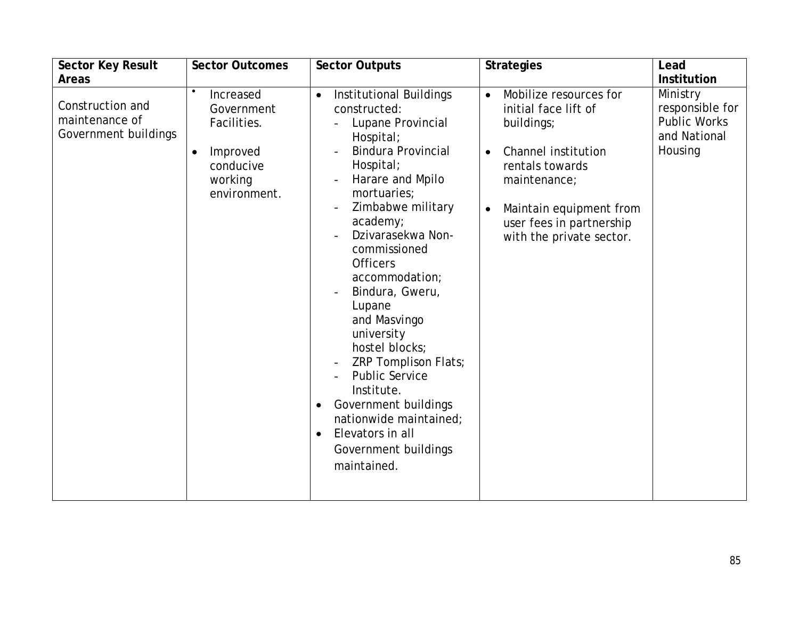| <b>Sector Key Result</b>                                   | <b>Sector Outcomes</b>                                                                                  | <b>Sector Outputs</b>                                                                                                                                                                                                                                                                                                                                                                                                                                                                                                                                                                              | <b>Strategies</b>                                                                                                                                                                                                                   | Lead                                                                          |
|------------------------------------------------------------|---------------------------------------------------------------------------------------------------------|----------------------------------------------------------------------------------------------------------------------------------------------------------------------------------------------------------------------------------------------------------------------------------------------------------------------------------------------------------------------------------------------------------------------------------------------------------------------------------------------------------------------------------------------------------------------------------------------------|-------------------------------------------------------------------------------------------------------------------------------------------------------------------------------------------------------------------------------------|-------------------------------------------------------------------------------|
| <b>Areas</b>                                               |                                                                                                         |                                                                                                                                                                                                                                                                                                                                                                                                                                                                                                                                                                                                    |                                                                                                                                                                                                                                     | <b>Institution</b>                                                            |
| Construction and<br>maintenance of<br>Government buildings | Increased<br>Government<br>Facilities.<br>Improved<br>$\bullet$<br>conducive<br>working<br>environment. | Institutional Buildings<br>$\bullet$<br>constructed:<br>Lupane Provincial<br>Hospital;<br><b>Bindura Provincial</b><br>Hospital;<br>Harare and Mpilo<br>mortuaries;<br>Zimbabwe military<br>$\overline{\phantom{a}}$<br>academy;<br>Dzivarasekwa Non-<br>commissioned<br><b>Officers</b><br>accommodation;<br>Bindura, Gweru,<br>Lupane<br>and Masvingo<br>university<br>hostel blocks;<br>ZRP Tomplison Flats;<br>$\overline{a}$<br><b>Public Service</b><br>Institute.<br>Government buildings<br>nationwide maintained;<br>Elevators in all<br>$\bullet$<br>Government buildings<br>maintained. | Mobilize resources for<br>$\bullet$<br>initial face lift of<br>buildings;<br>Channel institution<br>rentals towards<br>maintenance;<br>Maintain equipment from<br>$\bullet$<br>user fees in partnership<br>with the private sector. | Ministry<br>responsible for<br><b>Public Works</b><br>and National<br>Housing |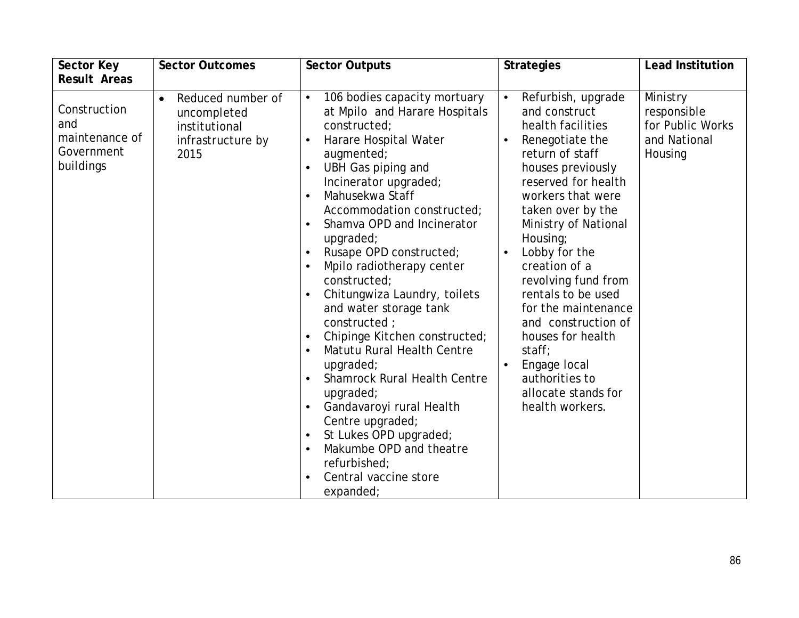| <b>Sector Key</b>                                                | <b>Sector Outcomes</b>                                                         | <b>Sector Outputs</b>                                                                                                                                                                                                                                                                                                                                                                                                                                                                                                                                                                                                                                                                                                                                                                                                                           | <b>Strategies</b>                                                                                                                                                                                                                                                                                                                                                                                                                                               | <b>Lead Institution</b>                                                |
|------------------------------------------------------------------|--------------------------------------------------------------------------------|-------------------------------------------------------------------------------------------------------------------------------------------------------------------------------------------------------------------------------------------------------------------------------------------------------------------------------------------------------------------------------------------------------------------------------------------------------------------------------------------------------------------------------------------------------------------------------------------------------------------------------------------------------------------------------------------------------------------------------------------------------------------------------------------------------------------------------------------------|-----------------------------------------------------------------------------------------------------------------------------------------------------------------------------------------------------------------------------------------------------------------------------------------------------------------------------------------------------------------------------------------------------------------------------------------------------------------|------------------------------------------------------------------------|
| <b>Result Areas</b>                                              |                                                                                |                                                                                                                                                                                                                                                                                                                                                                                                                                                                                                                                                                                                                                                                                                                                                                                                                                                 |                                                                                                                                                                                                                                                                                                                                                                                                                                                                 |                                                                        |
| Construction<br>and<br>maintenance of<br>Government<br>buildings | Reduced number of<br>uncompleted<br>institutional<br>infrastructure by<br>2015 | 106 bodies capacity mortuary<br>$\bullet$<br>at Mpilo and Harare Hospitals<br>constructed;<br>Harare Hospital Water<br>augmented;<br>UBH Gas piping and<br>$\bullet$<br>Incinerator upgraded;<br>Mahusekwa Staff<br>$\bullet$<br>Accommodation constructed;<br>Shamva OPD and Incinerator<br>$\bullet$<br>upgraded;<br>Rusape OPD constructed;<br>Mpilo radiotherapy center<br>$\bullet$<br>constructed;<br>Chitungwiza Laundry, toilets<br>and water storage tank<br>constructed ;<br>Chipinge Kitchen constructed;<br>$\bullet$<br>Matutu Rural Health Centre<br>$\bullet$<br>upqraded;<br><b>Shamrock Rural Health Centre</b><br>$\bullet$<br>upgraded;<br>Gandavaroyi rural Health<br>Centre upgraded;<br>St Lukes OPD upgraded;<br>$\bullet$<br>Makumbe OPD and theatre<br>$\bullet$<br>refurbished;<br>Central vaccine store<br>expanded; | Refurbish, upgrade<br>and construct<br>health facilities<br>Renegotiate the<br>return of staff<br>houses previously<br>reserved for health<br>workers that were<br>taken over by the<br>Ministry of National<br>Housing;<br>Lobby for the<br>creation of a<br>revolving fund from<br>rentals to be used<br>for the maintenance<br>and construction of<br>houses for health<br>stat;<br>Engage local<br>authorities to<br>allocate stands for<br>health workers. | Ministry<br>responsible<br>for Public Works<br>and National<br>Housing |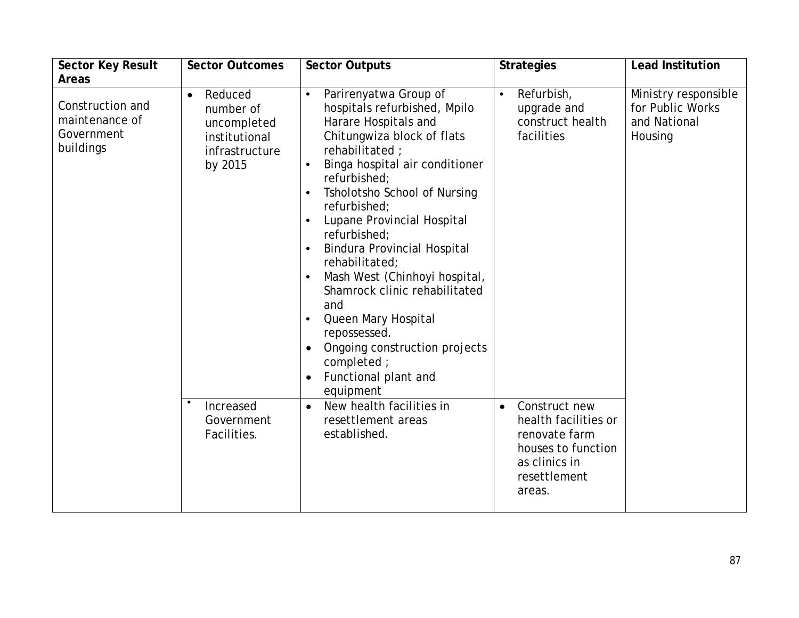| <b>Sector Key Result</b>                                      | <b>Sector Outcomes</b>                                                                         | <b>Sector Outputs</b>                                                                                                                                                                                                                                                                                                                                                                                                                                                                                                                                                                                                    | <b>Strategies</b>                                                                                                                    | <b>Lead Institution</b>                                             |
|---------------------------------------------------------------|------------------------------------------------------------------------------------------------|--------------------------------------------------------------------------------------------------------------------------------------------------------------------------------------------------------------------------------------------------------------------------------------------------------------------------------------------------------------------------------------------------------------------------------------------------------------------------------------------------------------------------------------------------------------------------------------------------------------------------|--------------------------------------------------------------------------------------------------------------------------------------|---------------------------------------------------------------------|
| <b>Areas</b>                                                  |                                                                                                |                                                                                                                                                                                                                                                                                                                                                                                                                                                                                                                                                                                                                          |                                                                                                                                      |                                                                     |
| Construction and<br>maintenance of<br>Government<br>buildings | Reduced<br>$\bullet$<br>number of<br>uncompleted<br>institutional<br>infrastructure<br>by 2015 | Parirenyatwa Group of<br>hospitals refurbished, Mpilo<br>Harare Hospitals and<br>Chitungwiza block of flats<br>rehabilitated ;<br>Binga hospital air conditioner<br>$\bullet$<br>refurbished;<br>Tsholotsho School of Nursing<br>$\bullet$<br>refurbished;<br>Lupane Provincial Hospital<br>$\bullet$<br>refurbished;<br><b>Bindura Provincial Hospital</b><br>$\bullet$<br>rehabilitated;<br>Mash West (Chinhoyi hospital,<br>$\bullet$<br>Shamrock clinic rehabilitated<br>and<br>Queen Mary Hospital<br>$\bullet$<br>repossessed.<br>Ongoing construction projects<br>completed;<br>Functional plant and<br>equipment | Refurbish,<br>$\bullet$<br>upgrade and<br>construct health<br>facilities                                                             | Ministry responsible<br>for Public Works<br>and National<br>Housing |
|                                                               | Increased<br>Government<br>Facilities.                                                         | New health facilities in<br>$\bullet$<br>resettlement areas<br>established.                                                                                                                                                                                                                                                                                                                                                                                                                                                                                                                                              | Construct new<br>$\bullet$<br>health facilities or<br>renovate farm<br>houses to function<br>as clinics in<br>resettlement<br>areas. |                                                                     |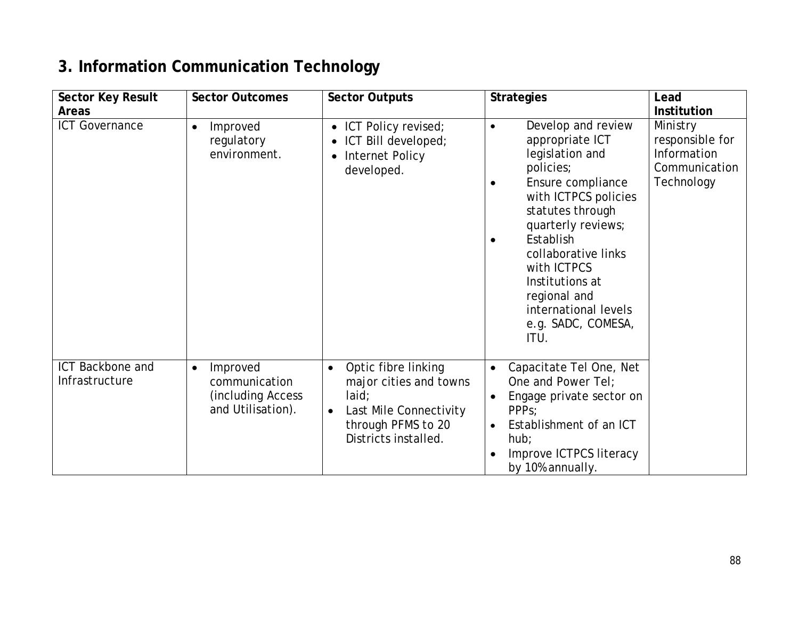## **3. Information Communication Technology**

| <b>Sector Key Result</b>           | <b>Sector Outcomes</b>                                                           | <b>Sector Outputs</b>                                                                                                                                    | <b>Strategies</b>                                                                                                                                                                                                                                                                                                                               | Lead                                                                      |
|------------------------------------|----------------------------------------------------------------------------------|----------------------------------------------------------------------------------------------------------------------------------------------------------|-------------------------------------------------------------------------------------------------------------------------------------------------------------------------------------------------------------------------------------------------------------------------------------------------------------------------------------------------|---------------------------------------------------------------------------|
| <b>Areas</b>                       |                                                                                  |                                                                                                                                                          |                                                                                                                                                                                                                                                                                                                                                 | <b>Institution</b>                                                        |
| <b>ICT Governance</b>              | Improved<br>$\bullet$<br>regulatory<br>environment.                              | ICT Policy revised;<br>$\bullet$<br>ICT Bill developed;<br>Internet Policy<br>$\bullet$<br>developed.                                                    | Develop and review<br>$\bullet$<br>appropriate ICT<br>legislation and<br>policies;<br>Ensure compliance<br>$\bullet$<br>with ICTPCS policies<br>statutes through<br>quarterly reviews;<br>Establish<br>$\bullet$<br>collaborative links<br>with ICTPCS<br>Institutions at<br>regional and<br>international levels<br>e.g. SADC, COMESA,<br>ITU. | Ministry<br>responsible for<br>Information<br>Communication<br>Technology |
| ICT Backbone and<br>Infrastructure | Improved<br>$\bullet$<br>communication<br>(including Access<br>and Utilisation). | Optic fibre linking<br>$\bullet$<br>major cities and towns<br>laid;<br>Last Mile Connectivity<br>$\bullet$<br>through PFMS to 20<br>Districts installed. | Capacitate Tel One, Net<br>$\bullet$<br>One and Power Tel;<br>Engage private sector on<br>PPP <sub>S</sub> ;<br>Establishment of an ICT<br>hub;<br>Improve ICTPCS literacy<br>by 10% annually.                                                                                                                                                  |                                                                           |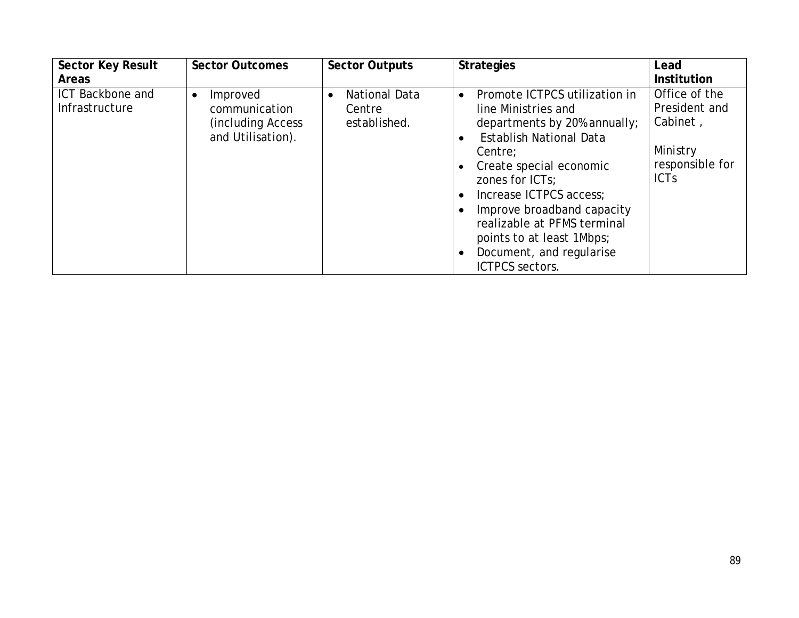| <b>Sector Key Result</b>           | <b>Sector Outcomes</b>                                                            | <b>Sector Outputs</b>                   | <b>Strategies</b>                                                                                                                                                                                                                                                                                                                                                             | Lead                                                                                     |
|------------------------------------|-----------------------------------------------------------------------------------|-----------------------------------------|-------------------------------------------------------------------------------------------------------------------------------------------------------------------------------------------------------------------------------------------------------------------------------------------------------------------------------------------------------------------------------|------------------------------------------------------------------------------------------|
| <b>Areas</b>                       |                                                                                   |                                         |                                                                                                                                                                                                                                                                                                                                                                               | <b>Institution</b>                                                                       |
| ICT Backbone and<br>Infrastructure | Improved<br>$\bullet$<br>communication<br>(including Access)<br>and Utilisation). | National Data<br>Centre<br>established. | Promote ICTPCS utilization in<br>$\bullet$<br>line Ministries and<br>departments by 20% annually;<br><b>Establish National Data</b><br>$\bullet$<br>Centre;<br>Create special economic<br>zones for ICTs;<br>Increase ICTPCS access;<br>Improve broadband capacity<br>realizable at PFMS terminal<br>points to at least 1Mbps;<br>Document, and regularise<br>ICTPCS sectors. | Office of the<br>President and<br>Cabinet,<br>Ministry<br>responsible for<br><b>ICTs</b> |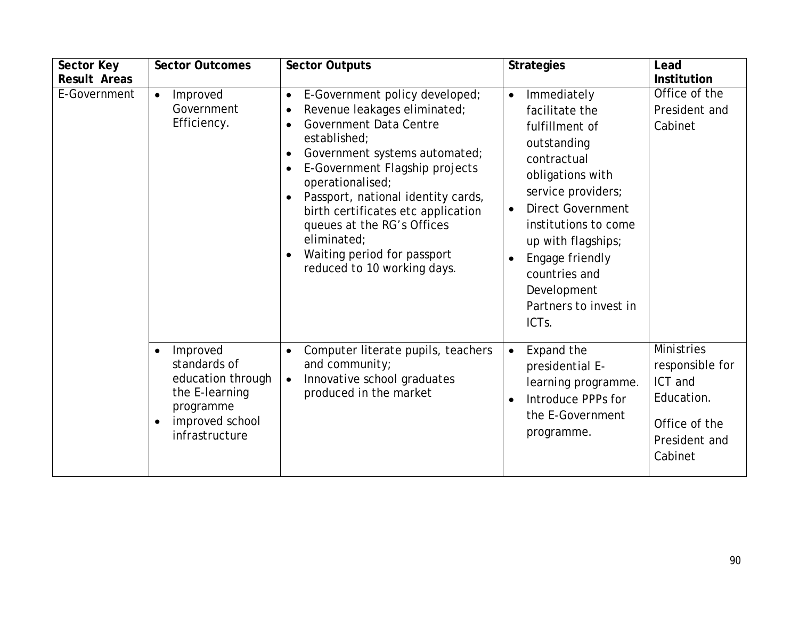| <b>Sector Key</b><br><b>Result Areas</b> | <b>Sector Outcomes</b>                                                                                                                      | <b>Sector Outputs</b>                                                                                                                                                                                                                                                                                                                                                                                                                                                             | <b>Strategies</b>                                                                                                                                                                                                                                                                                                             | Lead<br><b>Institution</b>                                                                                 |
|------------------------------------------|---------------------------------------------------------------------------------------------------------------------------------------------|-----------------------------------------------------------------------------------------------------------------------------------------------------------------------------------------------------------------------------------------------------------------------------------------------------------------------------------------------------------------------------------------------------------------------------------------------------------------------------------|-------------------------------------------------------------------------------------------------------------------------------------------------------------------------------------------------------------------------------------------------------------------------------------------------------------------------------|------------------------------------------------------------------------------------------------------------|
| E-Government                             | Improved<br>$\bullet$<br>Government<br>Efficiency.                                                                                          | E-Government policy developed;<br>$\bullet$<br>Revenue leakages eliminated;<br>$\bullet$<br>Government Data Centre<br>$\bullet$<br>established;<br>Government systems automated;<br>$\bullet$<br>E-Government Flagship projects<br>$\bullet$<br>operationalised;<br>Passport, national identity cards,<br>$\bullet$<br>birth certificates etc application<br>queues at the RG's Offices<br>eliminated;<br>Waiting period for passport<br>$\bullet$<br>reduced to 10 working days. | Immediately<br>$\bullet$<br>facilitate the<br>fulfillment of<br>outstanding<br>contractual<br>obligations with<br>service providers;<br><b>Direct Government</b><br>$\bullet$<br>institutions to come<br>up with flagships;<br>Engage friendly<br>countries and<br>Development<br>Partners to invest in<br>ICT <sub>s</sub> . | Office of the<br>President and<br>Cabinet                                                                  |
|                                          | Improved<br>$\bullet$<br>standards of<br>education through<br>the E-learning<br>programme<br>improved school<br>$\bullet$<br>infrastructure | Computer literate pupils, teachers<br>$\bullet$<br>and community;<br>Innovative school graduates<br>$\bullet$<br>produced in the market                                                                                                                                                                                                                                                                                                                                           | Expand the<br>$\bullet$<br>presidential E-<br>learning programme.<br>Introduce PPPs for<br>$\bullet$<br>the E-Government<br>programme.                                                                                                                                                                                        | <b>Ministries</b><br>responsible for<br>ICT and<br>Education.<br>Office of the<br>President and<br>Cabinet |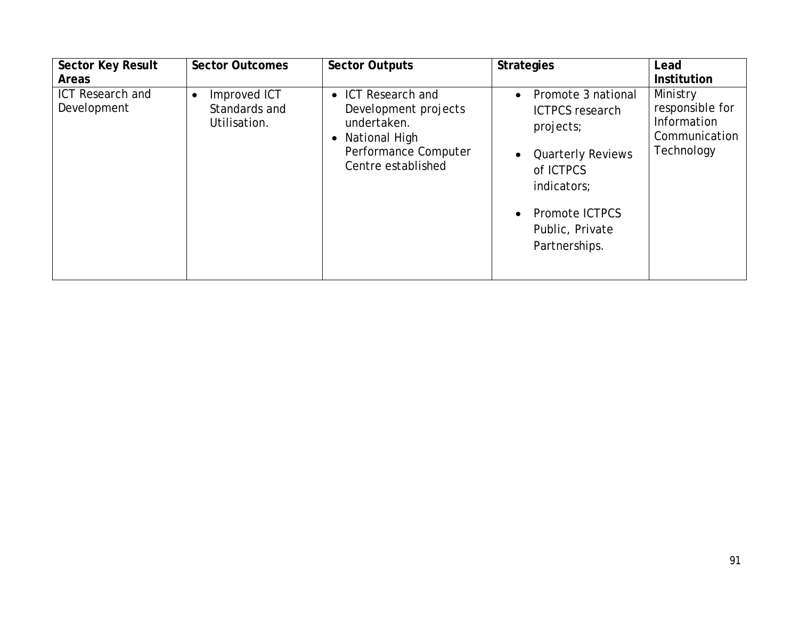| <b>Sector Key Result</b>               | <b>Sector Outcomes</b>                                     | <b>Sector Outputs</b>                                                                                                      | <b>Strategies</b>                                                                                                                                                       | Lead                                                                      |
|----------------------------------------|------------------------------------------------------------|----------------------------------------------------------------------------------------------------------------------------|-------------------------------------------------------------------------------------------------------------------------------------------------------------------------|---------------------------------------------------------------------------|
| <b>Areas</b>                           |                                                            |                                                                                                                            |                                                                                                                                                                         | <b>Institution</b>                                                        |
| <b>ICT Research and</b><br>Development | Improved ICT<br>$\bullet$<br>Standards and<br>Utilisation. | • ICT Research and<br>Development projects<br>undertaken.<br>• National High<br>Performance Computer<br>Centre established | Promote 3 national<br><b>ICTPCS</b> research<br>projects;<br><b>Quarterly Reviews</b><br>of ICTPCS<br>indicators;<br>Promote ICTPCS<br>Public, Private<br>Partnerships. | Ministry<br>responsible for<br>Information<br>Communication<br>Technology |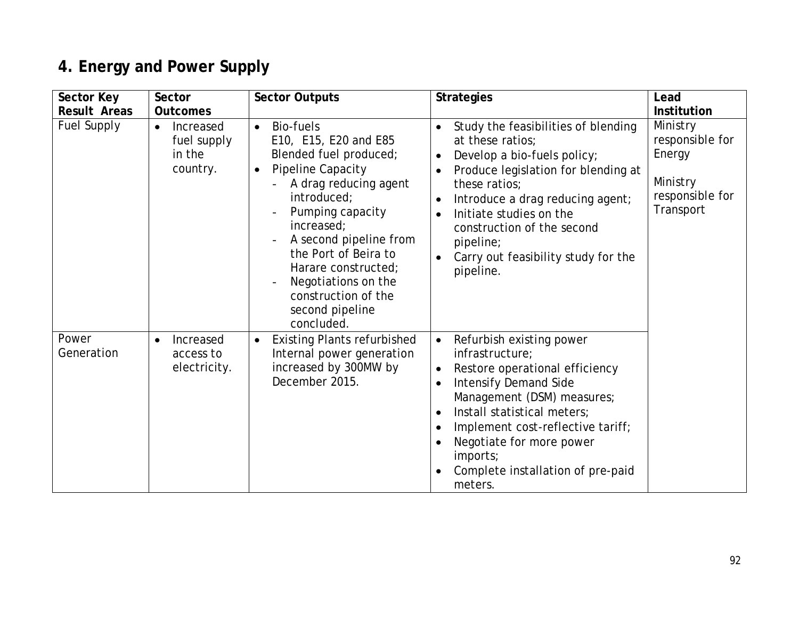# **4. Energy and Power Supply**

| Sector Key          | <b>Sector</b>                                               | <b>Sector Outputs</b>                                                                                                                                                                                                                                                                                                                         | <b>Strategies</b>                                                                                                                                                                                                                                                                                                                                                        | Lead                                                                              |
|---------------------|-------------------------------------------------------------|-----------------------------------------------------------------------------------------------------------------------------------------------------------------------------------------------------------------------------------------------------------------------------------------------------------------------------------------------|--------------------------------------------------------------------------------------------------------------------------------------------------------------------------------------------------------------------------------------------------------------------------------------------------------------------------------------------------------------------------|-----------------------------------------------------------------------------------|
| <b>Result Areas</b> | <b>Outcomes</b>                                             |                                                                                                                                                                                                                                                                                                                                               |                                                                                                                                                                                                                                                                                                                                                                          | <b>Institution</b>                                                                |
| Fuel Supply         | Increased<br>$\bullet$<br>fuel supply<br>in the<br>country. | Bio-fuels<br>$\bullet$<br>E10, E15, E20 and E85<br>Blended fuel produced;<br>Pipeline Capacity<br>$\bullet$<br>A drag reducing agent<br>introduced;<br>Pumping capacity<br>increased;<br>A second pipeline from<br>the Port of Beira to<br>Harare constructed;<br>Negotiations on the<br>construction of the<br>second pipeline<br>concluded. | Study the feasibilities of blending<br>at these ratios;<br>Develop a bio-fuels policy;<br>$\bullet$<br>Produce legislation for blending at<br>these ratios:<br>Introduce a drag reducing agent;<br>$\bullet$<br>Initiate studies on the<br>$\bullet$<br>construction of the second<br>pipeline;<br>Carry out feasibility study for the<br>$\bullet$<br>pipeline.         | Ministry<br>responsible for<br>Energy<br>Ministry<br>responsible for<br>Transport |
| Power<br>Generation | Increased<br>$\bullet$<br>access to<br>electricity.         | <b>Existing Plants refurbished</b><br>$\bullet$<br>Internal power generation<br>increased by 300MW by<br>December 2015.                                                                                                                                                                                                                       | Refurbish existing power<br>$\bullet$<br>infrastructure;<br>Restore operational efficiency<br>$\bullet$<br><b>Intensify Demand Side</b><br>$\bullet$<br>Management (DSM) measures;<br>Install statistical meters;<br>$\bullet$<br>Implement cost-reflective tariff;<br>$\bullet$<br>Negotiate for more power<br>imports;<br>Complete installation of pre-paid<br>meters. |                                                                                   |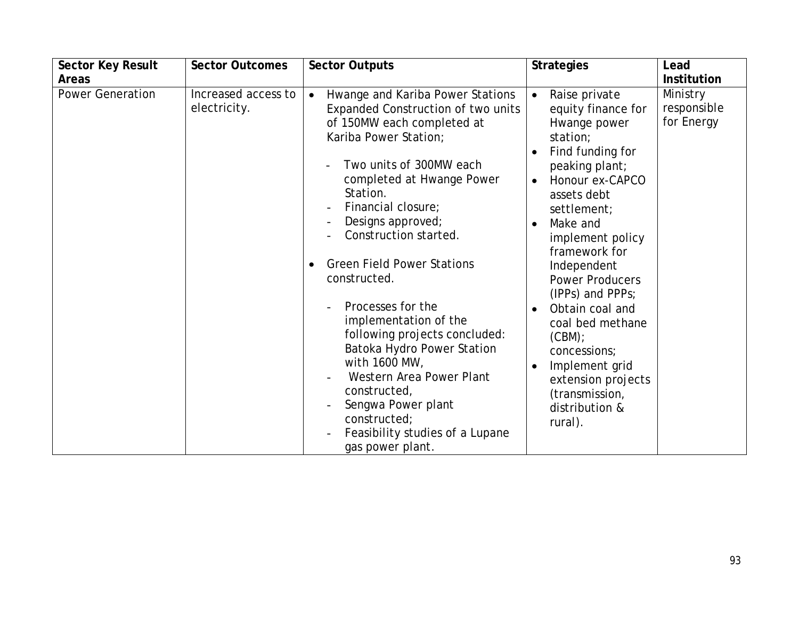| <b>Sector Key Result</b><br><b>Areas</b> | <b>Sector Outcomes</b>              | <b>Sector Outputs</b>                                                                                                                                                                                                                                                                                                                                                                                                                                                                                                                                                                                          | <b>Strategies</b>                                                                                                                                                                                                                                                                                                                                                                                                                                                                             | Lead<br><b>Institution</b>            |
|------------------------------------------|-------------------------------------|----------------------------------------------------------------------------------------------------------------------------------------------------------------------------------------------------------------------------------------------------------------------------------------------------------------------------------------------------------------------------------------------------------------------------------------------------------------------------------------------------------------------------------------------------------------------------------------------------------------|-----------------------------------------------------------------------------------------------------------------------------------------------------------------------------------------------------------------------------------------------------------------------------------------------------------------------------------------------------------------------------------------------------------------------------------------------------------------------------------------------|---------------------------------------|
| <b>Power Generation</b>                  | Increased access to<br>electricity. | Hwange and Kariba Power Stations<br>$\bullet$<br>Expanded Construction of two units<br>of 150MW each completed at<br>Kariba Power Station;<br>Two units of 300MW each<br>completed at Hwange Power<br>Station.<br>Financial closure;<br>Designs approved;<br>Construction started.<br><b>Green Field Power Stations</b><br>constructed.<br>Processes for the<br>implementation of the<br>following projects concluded:<br>Batoka Hydro Power Station<br>with 1600 MW,<br>Western Area Power Plant<br>constructed,<br>Sengwa Power plant<br>constructed;<br>Feasibility studies of a Lupane<br>gas power plant. | Raise private<br>$\bullet$<br>equity finance for<br>Hwange power<br>station;<br>Find funding for<br>peaking plant;<br>Honour ex-CAPCO<br>$\bullet$<br>assets debt<br>settlement;<br>Make and<br>$\bullet$<br>implement policy<br>framework for<br>Independent<br><b>Power Producers</b><br>(IPPs) and PPPs;<br>Obtain coal and<br>$\bullet$<br>coal bed methane<br>(CBM);<br>concessions;<br>Implement grid<br>$\bullet$<br>extension projects<br>(transmission,<br>distribution &<br>rural). | Ministry<br>responsible<br>for Energy |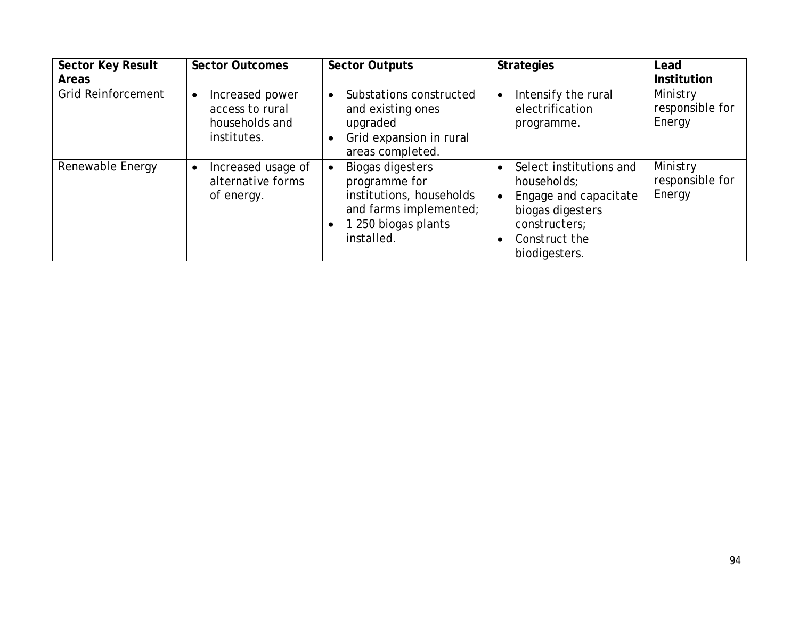| <b>Sector Key Result</b><br><b>Areas</b> | <b>Sector Outcomes</b>                                                           | <b>Sector Outputs</b>                                                                                                                            | <b>Strategies</b>                                                                                                                                                | Lead<br><b>Institution</b>            |
|------------------------------------------|----------------------------------------------------------------------------------|--------------------------------------------------------------------------------------------------------------------------------------------------|------------------------------------------------------------------------------------------------------------------------------------------------------------------|---------------------------------------|
| <b>Grid Reinforcement</b>                | Increased power<br>$\bullet$<br>access to rural<br>households and<br>institutes. | Substations constructed<br>$\bullet$<br>and existing ones<br>upgraded<br>Grid expansion in rural<br>areas completed.                             | Intensify the rural<br>$\bullet$<br>electrification<br>programme.                                                                                                | Ministry<br>responsible for<br>Energy |
| Renewable Energy                         | Increased usage of<br>$\bullet$<br>alternative forms<br>of energy.               | <b>Biogas digesters</b><br>$\bullet$<br>programme for<br>institutions, households<br>and farms implemented;<br>1 250 biogas plants<br>installed. | Select institutions and<br>$\bullet$<br>households:<br>Engage and capacitate<br>$\bullet$<br>biogas digesters<br>constructers;<br>Construct the<br>biodigesters. | Ministry<br>responsible for<br>Energy |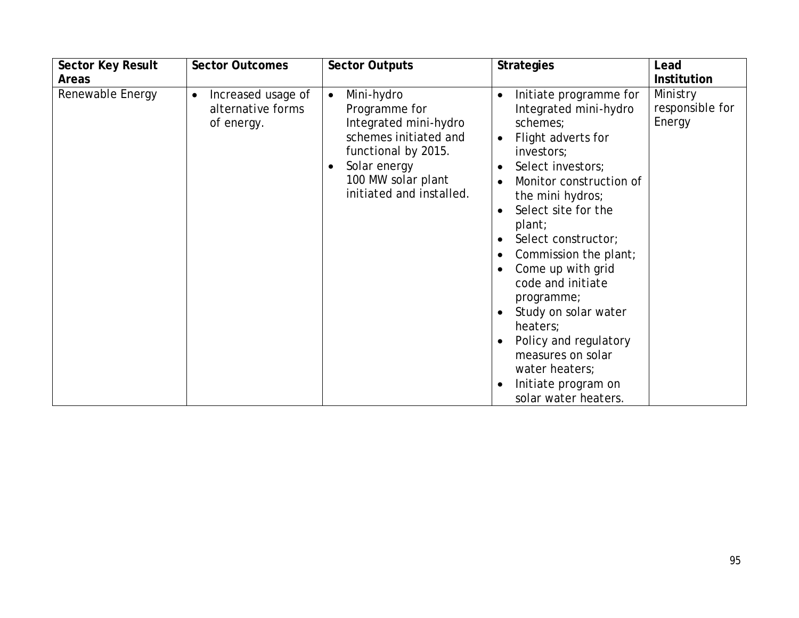| <b>Sector Key Result</b> | <b>Sector Outcomes</b>                                             | <b>Sector Outputs</b>                                                                                                                                                               | <b>Strategies</b>                                                                                                                                                                                                                                                                                                                                                                                                                                                                                                                     | Lead                                  |
|--------------------------|--------------------------------------------------------------------|-------------------------------------------------------------------------------------------------------------------------------------------------------------------------------------|---------------------------------------------------------------------------------------------------------------------------------------------------------------------------------------------------------------------------------------------------------------------------------------------------------------------------------------------------------------------------------------------------------------------------------------------------------------------------------------------------------------------------------------|---------------------------------------|
| <b>Areas</b>             |                                                                    |                                                                                                                                                                                     |                                                                                                                                                                                                                                                                                                                                                                                                                                                                                                                                       | <b>Institution</b>                    |
| Renewable Energy         | Increased usage of<br>$\bullet$<br>alternative forms<br>of energy. | Mini-hydro<br>$\bullet$<br>Programme for<br>Integrated mini-hydro<br>schemes initiated and<br>functional by 2015.<br>Solar energy<br>100 MW solar plant<br>initiated and installed. | Initiate programme for<br>$\bullet$<br>Integrated mini-hydro<br>schemes;<br>Flight adverts for<br>$\bullet$<br>investors;<br>Select investors;<br>$\bullet$<br>Monitor construction of<br>$\bullet$<br>the mini hydros;<br>Select site for the<br>$\bullet$<br>plant;<br>Select constructor;<br>Commission the plant;<br>٠<br>Come up with grid<br>code and initiate<br>programme;<br>Study on solar water<br>heaters;<br>Policy and regulatory<br>measures on solar<br>water heaters;<br>Initiate program on<br>solar water heaters. | Ministry<br>responsible for<br>Energy |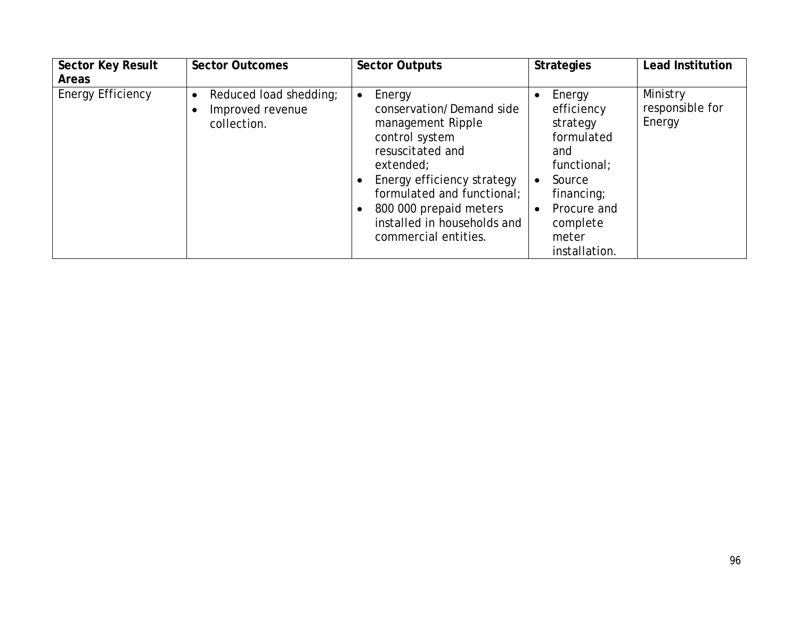| <b>Sector Key Result</b><br><b>Areas</b> | <b>Sector Outcomes</b>                                                 | <b>Sector Outputs</b>                                                                                                                                                                                                                                                | <b>Strategies</b>                                                                                                                                                           | <b>Lead Institution</b>               |
|------------------------------------------|------------------------------------------------------------------------|----------------------------------------------------------------------------------------------------------------------------------------------------------------------------------------------------------------------------------------------------------------------|-----------------------------------------------------------------------------------------------------------------------------------------------------------------------------|---------------------------------------|
| <b>Energy Efficiency</b>                 | Reduced load shedding;<br>$\bullet$<br>Improved revenue<br>collection. | Energy<br>$\bullet$<br>conservation/Demand side<br>management Ripple<br>control system<br>resuscitated and<br>extended;<br>Energy efficiency strategy<br>formulated and functional;<br>800 000 prepaid meters<br>installed in households and<br>commercial entities. | Energy<br>efficiency<br>strategy<br>formulated<br>and<br>functional;<br>Source<br>$\bullet$<br>financing;<br>Procure and<br>$\bullet$<br>complete<br>meter<br>installation. | Ministry<br>responsible for<br>Energy |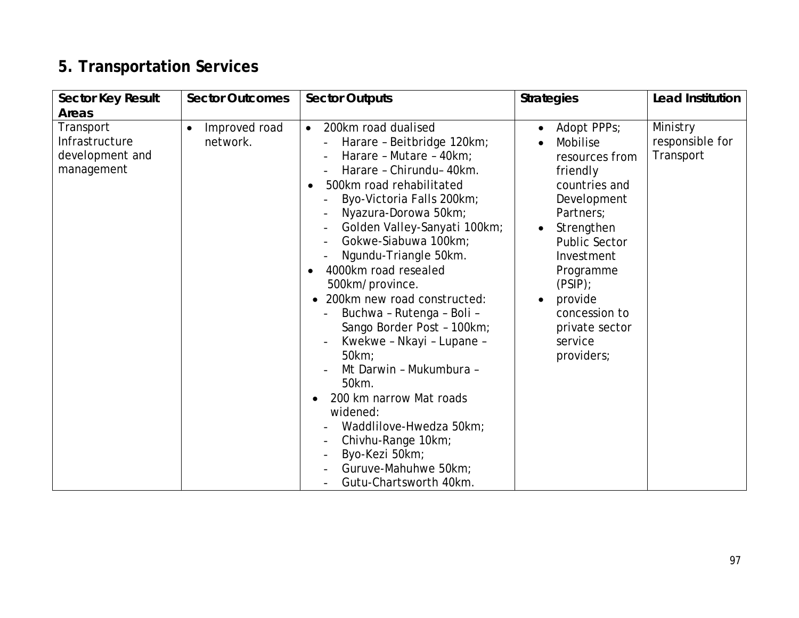# **5. Transportation Services**

| <b>Sector Key Result</b>                                     | <b>Sector Outcomes</b>                 | <b>Sector Outputs</b>                                                                                                                                                                                                                                                                                                                                                                                                                                                                                                                                                                                                                                                                                                                                                                                      | <b>Strategies</b>                                                                                                                                                                                                                                                              | <b>Lead Institution</b>                  |
|--------------------------------------------------------------|----------------------------------------|------------------------------------------------------------------------------------------------------------------------------------------------------------------------------------------------------------------------------------------------------------------------------------------------------------------------------------------------------------------------------------------------------------------------------------------------------------------------------------------------------------------------------------------------------------------------------------------------------------------------------------------------------------------------------------------------------------------------------------------------------------------------------------------------------------|--------------------------------------------------------------------------------------------------------------------------------------------------------------------------------------------------------------------------------------------------------------------------------|------------------------------------------|
| <b>Areas</b>                                                 |                                        |                                                                                                                                                                                                                                                                                                                                                                                                                                                                                                                                                                                                                                                                                                                                                                                                            |                                                                                                                                                                                                                                                                                |                                          |
| Transport<br>Infrastructure<br>development and<br>management | Improved road<br>$\bullet$<br>network. | 200km road dualised<br>$\bullet$<br>Harare - Beitbridge 120km;<br>Harare - Mutare - 40km;<br>Harare - Chirundu- 40km.<br>500km road rehabilitated<br>$\bullet$<br>Byo-Victoria Falls 200km;<br>Nyazura-Dorowa 50km;<br>Golden Valley-Sanyati 100km;<br>Gokwe-Siabuwa 100km;<br>$\overline{\phantom{a}}$<br>Ngundu-Triangle 50km.<br>4000km road resealed<br>$\bullet$<br>500km/province.<br>200km new road constructed:<br>$\bullet$<br>Buchwa - Rutenga - Boli -<br>Sango Border Post - 100km;<br>Kwekwe - Nkayi - Lupane -<br>50km;<br>Mt Darwin - Mukumbura -<br>50km.<br>200 km narrow Mat roads<br>$\bullet$<br>widened:<br>Waddlilove-Hwedza 50km;<br>Chivhu-Range 10km;<br>$\overline{\phantom{a}}$<br>Byo-Kezi 50km;<br>$\overline{\phantom{a}}$<br>Guruve-Mahuhwe 50km;<br>Gutu-Chartsworth 40km. | Adopt PPPs;<br>$\bullet$<br>Mobilise<br>resources from<br>friendly<br>countries and<br>Development<br>Partners;<br>Strengthen<br>$\bullet$<br><b>Public Sector</b><br>Investment<br>Programme<br>(PSIP)<br>provide<br>concession to<br>private sector<br>service<br>providers; | Ministry<br>responsible for<br>Transport |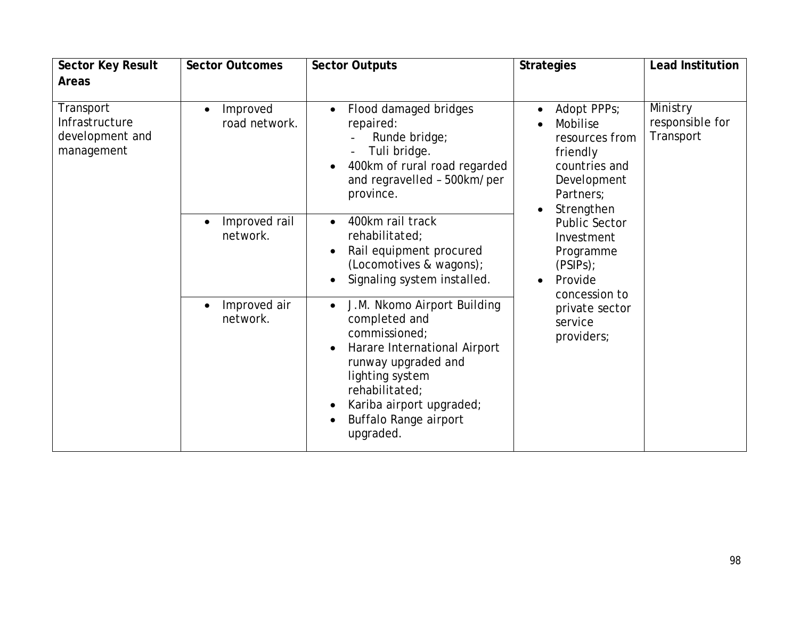| <b>Sector Key Result</b>                                                                                                                                                 | <b>Sector Outcomes</b>                                                                                                               | <b>Sector Outputs</b>                                                                                                                                                                                                                    | <b>Strategies</b>                                                                                                                          | <b>Lead Institution</b>                  |
|--------------------------------------------------------------------------------------------------------------------------------------------------------------------------|--------------------------------------------------------------------------------------------------------------------------------------|------------------------------------------------------------------------------------------------------------------------------------------------------------------------------------------------------------------------------------------|--------------------------------------------------------------------------------------------------------------------------------------------|------------------------------------------|
| <b>Areas</b>                                                                                                                                                             |                                                                                                                                      |                                                                                                                                                                                                                                          |                                                                                                                                            |                                          |
| Transport<br>Improved<br>$\bullet$<br>Infrastructure<br>development and<br>management<br>Improved rail<br>$\bullet$<br>network.<br>Improved air<br>$\bullet$<br>network. | road network.                                                                                                                        | Flood damaged bridges<br>repaired:<br>Runde bridge;<br>Tuli bridge.<br>400km of rural road regarded<br>and regravelled - 500km/per<br>province.                                                                                          | Adopt PPPs;<br>$\bullet$<br>Mobilise<br>resources from<br>friendly<br>countries and<br>Development<br>Partners:<br>Strengthen<br>$\bullet$ | Ministry<br>responsible for<br>Transport |
|                                                                                                                                                                          | 400km rail track<br>$\bullet$<br>rehabilitated;<br>Rail equipment procured<br>(Locomotives & wagons);<br>Signaling system installed. | Public Sector<br>Investment<br>Programme<br>(PSIPS);<br>Provide<br>$\bullet$<br>concession to                                                                                                                                            |                                                                                                                                            |                                          |
|                                                                                                                                                                          |                                                                                                                                      | J.M. Nkomo Airport Building<br>$\bullet$<br>completed and<br>commissioned;<br>Harare International Airport<br>runway upgraded and<br>lighting system<br>rehabilitated;<br>Kariba airport upgraded;<br>Buffalo Range airport<br>upgraded. | private sector<br>service<br>providers;                                                                                                    |                                          |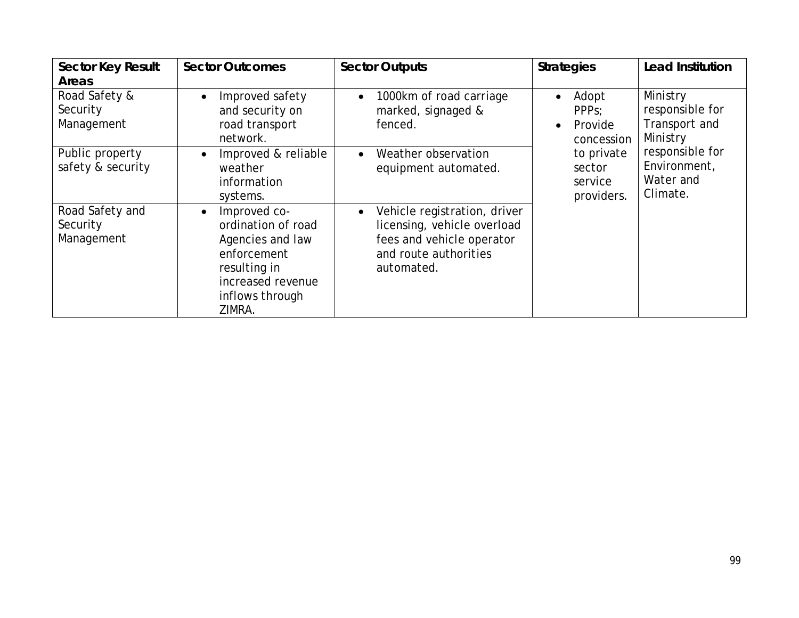| <b>Sector Key Result</b>                  | <b>Sector Outcomes</b>                                                                                                                               | <b>Sector Outputs</b>                                                                                                                        | <b>Strategies</b>                                                              | <b>Lead Institution</b>                                  |
|-------------------------------------------|------------------------------------------------------------------------------------------------------------------------------------------------------|----------------------------------------------------------------------------------------------------------------------------------------------|--------------------------------------------------------------------------------|----------------------------------------------------------|
| <b>Areas</b>                              |                                                                                                                                                      |                                                                                                                                              |                                                                                |                                                          |
| Road Safety &<br>Security<br>Management   | Improved safety<br>$\bullet$<br>and security on<br>road transport<br>network.                                                                        | 1000km of road carriage<br>$\bullet$<br>marked, signaged &<br>fenced.                                                                        | Adopt<br>$\bullet$<br>PPP <sub>S</sub> :<br>Provide<br>$\bullet$<br>concession | Ministry<br>responsible for<br>Transport and<br>Ministry |
| Public property<br>safety & security      | Improved & reliable<br>$\bullet$<br>weather<br>information<br>systems.                                                                               | Weather observation<br>$\bullet$<br>equipment automated.                                                                                     | to private<br>sector<br>service<br>providers.                                  | responsible for<br>Environment,<br>Water and<br>Climate. |
| Road Safety and<br>Security<br>Management | Improved co-<br>$\bullet$<br>ordination of road<br>Agencies and law<br>enforcement<br>resulting in<br>increased revenue<br>inflows through<br>ZIMRA. | Vehicle registration, driver<br>$\bullet$<br>licensing, vehicle overload<br>fees and vehicle operator<br>and route authorities<br>automated. |                                                                                |                                                          |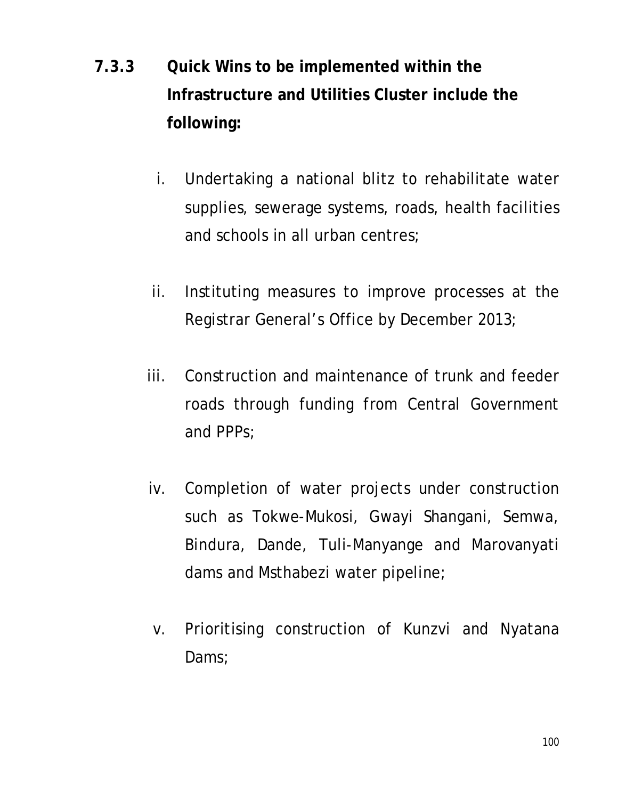# **7.3.3 Quick Wins to be implemented within the Infrastructure and Utilities Cluster include the following:**

- i. Undertaking a national blitz to rehabilitate water supplies, sewerage systems, roads, health facilities and schools in all urban centres;
- ii. Instituting measures to improve processes at the Registrar General's Office by December 2013;
- iii. Construction and maintenance of trunk and feeder roads through funding from Central Government and PPPs;
- iv. Completion of water projects under construction such as Tokwe-Mukosi, Gwayi Shangani, Semwa, Bindura, Dande, Tuli-Manyange and Marovanyati dams and Msthabezi water pipeline;
- v. Prioritising construction of Kunzvi and Nyatana Dams;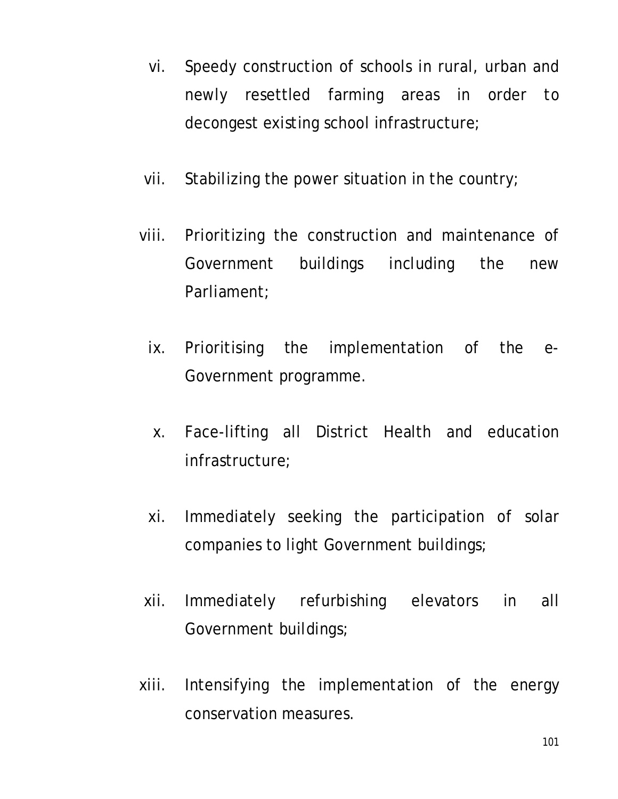- vi. Speedy construction of schools in rural, urban and newly resettled farming areas in order to decongest existing school infrastructure;
- vii. Stabilizing the power situation in the country;
- viii. Prioritizing the construction and maintenance of Government buildings including the new Parliament;
	- ix. Prioritising the implementation of the e-Government programme.
	- x. Face-lifting all District Health and education infrastructure;
	- xi. Immediately seeking the participation of solar companies to light Government buildings;
- xii. Immediately refurbishing elevators in all Government buildings;
- xiii. Intensifying the implementation of the energy conservation measures.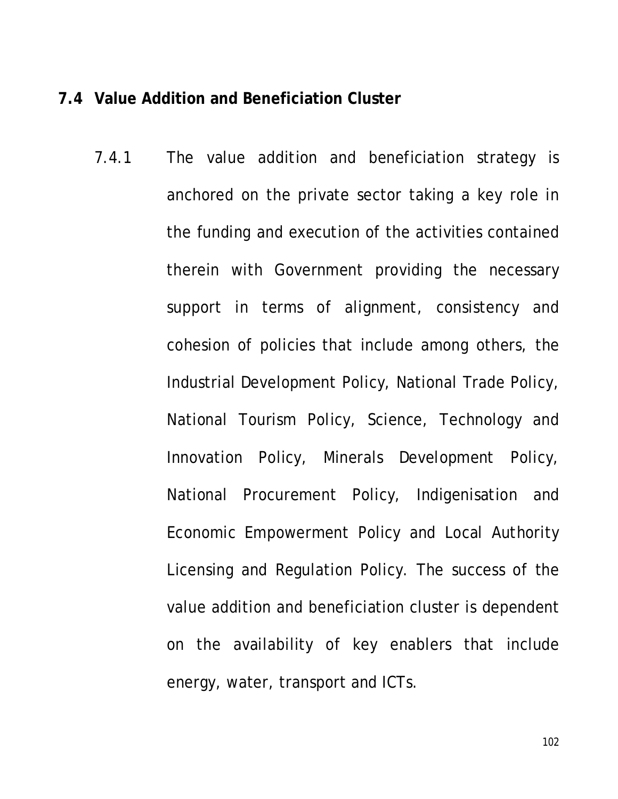#### **7.4 Value Addition and Beneficiation Cluster**

7.4.1 The value addition and beneficiation strategy is anchored on the private sector taking a key role in the funding and execution of the activities contained therein with Government providing the necessary support in terms of alignment, consistency and cohesion of policies that include among others, the Industrial Development Policy, National Trade Policy, National Tourism Policy, Science, Technology and Innovation Policy, Minerals Development Policy, National Procurement Policy, Indigenisation and Economic Empowerment Policy and Local Authority Licensing and Regulation Policy. The success of the value addition and beneficiation cluster is dependent on the availability of key enablers that include energy, water, transport and ICTs.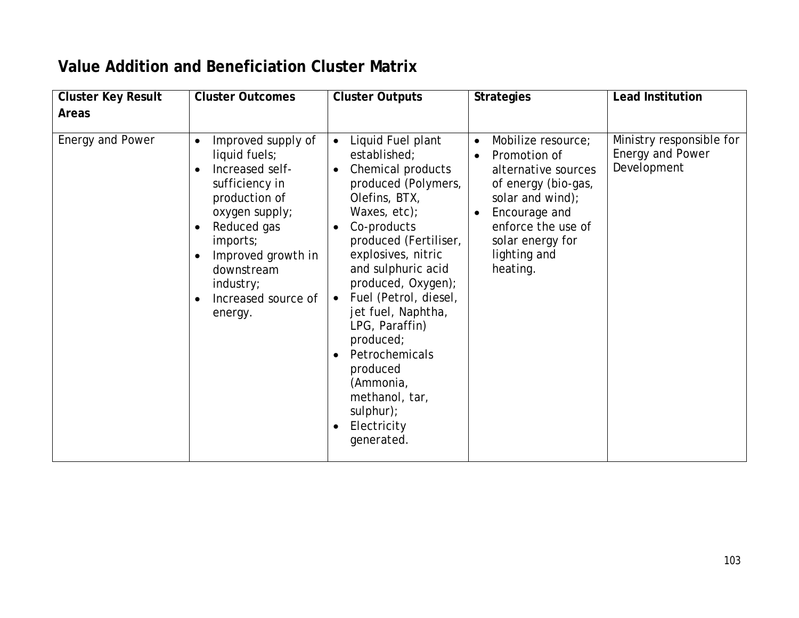### **Value Addition and Beneficiation Cluster Matrix**

| <b>Cluster Key Result</b> | <b>Cluster Outcomes</b>                                                                                                                                                                                                                                                                    | <b>Cluster Outputs</b>                                                                                                                                                                                                                                                                                                                                                                                                                                                                             | <b>Strategies</b>                                                                                                                                                                                        | <b>Lead Institution</b>                                     |
|---------------------------|--------------------------------------------------------------------------------------------------------------------------------------------------------------------------------------------------------------------------------------------------------------------------------------------|----------------------------------------------------------------------------------------------------------------------------------------------------------------------------------------------------------------------------------------------------------------------------------------------------------------------------------------------------------------------------------------------------------------------------------------------------------------------------------------------------|----------------------------------------------------------------------------------------------------------------------------------------------------------------------------------------------------------|-------------------------------------------------------------|
| <b>Areas</b>              |                                                                                                                                                                                                                                                                                            |                                                                                                                                                                                                                                                                                                                                                                                                                                                                                                    |                                                                                                                                                                                                          |                                                             |
| Energy and Power          | Improved supply of<br>$\bullet$<br>liquid fuels;<br>Increased self-<br>$\bullet$<br>sufficiency in<br>production of<br>oxygen supply;<br>Reduced gas<br>$\bullet$<br>imports;<br>Improved growth in<br>$\bullet$<br>downstream<br>industry;<br>Increased source of<br>$\bullet$<br>energy. | Liquid Fuel plant<br>$\bullet$<br>established;<br>Chemical products<br>$\bullet$<br>produced (Polymers,<br>Olefins, BTX,<br>Waxes, etc);<br>Co-products<br>$\bullet$<br>produced (Fertiliser,<br>explosives, nitric<br>and sulphuric acid<br>produced, Oxygen);<br>Fuel (Petrol, diesel,<br>$\bullet$<br>jet fuel, Naphtha,<br>LPG, Paraffin)<br>produced;<br>Petrochemicals<br>$\bullet$<br>produced<br>(Ammonia,<br>methanol, tar,<br>$s$ ulphur $)$ ;<br>Electricity<br>$\bullet$<br>generated. | Mobilize resource;<br>$\bullet$<br>Promotion of<br>alternative sources<br>of energy (bio-gas,<br>solar and wind);<br>Encourage and<br>enforce the use of<br>solar energy for<br>lighting and<br>heating. | Ministry responsible for<br>Energy and Power<br>Development |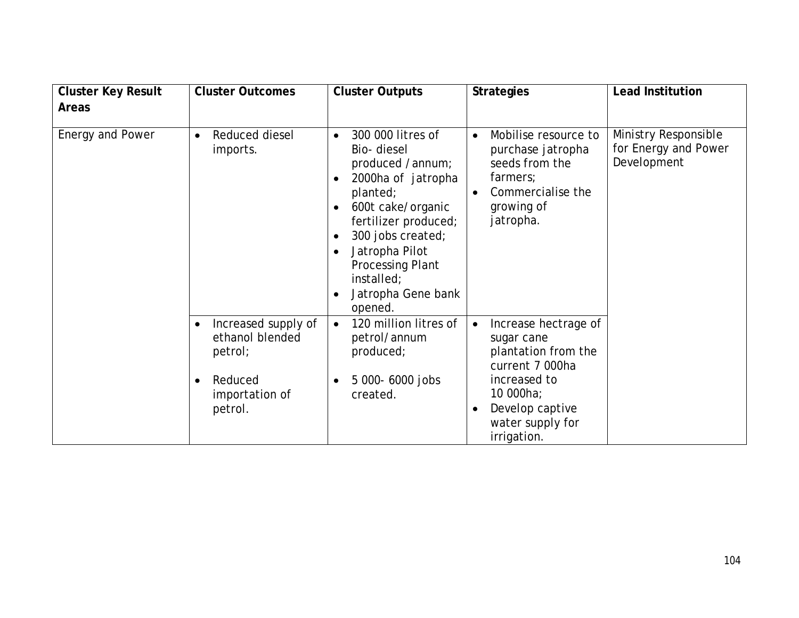| <b>Cluster Key Result</b> | <b>Cluster Outcomes</b>                                                                                             | <b>Cluster Outputs</b>                                                                                                                                                                                                                                                                                                            | <b>Strategies</b>                                                                                                                                                                         | <b>Lead Institution</b>                                     |
|---------------------------|---------------------------------------------------------------------------------------------------------------------|-----------------------------------------------------------------------------------------------------------------------------------------------------------------------------------------------------------------------------------------------------------------------------------------------------------------------------------|-------------------------------------------------------------------------------------------------------------------------------------------------------------------------------------------|-------------------------------------------------------------|
| <b>Areas</b>              |                                                                                                                     |                                                                                                                                                                                                                                                                                                                                   |                                                                                                                                                                                           |                                                             |
| Energy and Power          | Reduced diesel<br>$\bullet$<br>imports.                                                                             | 300 000 litres of<br>$\bullet$<br>Bio-diesel<br>produced /annum;<br>2000ha of jatropha<br>$\bullet$<br>planted;<br>600t cake/organic<br>$\bullet$<br>fertilizer produced;<br>300 jobs created;<br>$\bullet$<br>Jatropha Pilot<br>$\bullet$<br><b>Processing Plant</b><br>installed;<br>Jatropha Gene bank<br>$\bullet$<br>opened. | Mobilise resource to<br>$\bullet$<br>purchase jatropha<br>seeds from the<br>farmers;<br>Commercialise the<br>$\bullet$<br>growing of<br>jatropha.                                         | Ministry Responsible<br>for Energy and Power<br>Development |
|                           | Increased supply of<br>$\bullet$<br>ethanol blended<br>petrol;<br>Reduced<br>$\bullet$<br>importation of<br>petrol. | 120 million litres of<br>$\bullet$<br>petrol/annum<br>produced;<br>5 000-6000 jobs<br>$\bullet$<br>created.                                                                                                                                                                                                                       | Increase hectrage of<br>$\bullet$<br>sugar cane<br>plantation from the<br>current 7 000ha<br>increased to<br>10 000ha;<br>Develop captive<br>$\bullet$<br>water supply for<br>irrigation. |                                                             |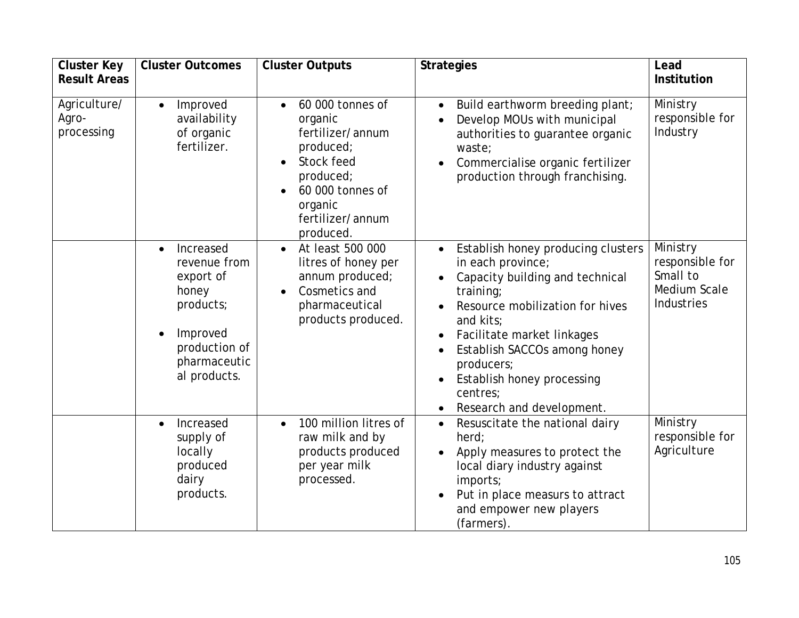| <b>Cluster Key</b>                  | <b>Cluster Outcomes</b>                                                                                                                | <b>Cluster Outputs</b>                                                                                                                                               | <b>Strategies</b>                                                                                                                                                                                                                                                                                          | Lead                                                                  |
|-------------------------------------|----------------------------------------------------------------------------------------------------------------------------------------|----------------------------------------------------------------------------------------------------------------------------------------------------------------------|------------------------------------------------------------------------------------------------------------------------------------------------------------------------------------------------------------------------------------------------------------------------------------------------------------|-----------------------------------------------------------------------|
| <b>Result Areas</b>                 |                                                                                                                                        |                                                                                                                                                                      |                                                                                                                                                                                                                                                                                                            | Institution                                                           |
| Agriculture/<br>Agro-<br>processing | Improved<br>$\bullet$<br>availability<br>of organic<br>fertilizer.                                                                     | 60 000 tonnes of<br>$\bullet$<br>organic<br>fertilizer/annum<br>produced;<br>Stock feed<br>produced;<br>60 000 tonnes of<br>organic<br>fertilizer/annum<br>produced. | Build earthworm breeding plant;<br>$\bullet$<br>Develop MOUs with municipal<br>authorities to guarantee organic<br>waste;<br>Commercialise organic fertilizer<br>production through franchising.                                                                                                           | Ministry<br>responsible for<br>Industry                               |
|                                     | Increased<br>$\bullet$<br>revenue from<br>export of<br>honey<br>products;<br>Improved<br>production of<br>pharmaceutic<br>al products. | At least 500 000<br>$\bullet$<br>litres of honey per<br>annum produced;<br>Cosmetics and<br>pharmaceutical<br>products produced.                                     | Establish honey producing clusters<br>in each province;<br>Capacity building and technical<br>training;<br>Resource mobilization for hives<br>and kits;<br>Facilitate market linkages<br>Establish SACCOs among honey<br>producers;<br>Establish honey processing<br>centres;<br>Research and development. | Ministry<br>responsible for<br>Small to<br>Medium Scale<br>Industries |
|                                     | Increased<br>$\bullet$<br>supply of<br>locally<br>produced<br>dairy<br>products.                                                       | 100 million litres of<br>$\bullet$<br>raw milk and by<br>products produced<br>per year milk<br>processed.                                                            | Resuscitate the national dairy<br>$\bullet$<br>herd:<br>Apply measures to protect the<br>local diary industry against<br>imports;<br>Put in place measurs to attract<br>and empower new players<br>(farmers).                                                                                              | Ministry<br>responsible for<br>Agriculture                            |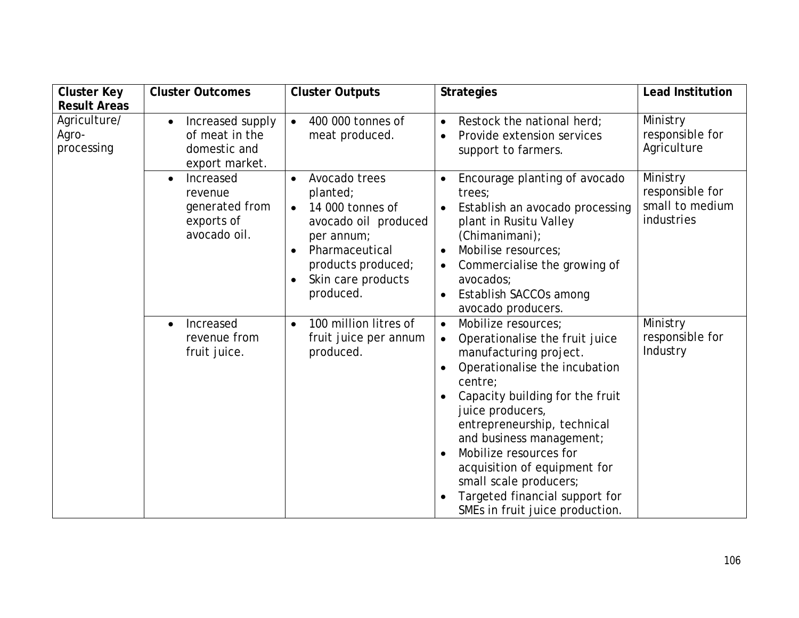| <b>Cluster Key</b>                  | <b>Cluster Outcomes</b>                                                           | <b>Cluster Outputs</b>                                                                                                                                                                   | <b>Strategies</b>                                                                                                                                                                                                                                                                                                                                                                                                                | <b>Lead Institution</b>                                      |
|-------------------------------------|-----------------------------------------------------------------------------------|------------------------------------------------------------------------------------------------------------------------------------------------------------------------------------------|----------------------------------------------------------------------------------------------------------------------------------------------------------------------------------------------------------------------------------------------------------------------------------------------------------------------------------------------------------------------------------------------------------------------------------|--------------------------------------------------------------|
| <b>Result Areas</b>                 |                                                                                   |                                                                                                                                                                                          |                                                                                                                                                                                                                                                                                                                                                                                                                                  |                                                              |
| Agriculture/<br>Agro-<br>processing | Increased supply<br>of meat in the<br>domestic and<br>export market.              | 400 000 tonnes of<br>$\bullet$<br>meat produced.                                                                                                                                         | Restock the national herd;<br>$\bullet$<br>Provide extension services<br>$\bullet$<br>support to farmers.                                                                                                                                                                                                                                                                                                                        | Ministry<br>responsible for<br>Agriculture                   |
|                                     | Increased<br>$\bullet$<br>revenue<br>generated from<br>exports of<br>avocado oil. | Avocado trees<br>$\bullet$<br>planted;<br>14 000 tonnes of<br>$\bullet$<br>avocado oil produced<br>per annum;<br>Pharmaceutical<br>products produced;<br>Skin care products<br>produced. | Encourage planting of avocado<br>trees;<br>Establish an avocado processing<br>$\bullet$<br>plant in Rusitu Valley<br>(Chimanimani);<br>Mobilise resources;<br>Commercialise the growing of<br>$\bullet$<br>avocados:<br>Establish SACCOs among<br>avocado producers.                                                                                                                                                             | Ministry<br>responsible for<br>small to medium<br>industries |
|                                     | Increased<br>$\bullet$<br>revenue from<br>fruit juice.                            | 100 million litres of<br>$\bullet$<br>fruit juice per annum<br>produced.                                                                                                                 | Mobilize resources:<br>$\bullet$<br>Operationalise the fruit juice<br>$\bullet$<br>manufacturing project.<br>Operationalise the incubation<br>centre;<br>Capacity building for the fruit<br>juice producers,<br>entrepreneurship, technical<br>and business management;<br>Mobilize resources for<br>acquisition of equipment for<br>small scale producers;<br>Targeted financial support for<br>SMEs in fruit juice production. | Ministry<br>responsible for<br>Industry                      |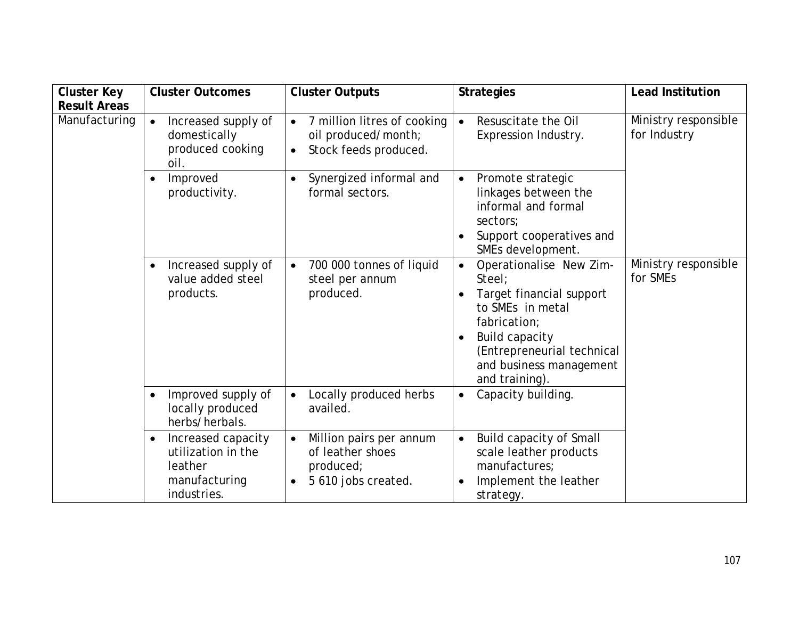| <b>Cluster Key</b>  | <b>Cluster Outcomes</b>                                                                          | <b>Cluster Outputs</b>                                                                                | <b>Strategies</b>                                                                                                                                                                                                               | <b>Lead Institution</b>              |
|---------------------|--------------------------------------------------------------------------------------------------|-------------------------------------------------------------------------------------------------------|---------------------------------------------------------------------------------------------------------------------------------------------------------------------------------------------------------------------------------|--------------------------------------|
| <b>Result Areas</b> |                                                                                                  |                                                                                                       |                                                                                                                                                                                                                                 |                                      |
| Manufacturing       | Increased supply of<br>$\bullet$<br>domestically<br>produced cooking<br>oil.                     | 7 million litres of cooking<br>$\bullet$<br>oil produced/month;<br>Stock feeds produced.<br>$\bullet$ | Resuscitate the Oil<br>$\bullet$<br>Expression Industry.                                                                                                                                                                        | Ministry responsible<br>for Industry |
|                     | Improved<br>$\bullet$<br>productivity.                                                           | Synergized informal and<br>formal sectors.                                                            | Promote strategic<br>$\bullet$<br>linkages between the<br>informal and formal<br>sectors;<br>Support cooperatives and<br>SMEs development.                                                                                      |                                      |
|                     | Increased supply of<br>$\bullet$<br>value added steel<br>products.                               | 700 000 tonnes of liquid<br>$\bullet$<br>steel per annum<br>produced.                                 | Operationalise New Zim-<br>$\bullet$<br>Steel:<br>Target financial support<br>$\bullet$<br>to SMEs in metal<br>fabrication;<br><b>Build capacity</b><br>(Entrepreneurial technical<br>and business management<br>and training). | Ministry responsible<br>for SMEs     |
|                     | Improved supply of<br>$\bullet$<br>locally produced<br>herbs/herbals.                            | Locally produced herbs<br>$\bullet$<br>availed.                                                       | Capacity building.<br>$\bullet$                                                                                                                                                                                                 |                                      |
|                     | Increased capacity<br>$\bullet$<br>utilization in the<br>leather<br>manufacturing<br>industries. | Million pairs per annum<br>$\bullet$<br>of leather shoes<br>produced;<br>5 610 jobs created.          | Build capacity of Small<br>$\bullet$<br>scale leather products<br>manufactures;<br>Implement the leather<br>strategy.                                                                                                           |                                      |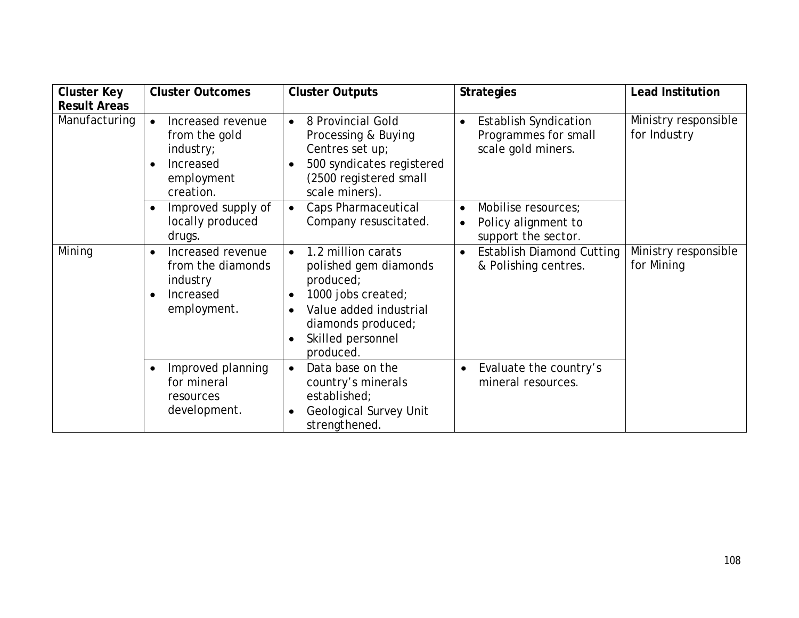| <b>Cluster Key</b>  | <b>Cluster Outcomes</b>                                                                     | <b>Cluster Outputs</b>                                                                                                                                                                     | <b>Strategies</b>                                                                           | <b>Lead Institution</b>              |
|---------------------|---------------------------------------------------------------------------------------------|--------------------------------------------------------------------------------------------------------------------------------------------------------------------------------------------|---------------------------------------------------------------------------------------------|--------------------------------------|
| <b>Result Areas</b> |                                                                                             |                                                                                                                                                                                            |                                                                                             |                                      |
| Manufacturing       | Increased revenue<br>from the gold<br>industry;<br>Increased<br>employment<br>creation.     | 8 Provincial Gold<br>$\bullet$<br>Processing & Buying<br>Centres set up;<br>500 syndicates registered<br>(2500 registered small<br>scale miners).                                          | <b>Establish Syndication</b><br>$\bullet$<br>Programmes for small<br>scale gold miners.     | Ministry responsible<br>for Industry |
|                     | Improved supply of<br>locally produced<br>drugs.                                            | Caps Pharmaceutical<br>Company resuscitated.                                                                                                                                               | Mobilise resources;<br>$\bullet$<br>Policy alignment to<br>$\bullet$<br>support the sector. |                                      |
| Mining              | Increased revenue<br>$\bullet$<br>from the diamonds<br>industry<br>Increased<br>employment. | 1.2 million carats<br>polished gem diamonds<br>produced;<br>1000 jobs created;<br>$\bullet$<br>Value added industrial<br>$\bullet$<br>diamonds produced;<br>Skilled personnel<br>produced. | <b>Establish Diamond Cutting</b><br>& Polishing centres.                                    | Ministry responsible<br>for Mining   |
|                     | Improved planning<br>for mineral<br>resources<br>development.                               | Data base on the<br>$\bullet$<br>country's minerals<br>established;<br><b>Geological Survey Unit</b><br>strengthened.                                                                      | Evaluate the country's<br>$\bullet$<br>mineral resources.                                   |                                      |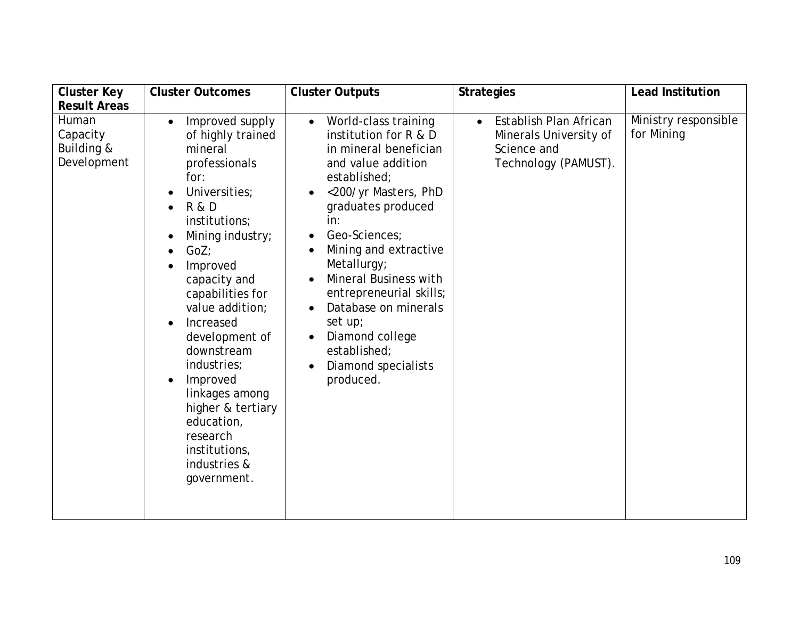| <b>Cluster Key</b>                             | <b>Cluster Outcomes</b>                                                                                                                                                                                                                                                                                                                                                                                                                                                                              | <b>Cluster Outputs</b>                                                                                                                                                                                                                                                                                                                                                                                                                       | <b>Strategies</b>                                                                                    | <b>Lead Institution</b>            |
|------------------------------------------------|------------------------------------------------------------------------------------------------------------------------------------------------------------------------------------------------------------------------------------------------------------------------------------------------------------------------------------------------------------------------------------------------------------------------------------------------------------------------------------------------------|----------------------------------------------------------------------------------------------------------------------------------------------------------------------------------------------------------------------------------------------------------------------------------------------------------------------------------------------------------------------------------------------------------------------------------------------|------------------------------------------------------------------------------------------------------|------------------------------------|
| <b>Result Areas</b>                            |                                                                                                                                                                                                                                                                                                                                                                                                                                                                                                      |                                                                                                                                                                                                                                                                                                                                                                                                                                              |                                                                                                      |                                    |
| Human<br>Capacity<br>Building &<br>Development | Improved supply<br>$\bullet$<br>of highly trained<br>mineral<br>professionals<br>for:<br>Universities;<br>$\bullet$<br><b>R &amp; D</b><br>institutions;<br>Mining industry;<br>$\bullet$<br>GoZ;<br>$\bullet$<br>Improved<br>capacity and<br>capabilities for<br>value addition;<br>Increased<br>$\bullet$<br>development of<br>downstream<br>industries;<br>Improved<br>$\bullet$<br>linkages among<br>higher & tertiary<br>education,<br>research<br>institutions,<br>industries &<br>government. | World-class training<br>$\bullet$<br>institution for R & D<br>in mineral benefician<br>and value addition<br>established;<br><200/yr Masters, PhD<br>$\bullet$<br>graduates produced<br>in:<br>Geo-Sciences;<br>Mining and extractive<br>Metallurgy;<br>Mineral Business with<br>$\bullet$<br>entrepreneurial skills;<br>Database on minerals<br>$\bullet$<br>set up;<br>Diamond college<br>established;<br>Diamond specialists<br>produced. | Establish Plan African<br>$\bullet$<br>Minerals University of<br>Science and<br>Technology (PAMUST). | Ministry responsible<br>for Mining |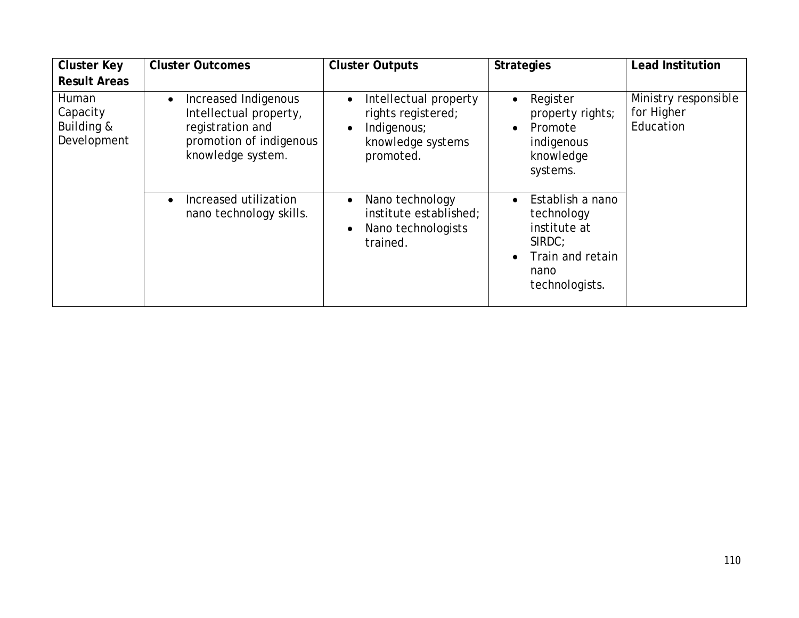| <b>Cluster Key</b>                             | <b>Cluster Outcomes</b>                                                                                                         | <b>Cluster Outputs</b>                                                                       | <b>Strategies</b>                                                                                        | <b>Lead Institution</b>                         |
|------------------------------------------------|---------------------------------------------------------------------------------------------------------------------------------|----------------------------------------------------------------------------------------------|----------------------------------------------------------------------------------------------------------|-------------------------------------------------|
| <b>Result Areas</b>                            |                                                                                                                                 |                                                                                              |                                                                                                          |                                                 |
| Human<br>Capacity<br>Building &<br>Development | Increased Indigenous<br>$\bullet$<br>Intellectual property,<br>registration and<br>promotion of indigenous<br>knowledge system. | Intellectual property<br>rights registered;<br>Indigenous;<br>knowledge systems<br>promoted. | Register<br>$\bullet$<br>property rights;<br>Promote<br>$\bullet$<br>indigenous<br>knowledge<br>systems. | Ministry responsible<br>for Higher<br>Education |
|                                                | Increased utilization<br>$\bullet$<br>nano technology skills.                                                                   | Nano technology<br>institute established;<br>Nano technologists<br>trained.                  | Establish a nano<br>technology<br>institute at<br>SIRDC:<br>Train and retain<br>nano<br>technologists.   |                                                 |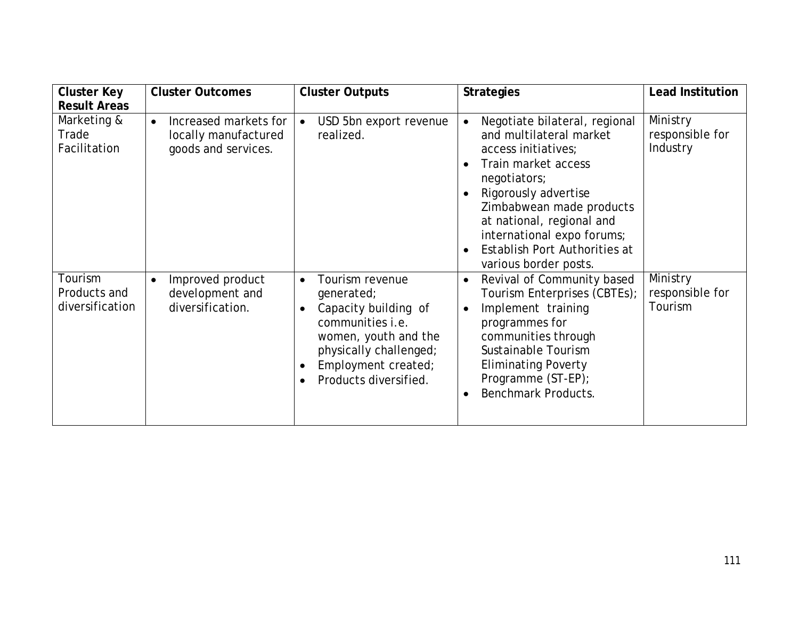| <b>Cluster Key</b>                         | <b>Cluster Outcomes</b>                                                           | <b>Cluster Outputs</b>                                                                                                                                                                   | <b>Strategies</b>                                                                                                                                                                                                                                                                                                                                   | <b>Lead Institution</b>                 |
|--------------------------------------------|-----------------------------------------------------------------------------------|------------------------------------------------------------------------------------------------------------------------------------------------------------------------------------------|-----------------------------------------------------------------------------------------------------------------------------------------------------------------------------------------------------------------------------------------------------------------------------------------------------------------------------------------------------|-----------------------------------------|
| <b>Result Areas</b>                        |                                                                                   |                                                                                                                                                                                          |                                                                                                                                                                                                                                                                                                                                                     |                                         |
| Marketing &<br>Trade<br>Facilitation       | Increased markets for<br>$\bullet$<br>locally manufactured<br>goods and services. | USD 5bn export revenue<br>$\bullet$<br>realized.                                                                                                                                         | Negotiate bilateral, regional<br>$\bullet$<br>and multilateral market<br>access initiatives;<br>Train market access<br>$\bullet$<br>negotiators;<br>Rigorously advertise<br>$\bullet$<br>Zimbabwean made products<br>at national, regional and<br>international expo forums;<br>Establish Port Authorities at<br>$\bullet$<br>various border posts. | Ministry<br>responsible for<br>Industry |
| Tourism<br>Products and<br>diversification | Improved product<br>$\bullet$<br>development and<br>diversification.              | Tourism revenue<br>$\bullet$<br>generated;<br>Capacity building of<br>communities i.e.<br>women, youth and the<br>physically challenged;<br>Employment created;<br>Products diversified. | Revival of Community based<br>$\bullet$<br>Tourism Enterprises (CBTEs);<br>Implement training<br>$\bullet$<br>programmes for<br>communities through<br>Sustainable Tourism<br><b>Eliminating Poverty</b><br>Programme (ST-EP);<br><b>Benchmark Products.</b><br>$\bullet$                                                                           | Ministry<br>responsible for<br>Tourism  |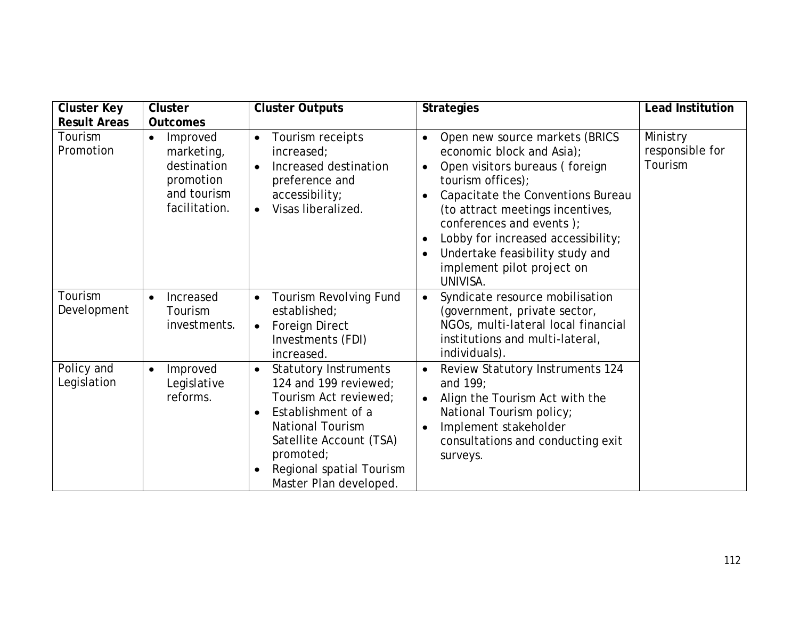| <b>Cluster Key</b>        | <b>Cluster</b>                                                                                  | <b>Cluster Outputs</b>                                                                                                                                                                                                                     | <b>Strategies</b>                                                                                                                                                                                                                                                                                                                                       | <b>Lead Institution</b>                |
|---------------------------|-------------------------------------------------------------------------------------------------|--------------------------------------------------------------------------------------------------------------------------------------------------------------------------------------------------------------------------------------------|---------------------------------------------------------------------------------------------------------------------------------------------------------------------------------------------------------------------------------------------------------------------------------------------------------------------------------------------------------|----------------------------------------|
| <b>Result Areas</b>       | <b>Outcomes</b>                                                                                 |                                                                                                                                                                                                                                            |                                                                                                                                                                                                                                                                                                                                                         |                                        |
| Tourism<br>Promotion      | Improved<br>$\bullet$<br>marketing,<br>destination<br>promotion<br>and tourism<br>facilitation. | Tourism receipts<br>$\bullet$<br>increased;<br>Increased destination<br>$\bullet$<br>preference and<br>accessibility;<br>Visas liberalized.<br>$\bullet$                                                                                   | Open new source markets (BRICS<br>$\bullet$<br>economic block and Asia);<br>Open visitors bureaus (foreign<br>tourism offices);<br>Capacitate the Conventions Bureau<br>(to attract meetings incentives,<br>conferences and events);<br>Lobby for increased accessibility;<br>Undertake feasibility study and<br>implement pilot project on<br>UNIVISA. | Ministry<br>responsible for<br>Tourism |
| Tourism<br>Development    | Increased<br>$\bullet$<br>Tourism<br>investments.                                               | Tourism Revolving Fund<br>$\bullet$<br>established;<br>Foreign Direct<br>$\bullet$<br>Investments (FDI)<br>increased.                                                                                                                      | Syndicate resource mobilisation<br>$\bullet$<br>(government, private sector,<br>NGOs, multi-lateral local financial<br>institutions and multi-lateral,<br>individuals).                                                                                                                                                                                 |                                        |
| Policy and<br>Legislation | Improved<br>$\bullet$<br>Legislative<br>reforms.                                                | <b>Statutory Instruments</b><br>124 and 199 reviewed;<br>Tourism Act reviewed;<br>Establishment of a<br>$\bullet$<br><b>National Tourism</b><br>Satellite Account (TSA)<br>promoted;<br>Regional spatial Tourism<br>Master Plan developed. | <b>Review Statutory Instruments 124</b><br>and $199$ :<br>Align the Tourism Act with the<br>$\bullet$<br>National Tourism policy;<br>Implement stakeholder<br>consultations and conducting exit<br>surveys.                                                                                                                                             |                                        |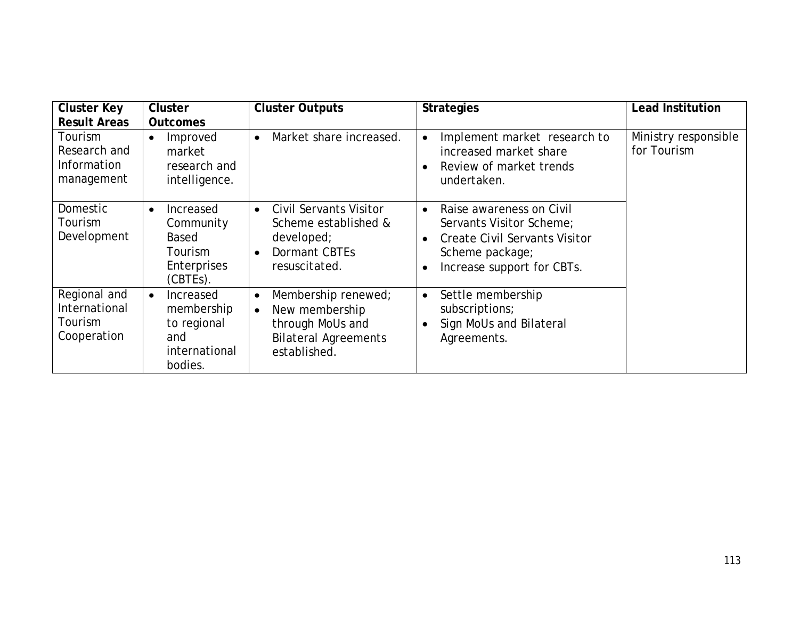| <b>Cluster Key</b><br><b>Result Areas</b>               | <b>Cluster</b><br><b>Outcomes</b>                                                                   | <b>Cluster Outputs</b>                                                                                                             | <b>Strategies</b>                                                                                                                                          | <b>Lead Institution</b>             |
|---------------------------------------------------------|-----------------------------------------------------------------------------------------------------|------------------------------------------------------------------------------------------------------------------------------------|------------------------------------------------------------------------------------------------------------------------------------------------------------|-------------------------------------|
| Tourism<br>Research and<br>Information<br>management    | Improved<br>$\bullet$<br>market<br>research and<br>intelligence.                                    | Market share increased.<br>$\bullet$                                                                                               | Implement market research to<br>$\bullet$<br>increased market share<br>Review of market trends<br>$\bullet$<br>undertaken.                                 | Ministry responsible<br>for Tourism |
| Domestic<br>Tourism<br>Development                      | Increased<br>$\bullet$<br>Community<br><b>Based</b><br><b>Tourism</b><br>Enterprises<br>$(CBTEs)$ . | <b>Civil Servants Visitor</b><br>$\bullet$<br>Scheme established &<br>developed;<br>Dormant CBTEs<br>$\bullet$<br>resuscitated.    | Raise awareness on Civil<br>$\bullet$<br>Servants Visitor Scheme;<br><b>Create Civil Servants Visitor</b><br>Scheme package;<br>Increase support for CBTs. |                                     |
| Regional and<br>International<br>Tourism<br>Cooperation | Increased<br>$\bullet$<br>membership<br>to regional<br>and<br>international<br>bodies.              | Membership renewed;<br>$\bullet$<br>New membership<br>$\bullet$<br>through MoUs and<br><b>Bilateral Agreements</b><br>established. | Settle membership<br>$\bullet$<br>subscriptions;<br>Sign MoUs and Bilateral<br>$\bullet$<br>Agreements.                                                    |                                     |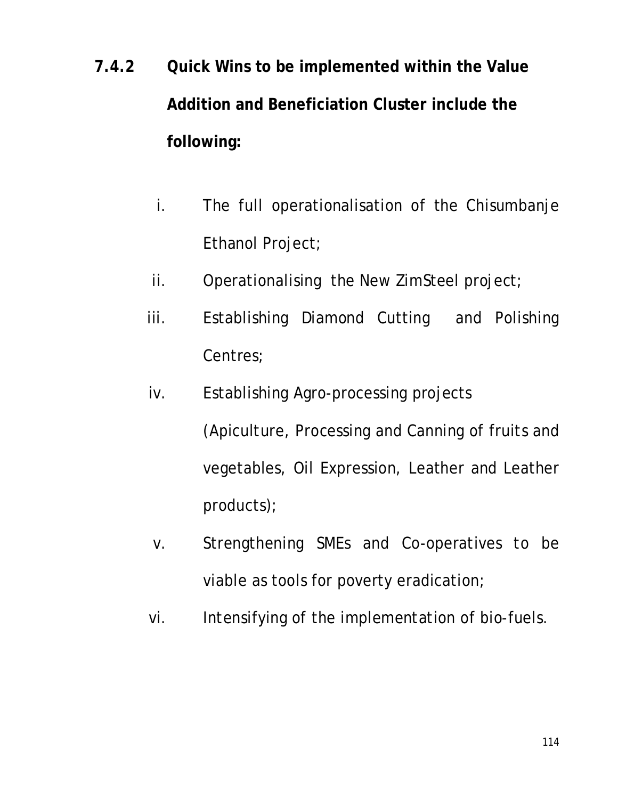- **7.4.2 Quick Wins to be implemented within the Value Addition and Beneficiation Cluster include the following:**
	- i. The full operationalisation of the Chisumbanje Ethanol Project;
	- ii. Operationalising the New ZimSteel project;
	- iii. Establishing Diamond Cutting and Polishing Centres;
	- iv. Establishing Agro-processing projects (Apiculture, Processing and Canning of fruits and vegetables, Oil Expression, Leather and Leather products);
	- v. Strengthening SMEs and Co-operatives to be viable as tools for poverty eradication;
	- vi. Intensifying of the implementation of bio-fuels.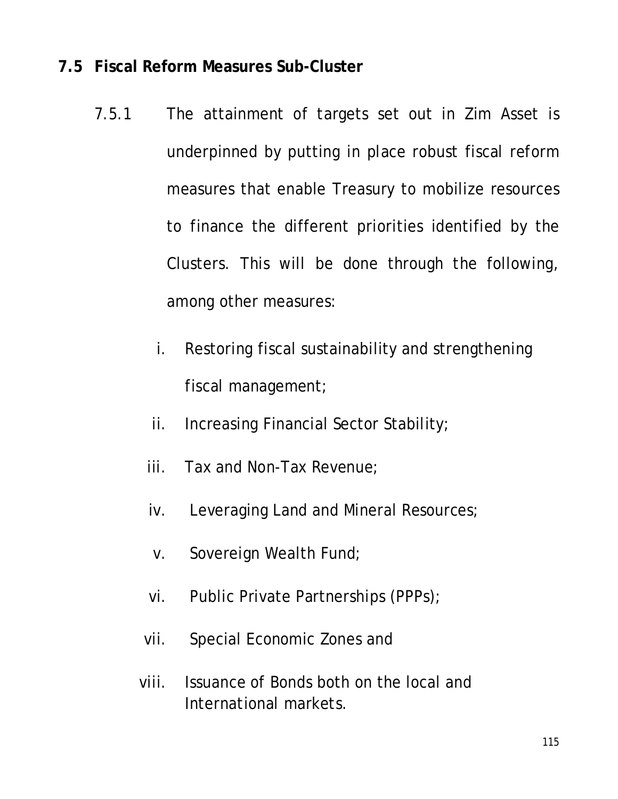## **7.5 Fiscal Reform Measures Sub-Cluster**

- 7.5.1 The attainment of targets set out in Zim Asset is underpinned by putting in place robust fiscal reform measures that enable Treasury to mobilize resources to finance the different priorities identified by the Clusters. This will be done through the following, among other measures:
	- i. Restoring fiscal sustainability and strengthening fiscal management;
	- ii. Increasing Financial Sector Stability;
	- iii. Tax and Non-Tax Revenue;
	- iv. Leveraging Land and Mineral Resources;
	- v. Sovereign Wealth Fund;
	- vi. Public Private Partnerships (PPPs);
	- vii. Special Economic Zones and
	- viii. Issuance of Bonds both on the local and International markets.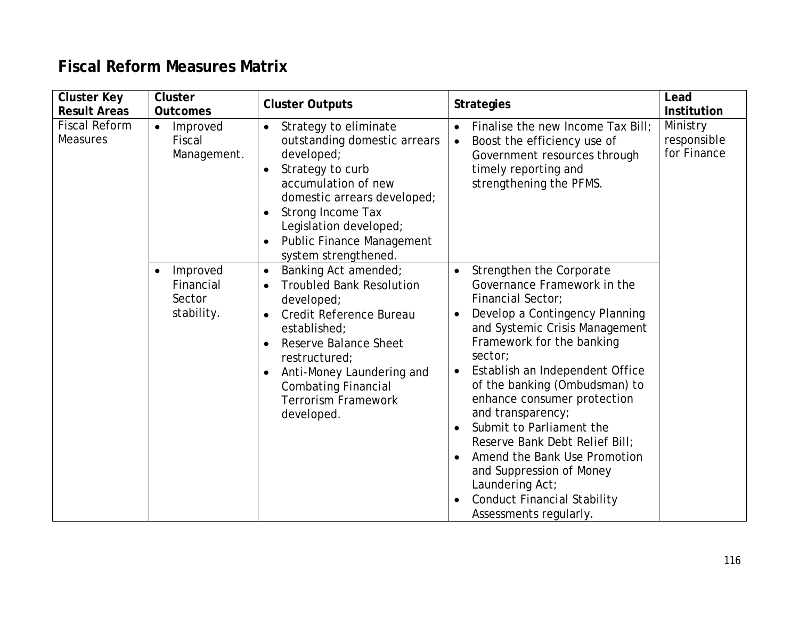## **Fiscal Reform Measures Matrix**

| <b>Cluster Key</b><br><b>Result Areas</b> | <b>Cluster</b><br><b>Outcomes</b>                          | <b>Cluster Outputs</b>                                                                                                                                                                                                                                                         | <b>Strategies</b>                                                                                                                                                                                                                                                                                                                                                                                                                                                                                                                                       | Lead<br><b>Institution</b>             |
|-------------------------------------------|------------------------------------------------------------|--------------------------------------------------------------------------------------------------------------------------------------------------------------------------------------------------------------------------------------------------------------------------------|---------------------------------------------------------------------------------------------------------------------------------------------------------------------------------------------------------------------------------------------------------------------------------------------------------------------------------------------------------------------------------------------------------------------------------------------------------------------------------------------------------------------------------------------------------|----------------------------------------|
| <b>Fiscal Reform</b><br><b>Measures</b>   | Improved<br>$\bullet$<br>Fiscal<br>Management.             | Strategy to eliminate<br>outstanding domestic arrears<br>developed;<br>Strategy to curb<br>$\bullet$<br>accumulation of new<br>domestic arrears developed;<br>Strong Income Tax<br>Legislation developed;<br><b>Public Finance Management</b><br>system strengthened.          | Finalise the new Income Tax Bill;<br>$\bullet$<br>Boost the efficiency use of<br>$\bullet$<br>Government resources through<br>timely reporting and<br>strengthening the PFMS.                                                                                                                                                                                                                                                                                                                                                                           | Ministry<br>responsible<br>for Finance |
|                                           | Improved<br>$\bullet$<br>Financial<br>Sector<br>stability. | Banking Act amended;<br>$\bullet$<br><b>Troubled Bank Resolution</b><br>developed;<br>Credit Reference Bureau<br>established;<br>Reserve Balance Sheet<br>restructured;<br>Anti-Money Laundering and<br><b>Combating Financial</b><br><b>Terrorism Framework</b><br>developed. | Strengthen the Corporate<br>Governance Framework in the<br>Financial Sector;<br>Develop a Contingency Planning<br>and Systemic Crisis Management<br>Framework for the banking<br>sector;<br>Establish an Independent Office<br>of the banking (Ombudsman) to<br>enhance consumer protection<br>and transparency;<br>Submit to Parliament the<br>$\bullet$<br>Reserve Bank Debt Relief Bill;<br>Amend the Bank Use Promotion<br>$\bullet$<br>and Suppression of Money<br>Laundering Act;<br><b>Conduct Financial Stability</b><br>Assessments regularly. |                                        |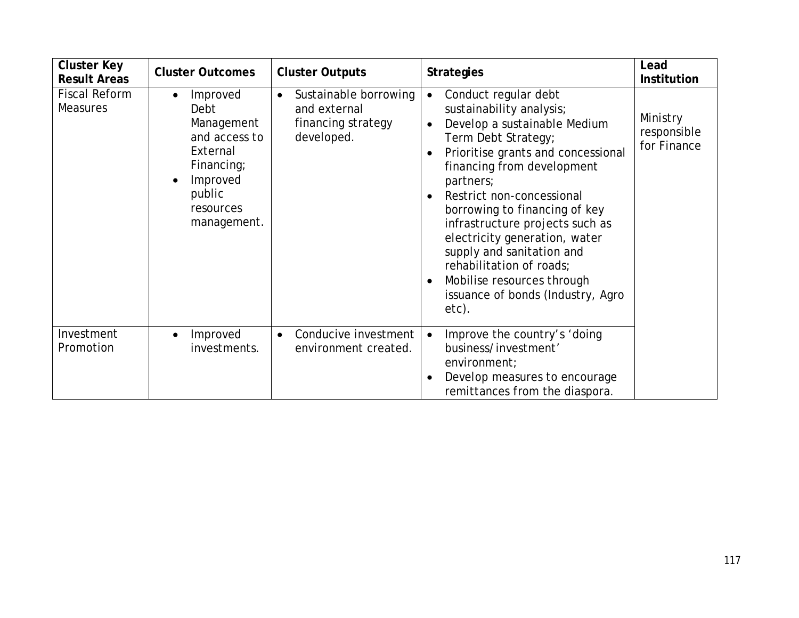| <b>Cluster Key</b><br><b>Result Areas</b> | <b>Cluster Outcomes</b>                                                                                                                  | <b>Cluster Outputs</b>                                                                 | <b>Strategies</b>                                                                                                                                                                                                                                                                                                                                                                                                                                                                         | Lead<br><b>Institution</b>             |
|-------------------------------------------|------------------------------------------------------------------------------------------------------------------------------------------|----------------------------------------------------------------------------------------|-------------------------------------------------------------------------------------------------------------------------------------------------------------------------------------------------------------------------------------------------------------------------------------------------------------------------------------------------------------------------------------------------------------------------------------------------------------------------------------------|----------------------------------------|
| <b>Fiscal Reform</b><br><b>Measures</b>   | Improved<br>$\bullet$<br>Debt<br>Management<br>and access to<br>External<br>Financing;<br>Improved<br>public<br>resources<br>management. | Sustainable borrowing<br>$\bullet$<br>and external<br>financing strategy<br>developed. | Conduct regular debt<br>$\bullet$<br>sustainability analysis;<br>Develop a sustainable Medium<br>$\bullet$<br>Term Debt Strategy;<br>Prioritise grants and concessional<br>financing from development<br>partners;<br>Restrict non-concessional<br>borrowing to financing of key<br>infrastructure projects such as<br>electricity generation, water<br>supply and sanitation and<br>rehabilitation of roads;<br>Mobilise resources through<br>issuance of bonds (Industry, Agro<br>etc). | Ministry<br>responsible<br>for Finance |
| Investment<br>Promotion                   | Improved<br>investments.                                                                                                                 | Conducive investment<br>$\bullet$<br>environment created.                              | Improve the country's 'doing<br>$\bullet$<br>business/investment'<br>environment;<br>Develop measures to encourage<br>remittances from the diaspora.                                                                                                                                                                                                                                                                                                                                      |                                        |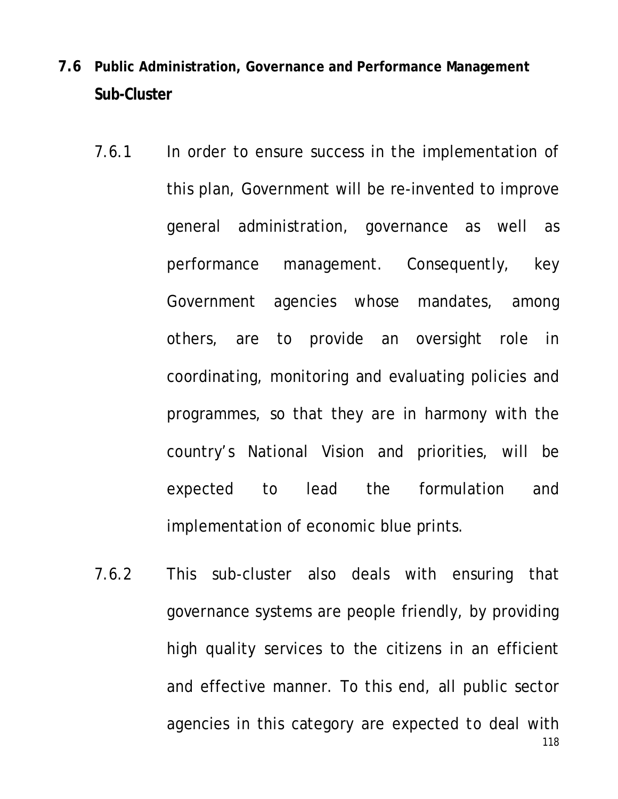- **7.6 Public Administration, Governance and Performance Management Sub-Cluster**
	- 7.6.1 In order to ensure success in the implementation of this plan, Government will be re-invented to improve general administration, governance as well as performance management. Consequently, key Government agencies whose mandates, among others, are to provide an oversight role in coordinating, monitoring and evaluating policies and programmes, so that they are in harmony with the country's National Vision and priorities, will be expected to lead the formulation and implementation of economic blue prints.
	- 118 7.6.2 This sub-cluster also deals with ensuring that governance systems are people friendly, by providing high quality services to the citizens in an efficient and effective manner. To this end, all public sector agencies in this category are expected to deal with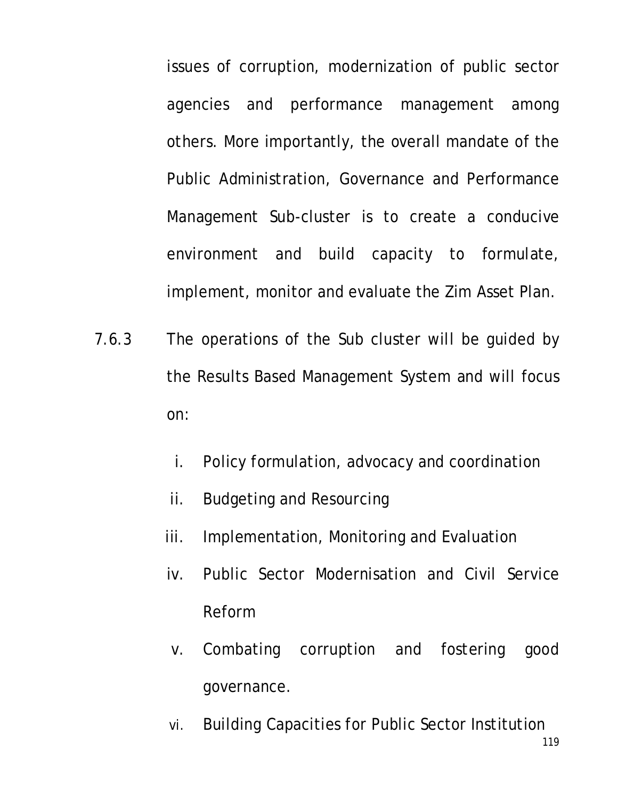issues of corruption, modernization of public sector agencies and performance management among others. More importantly, the overall mandate of the Public Administration, Governance and Performance Management Sub-cluster is to create a conducive environment and build capacity to formulate, implement, monitor and evaluate the Zim Asset Plan.

- 7.6.3 The operations of the Sub cluster will be guided by the Results Based Management System and will focus on:
	- i. Policy formulation, advocacy and coordination
	- ii. Budgeting and Resourcing
	- iii. Implementation, Monitoring and Evaluation
	- iv. Public Sector Modernisation and Civil Service Reform
	- v. Combating corruption and fostering good governance.
	- vi. Building Capacities for Public Sector Institution

119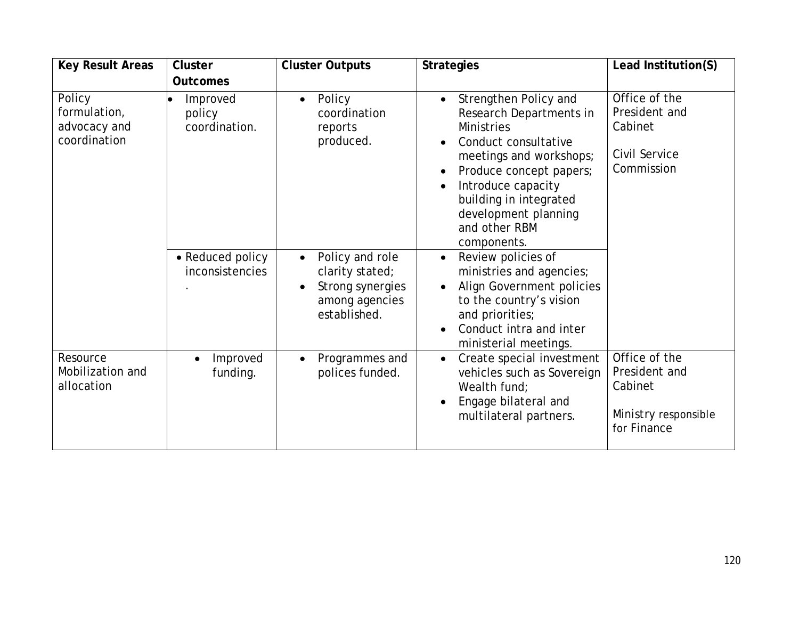| <b>Key Result Areas</b>                                | <b>Cluster</b>                      | <b>Cluster Outputs</b>                                                                                | <b>Strategies</b>                                                                                                                                                                                                                                           | Lead Institution(S)                                                              |
|--------------------------------------------------------|-------------------------------------|-------------------------------------------------------------------------------------------------------|-------------------------------------------------------------------------------------------------------------------------------------------------------------------------------------------------------------------------------------------------------------|----------------------------------------------------------------------------------|
|                                                        | <b>Outcomes</b>                     |                                                                                                       |                                                                                                                                                                                                                                                             |                                                                                  |
| Policy<br>formulation,<br>advocacy and<br>coordination | Improved<br>policy<br>coordination. | Policy<br>$\bullet$<br>coordination<br>reports<br>produced.                                           | Strengthen Policy and<br>Research Departments in<br><b>Ministries</b><br>Conduct consultative<br>meetings and workshops;<br>Produce concept papers;<br>Introduce capacity<br>building in integrated<br>development planning<br>and other RBM<br>components. | Office of the<br>President and<br>Cabinet<br>Civil Service<br>Commission         |
|                                                        | • Reduced policy<br>inconsistencies | Policy and role<br>$\bullet$<br>clarity stated;<br>Strong synergies<br>among agencies<br>established. | Review policies of<br>$\bullet$<br>ministries and agencies;<br>Align Government policies<br>to the country's vision<br>and priorities;<br>Conduct intra and inter<br>ministerial meetings.                                                                  |                                                                                  |
| Resource<br>Mobilization and<br>allocation             | Improved<br>funding.                | Programmes and<br>$\bullet$<br>polices funded.                                                        | Create special investment<br>$\bullet$<br>vehicles such as Sovereign<br>Wealth fund:<br>Engage bilateral and<br>multilateral partners.                                                                                                                      | Office of the<br>President and<br>Cabinet<br>Ministry responsible<br>for Finance |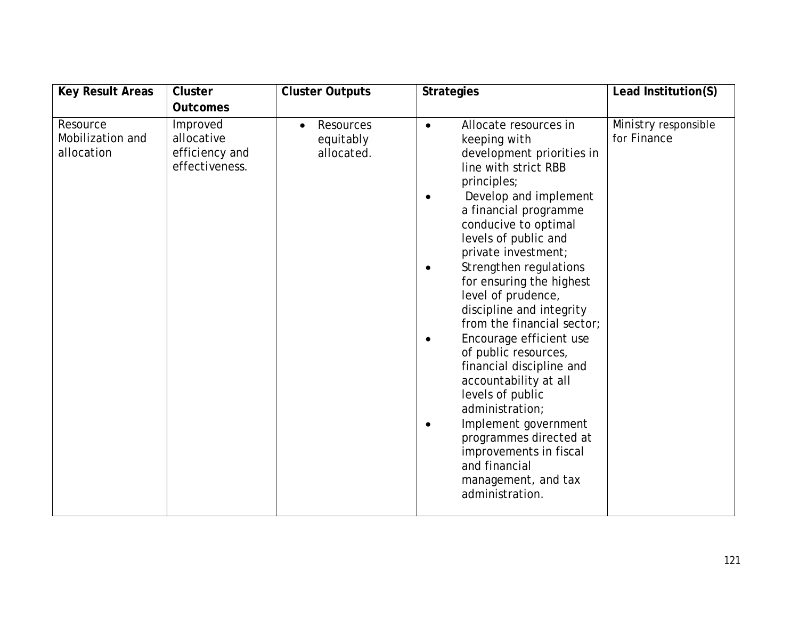| <b>Key Result Areas</b>                    | <b>Cluster</b>                                             | <b>Cluster Outputs</b>                            | <b>Strategies</b>                                                                                                                                                                                                                                                                                                                                                                                                                                                                                                                                                                                                                                                   | Lead Institution(S)                 |
|--------------------------------------------|------------------------------------------------------------|---------------------------------------------------|---------------------------------------------------------------------------------------------------------------------------------------------------------------------------------------------------------------------------------------------------------------------------------------------------------------------------------------------------------------------------------------------------------------------------------------------------------------------------------------------------------------------------------------------------------------------------------------------------------------------------------------------------------------------|-------------------------------------|
|                                            | <b>Outcomes</b>                                            |                                                   |                                                                                                                                                                                                                                                                                                                                                                                                                                                                                                                                                                                                                                                                     |                                     |
| Resource<br>Mobilization and<br>allocation | Improved<br>allocative<br>efficiency and<br>effectiveness. | Resources<br>$\bullet$<br>equitably<br>allocated. | Allocate resources in<br>keeping with<br>development priorities in<br>line with strict RBB<br>principles;<br>Develop and implement<br>a financial programme<br>conducive to optimal<br>levels of public and<br>private investment;<br>Strengthen regulations<br>٠<br>for ensuring the highest<br>level of prudence,<br>discipline and integrity<br>from the financial sector;<br>Encourage efficient use<br>of public resources,<br>financial discipline and<br>accountability at all<br>levels of public<br>administration;<br>Implement government<br>programmes directed at<br>improvements in fiscal<br>and financial<br>management, and tax<br>administration. | Ministry responsible<br>for Finance |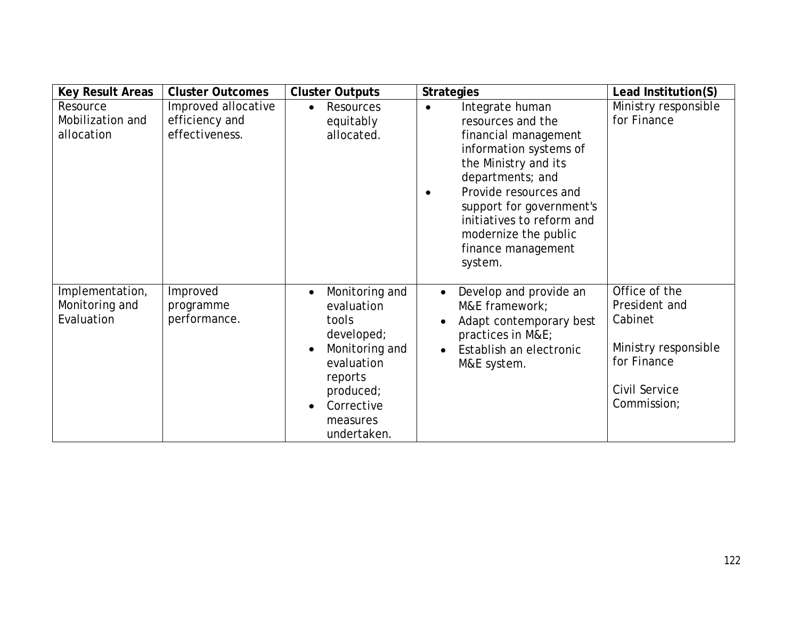| <b>Key Result Areas</b>                         | <b>Cluster Outcomes</b>                                 | <b>Cluster Outputs</b>                                                                                                                                                                      | <b>Strategies</b>                                                                                                                                                                                                                                                                                       | Lead Institution(S)                                                                                              |
|-------------------------------------------------|---------------------------------------------------------|---------------------------------------------------------------------------------------------------------------------------------------------------------------------------------------------|---------------------------------------------------------------------------------------------------------------------------------------------------------------------------------------------------------------------------------------------------------------------------------------------------------|------------------------------------------------------------------------------------------------------------------|
| Resource<br>Mobilization and<br>allocation      | Improved allocative<br>efficiency and<br>effectiveness. | Resources<br>equitably<br>allocated.                                                                                                                                                        | Integrate human<br>$\bullet$<br>resources and the<br>financial management<br>information systems of<br>the Ministry and its<br>departments; and<br>Provide resources and<br>$\bullet$<br>support for government's<br>initiatives to reform and<br>modernize the public<br>finance management<br>system. | Ministry responsible<br>for Finance                                                                              |
| Implementation,<br>Monitoring and<br>Evaluation | Improved<br>programme<br>performance.                   | Monitoring and<br>$\bullet$<br>evaluation<br>tools<br>developed;<br>Monitoring and<br>$\bullet$<br>evaluation<br>reports<br>produced;<br>Corrective<br>$\bullet$<br>measures<br>undertaken. | Develop and provide an<br>$\bullet$<br>M&E framework;<br>Adapt contemporary best<br>practices in M&E<br>Establish an electronic<br>$\bullet$<br>M&E system.                                                                                                                                             | Office of the<br>President and<br>Cabinet<br>Ministry responsible<br>for Finance<br>Civil Service<br>Commission; |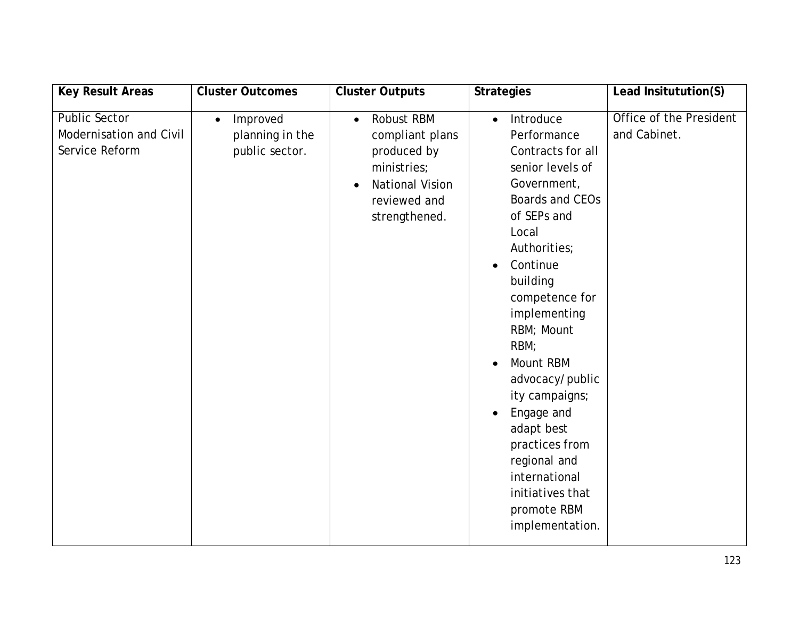| <b>Key Result Areas</b>                                           | <b>Cluster Outcomes</b>                                    | <b>Cluster Outputs</b>                                                                                                                           | <b>Strategies</b>                                                                                                                                                                                                                                                                                                                                                                                                                                         | Lead Insitutution(S)                    |
|-------------------------------------------------------------------|------------------------------------------------------------|--------------------------------------------------------------------------------------------------------------------------------------------------|-----------------------------------------------------------------------------------------------------------------------------------------------------------------------------------------------------------------------------------------------------------------------------------------------------------------------------------------------------------------------------------------------------------------------------------------------------------|-----------------------------------------|
| <b>Public Sector</b><br>Modernisation and Civil<br>Service Reform | Improved<br>$\bullet$<br>planning in the<br>public sector. | Robust RBM<br>$\bullet$<br>compliant plans<br>produced by<br>ministries;<br><b>National Vision</b><br>$\bullet$<br>reviewed and<br>strengthened. | Introduce<br>$\bullet$<br>Performance<br>Contracts for all<br>senior levels of<br>Government,<br>Boards and CEOs<br>of SEPs and<br>Local<br>Authorities;<br>Continue<br>$\bullet$<br>building<br>competence for<br>implementing<br>RBM; Mount<br>RBM;<br>Mount RBM<br>advocacy/public<br>ity campaigns;<br>Engage and<br>$\bullet$<br>adapt best<br>practices from<br>regional and<br>international<br>initiatives that<br>promote RBM<br>implementation. | Office of the President<br>and Cabinet. |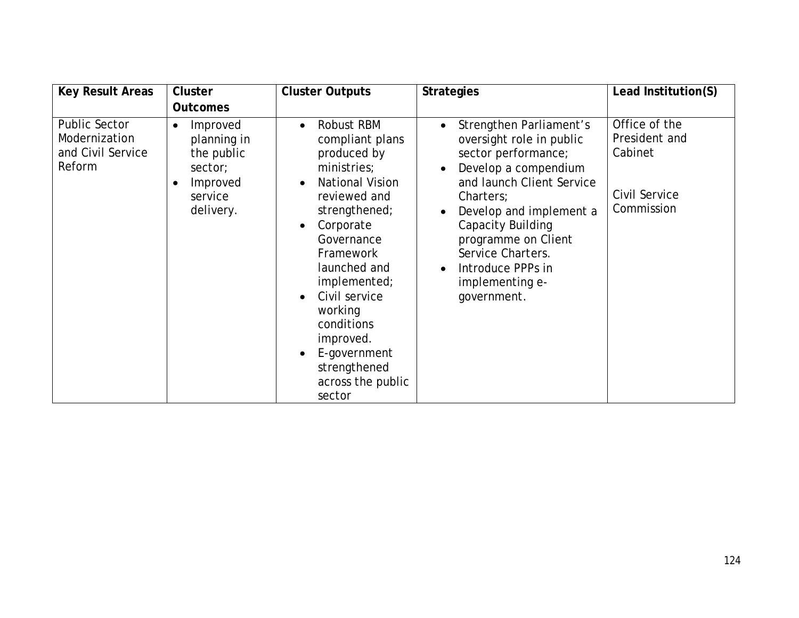| <b>Key Result Areas</b>                                              | <b>Cluster</b>                                                                                                 | <b>Cluster Outputs</b>                                                                                                                                                                                                                                                                                                                                                                | <b>Strategies</b>                                                                                                                                                                                                                                                                                                         | Lead Institution(S)                                                      |
|----------------------------------------------------------------------|----------------------------------------------------------------------------------------------------------------|---------------------------------------------------------------------------------------------------------------------------------------------------------------------------------------------------------------------------------------------------------------------------------------------------------------------------------------------------------------------------------------|---------------------------------------------------------------------------------------------------------------------------------------------------------------------------------------------------------------------------------------------------------------------------------------------------------------------------|--------------------------------------------------------------------------|
|                                                                      | <b>Outcomes</b>                                                                                                |                                                                                                                                                                                                                                                                                                                                                                                       |                                                                                                                                                                                                                                                                                                                           |                                                                          |
| <b>Public Sector</b><br>Modernization<br>and Civil Service<br>Reform | Improved<br>$\bullet$<br>planning in<br>the public<br>sector;<br>Improved<br>$\bullet$<br>service<br>delivery. | Robust RBM<br>$\bullet$<br>compliant plans<br>produced by<br>ministries;<br><b>National Vision</b><br>$\bullet$<br>reviewed and<br>strengthened;<br>Corporate<br>$\bullet$<br>Governance<br>Framework<br>launched and<br>implemented;<br>Civil service<br>$\bullet$<br>working<br>conditions<br>improved.<br>E-government<br>$\bullet$<br>strengthened<br>across the public<br>sector | Strengthen Parliament's<br>$\bullet$<br>oversight role in public<br>sector performance;<br>Develop a compendium<br>and launch Client Service<br>Charters;<br>Develop and implement a<br>Capacity Building<br>programme on Client<br>Service Charters.<br>Introduce PPPs in<br>$\bullet$<br>implementing e-<br>government. | Office of the<br>President and<br>Cabinet<br>Civil Service<br>Commission |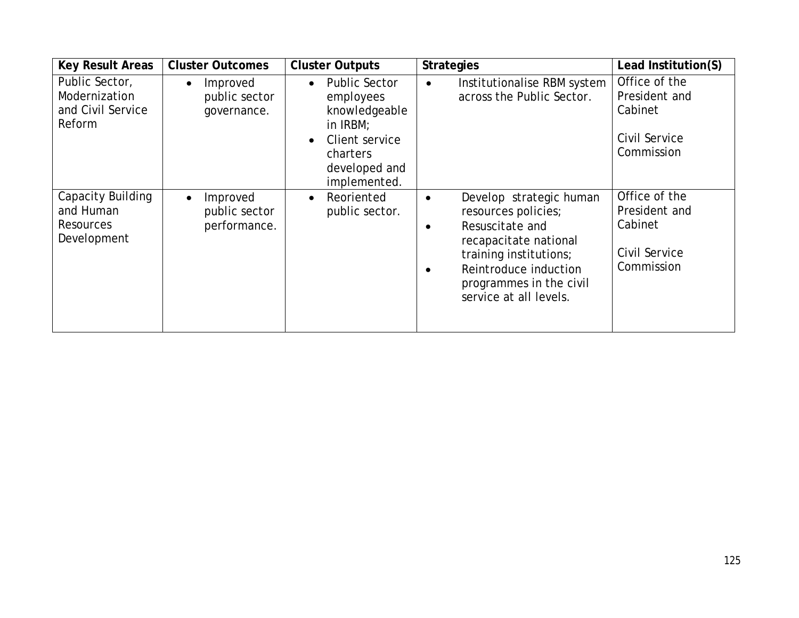| <b>Key Result Areas</b>                                           | <b>Cluster Outcomes</b>                                | <b>Cluster Outputs</b>                                                                                                                                  | <b>Strategies</b>                                                                                                                                                                                                            | Lead Institution(S)                                                      |
|-------------------------------------------------------------------|--------------------------------------------------------|---------------------------------------------------------------------------------------------------------------------------------------------------------|------------------------------------------------------------------------------------------------------------------------------------------------------------------------------------------------------------------------------|--------------------------------------------------------------------------|
| Public Sector,<br>Modernization<br>and Civil Service<br>Reform    | Improved<br>public sector<br>governance.               | <b>Public Sector</b><br>$\bullet$<br>employees<br>knowledgeable<br>in IRBM;<br>Client service<br>$\bullet$<br>charters<br>developed and<br>implemented. | Institutionalise RBM system<br>$\bullet$<br>across the Public Sector.                                                                                                                                                        | Office of the<br>President and<br>Cabinet<br>Civil Service<br>Commission |
| Capacity Building<br>and Human<br><b>Resources</b><br>Development | Improved<br>$\bullet$<br>public sector<br>performance. | Reoriented<br>$\bullet$<br>public sector.                                                                                                               | Develop strategic human<br>$\bullet$<br>resources policies;<br>Resuscitate and<br>$\bullet$<br>recapacitate national<br>training institutions;<br>Reintroduce induction<br>programmes in the civil<br>service at all levels. | Office of the<br>President and<br>Cabinet<br>Civil Service<br>Commission |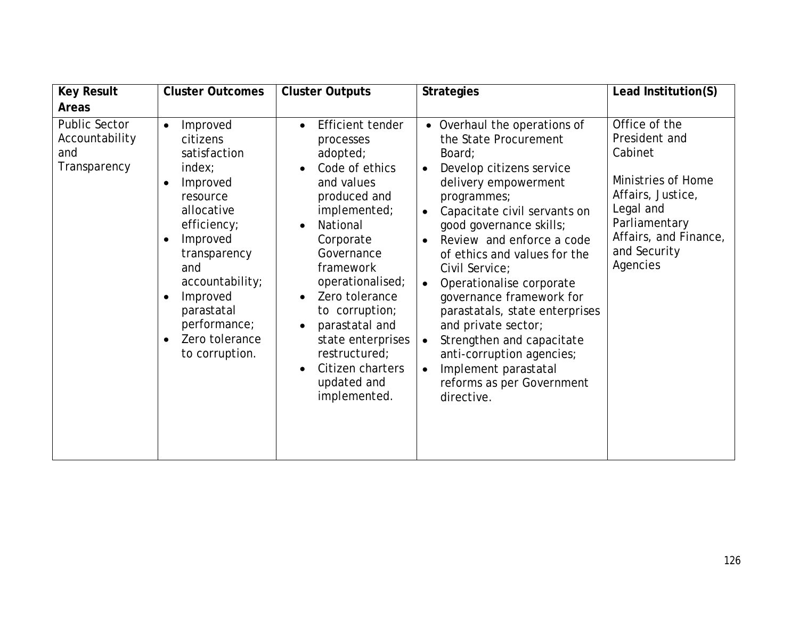| <b>Key Result</b>                                      | <b>Cluster Outcomes</b>                                                                                                                                                                                                                                                                                  | <b>Cluster Outputs</b>                                                                                                                                                                                                                                                                                                                                                                                         | <b>Strategies</b>                                                                                                                                                                                                                                                                                                                                                                                                                                                                                                                                                                           | Lead Institution(S)                                                                                                                                                     |
|--------------------------------------------------------|----------------------------------------------------------------------------------------------------------------------------------------------------------------------------------------------------------------------------------------------------------------------------------------------------------|----------------------------------------------------------------------------------------------------------------------------------------------------------------------------------------------------------------------------------------------------------------------------------------------------------------------------------------------------------------------------------------------------------------|---------------------------------------------------------------------------------------------------------------------------------------------------------------------------------------------------------------------------------------------------------------------------------------------------------------------------------------------------------------------------------------------------------------------------------------------------------------------------------------------------------------------------------------------------------------------------------------------|-------------------------------------------------------------------------------------------------------------------------------------------------------------------------|
| <b>Areas</b>                                           |                                                                                                                                                                                                                                                                                                          |                                                                                                                                                                                                                                                                                                                                                                                                                |                                                                                                                                                                                                                                                                                                                                                                                                                                                                                                                                                                                             |                                                                                                                                                                         |
| Public Sector<br>Accountability<br>and<br>Transparency | Improved<br>$\bullet$<br>citizens<br>satisfaction<br>index:<br>Improved<br>$\bullet$<br>resource<br>allocative<br>efficiency;<br>Improved<br>$\bullet$<br>transparency<br>and<br>accountability;<br>Improved<br>$\bullet$<br>parastatal<br>performance;<br>Zero tolerance<br>$\bullet$<br>to corruption. | Efficient tender<br>$\bullet$<br>processes<br>adopted;<br>Code of ethics<br>$\bullet$<br>and values<br>produced and<br>implemented;<br>National<br>$\bullet$<br>Corporate<br>Governance<br>framework<br>operationalised;<br>Zero tolerance<br>$\bullet$<br>to corruption;<br>parastatal and<br>$\bullet$<br>state enterprises<br>restructured;<br>Citizen charters<br>$\bullet$<br>updated and<br>implemented. | • Overhaul the operations of<br>the State Procurement<br>Board;<br>Develop citizens service<br>$\bullet$<br>delivery empowerment<br>programmes;<br>Capacitate civil servants on<br>$\bullet$<br>good governance skills;<br>Review and enforce a code<br>$\bullet$<br>of ethics and values for the<br>Civil Service;<br>Operationalise corporate<br>$\bullet$<br>governance framework for<br>parastatals, state enterprises<br>and private sector;<br>Strengthen and capacitate<br>anti-corruption agencies;<br>Implement parastatal<br>$\bullet$<br>reforms as per Government<br>directive. | Office of the<br>President and<br>Cabinet<br>Ministries of Home<br>Affairs, Justice,<br>Legal and<br>Parliamentary<br>Affairs, and Finance,<br>and Security<br>Agencies |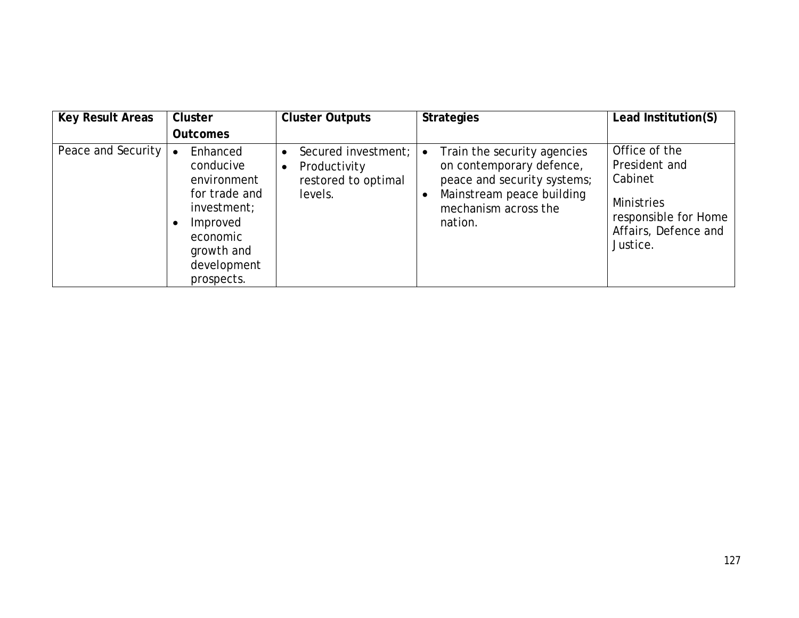| <b>Key Result Areas</b> | <b>Cluster</b>                                                                                                                                       | <b>Cluster Outputs</b>                                                                          | <b>Strategies</b>                                                                                                                                      | Lead Institution(S)                                                                                                 |
|-------------------------|------------------------------------------------------------------------------------------------------------------------------------------------------|-------------------------------------------------------------------------------------------------|--------------------------------------------------------------------------------------------------------------------------------------------------------|---------------------------------------------------------------------------------------------------------------------|
|                         | <b>Outcomes</b>                                                                                                                                      |                                                                                                 |                                                                                                                                                        |                                                                                                                     |
| Peace and Security      | Enhanced<br>$\bullet$<br>conducive<br>environment<br>for trade and<br>investment;<br>Improved<br>economic<br>growth and<br>development<br>prospects. | Secured investment;<br>$\bullet$<br>Productivity<br>$\bullet$<br>restored to optimal<br>levels. | Train the security agencies<br>on contemporary defence,<br>peace and security systems;<br>Mainstream peace building<br>mechanism across the<br>nation. | Office of the<br>President and<br>Cabinet<br>Ministries<br>responsible for Home<br>Affairs, Defence and<br>Justice. |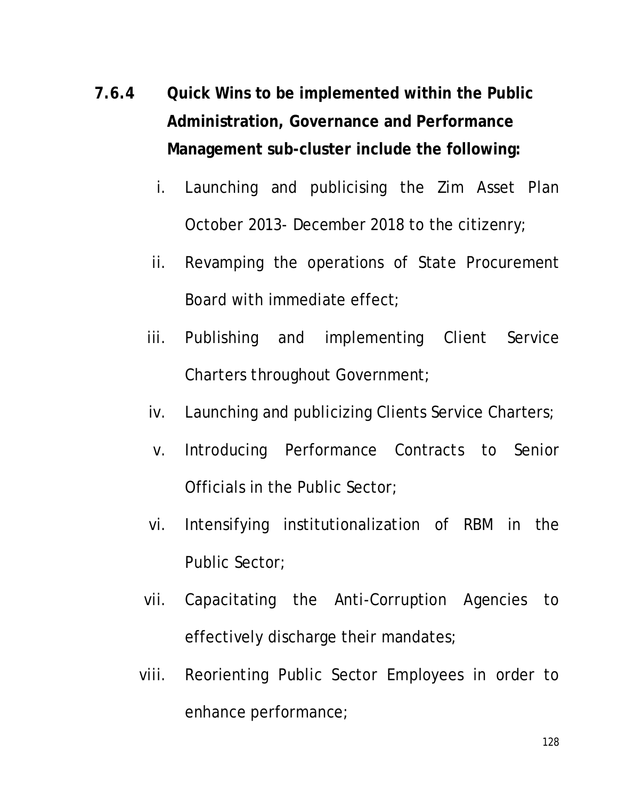- **7.6.4 Quick Wins to be implemented within the Public Administration, Governance and Performance Management sub-cluster include the following:**
	- i. Launching and publicising the Zim Asset Plan October 2013- December 2018 to the citizenry;
	- ii. Revamping the operations of State Procurement Board with immediate effect;
	- iii. Publishing and implementing Client Service Charters throughout Government;
	- iv. Launching and publicizing Clients Service Charters;
	- v. Introducing Performance Contracts to Senior Officials in the Public Sector;
	- vi. Intensifying institutionalization of RBM in the Public Sector;
	- vii. Capacitating the Anti-Corruption Agencies to effectively discharge their mandates;
	- viii. Reorienting Public Sector Employees in order to enhance performance;